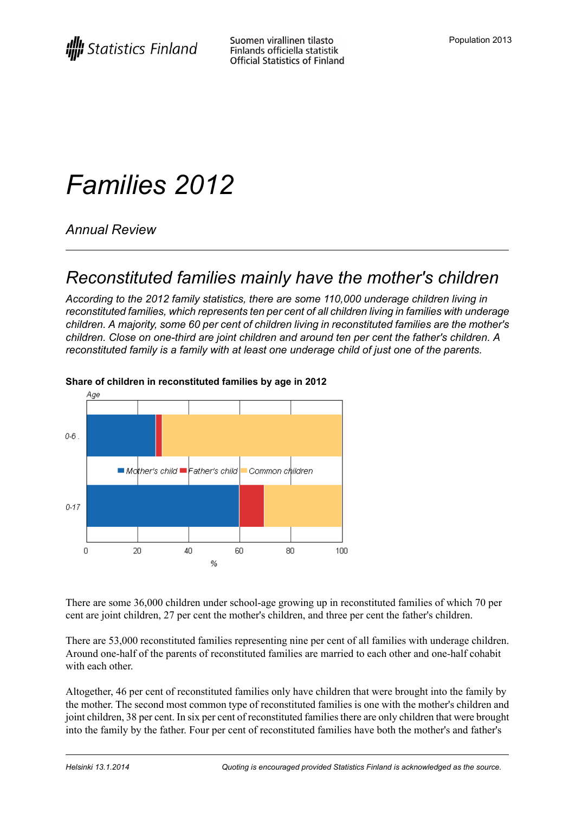# *Families 2012*

*Annual Review*

## *Reconstituted families mainly have the mother's children*

*According to the 2012 family statistics, there are some 110,000 underage children living in reconstituted families, which represents ten per cent of all children living in families with underage children. A majority, some 60 per cent of children living in reconstituted families are the mother's children. Close on one-third are joint children and around ten per cent the father's children. A reconstituted family is a family with at least one underage child of just one of the parents.*



#### **Share of children in reconstituted families by age in 2012**

There are some 36,000 children under school-age growing up in reconstituted families of which 70 per cent are joint children, 27 per cent the mother's children, and three per cent the father's children.

There are 53,000 reconstituted families representing nine per cent of all families with underage children. Around one-half of the parents of reconstituted families are married to each other and one-half cohabit with each other.

Altogether, 46 per cent of reconstituted families only have children that were brought into the family by the mother. The second most common type of reconstituted families is one with the mother's children and joint children, 38 per cent. In six per cent of reconstituted families there are only children that were brought into the family by the father. Four per cent of reconstituted families have both the mother's and father's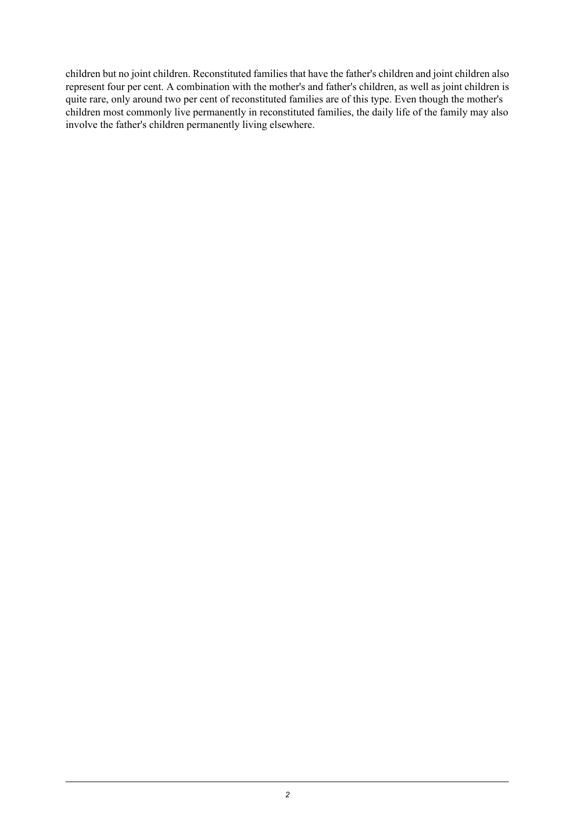children but no joint children. Reconstituted families that have the father's children and joint children also represent four per cent. A combination with the mother's and father's children, as well as joint children is quite rare, only around two per cent of reconstituted families are of this type. Even though the mother's children most commonly live permanently in reconstituted families, the daily life of the family may also involve the father's children permanently living elsewhere.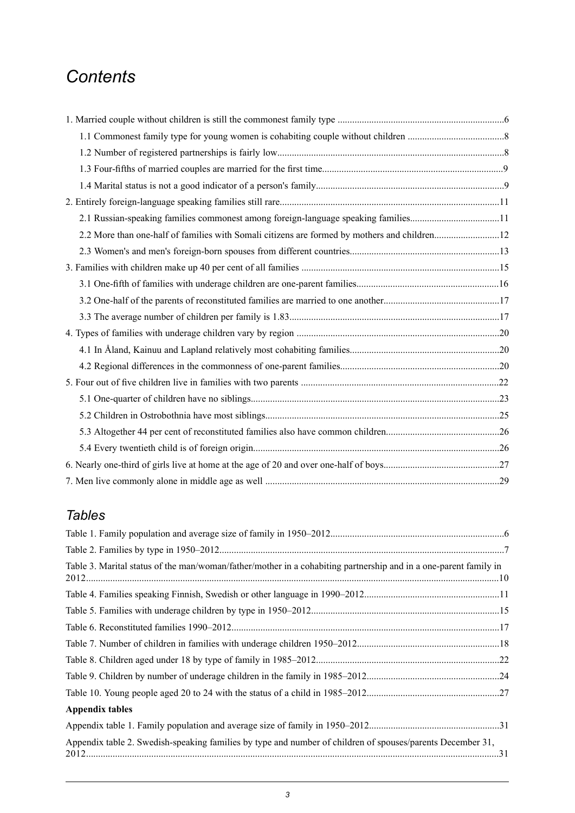## *Contents*

| 2.1 Russian-speaking families commonest among foreign-language speaking families11 |  |
|------------------------------------------------------------------------------------|--|
|                                                                                    |  |
|                                                                                    |  |
|                                                                                    |  |
|                                                                                    |  |
|                                                                                    |  |
|                                                                                    |  |
|                                                                                    |  |
|                                                                                    |  |
|                                                                                    |  |
|                                                                                    |  |
|                                                                                    |  |
|                                                                                    |  |
|                                                                                    |  |
|                                                                                    |  |
|                                                                                    |  |
|                                                                                    |  |

#### *Tables*

| Table 3. Marital status of the man/woman/father/mother in a cohabiting partnership and in a one-parent family in |  |
|------------------------------------------------------------------------------------------------------------------|--|
|                                                                                                                  |  |
|                                                                                                                  |  |
|                                                                                                                  |  |
|                                                                                                                  |  |
|                                                                                                                  |  |
|                                                                                                                  |  |
|                                                                                                                  |  |
| <b>Appendix tables</b>                                                                                           |  |
|                                                                                                                  |  |
| Appendix table 2. Swedish-speaking families by type and number of children of spouses/parents December 31,       |  |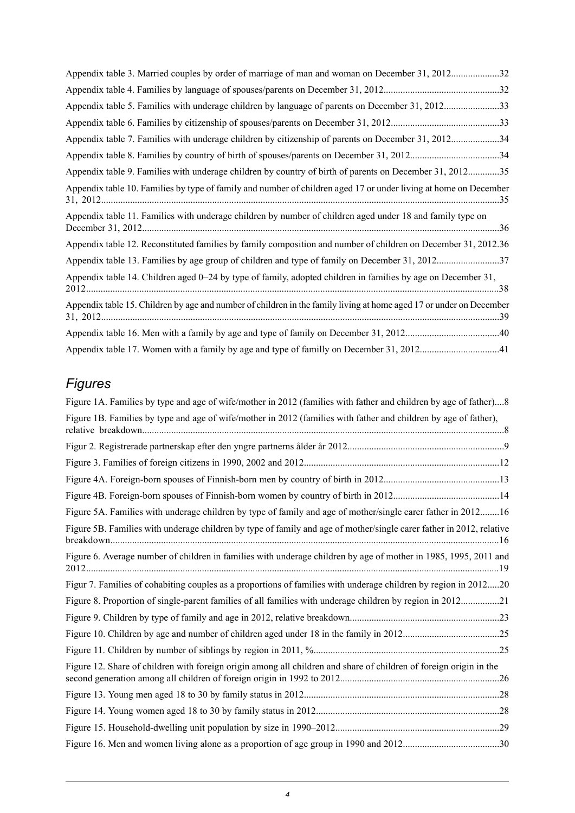| Appendix table 3. Married couples by order of marriage of man and woman on December 31, 201232                      |  |
|---------------------------------------------------------------------------------------------------------------------|--|
|                                                                                                                     |  |
| Appendix table 5. Families with underage children by language of parents on December 31, 201233                     |  |
|                                                                                                                     |  |
| Appendix table 7. Families with underage children by citizenship of parents on December 31, 201234                  |  |
|                                                                                                                     |  |
| Appendix table 9. Families with underage children by country of birth of parents on December 31, 201235             |  |
| Appendix table 10. Families by type of family and number of children aged 17 or under living at home on December    |  |
| Appendix table 11. Families with underage children by number of children aged under 18 and family type on           |  |
| Appendix table 12. Reconstituted families by family composition and number of children on December 31, 2012.36      |  |
| Appendix table 13. Families by age group of children and type of family on December 31, 201237                      |  |
| Appendix table 14. Children aged 0–24 by type of family, adopted children in families by age on December 31,        |  |
| Appendix table 15. Children by age and number of children in the family living at home aged 17 or under on December |  |
|                                                                                                                     |  |
|                                                                                                                     |  |

## *Figures*

| Figure 1A. Families by type and age of wife/mother in 2012 (families with father and children by age of father)8     |
|----------------------------------------------------------------------------------------------------------------------|
| Figure 1B. Families by type and age of wife/mother in 2012 (families with father and children by age of father),     |
|                                                                                                                      |
|                                                                                                                      |
|                                                                                                                      |
|                                                                                                                      |
| Figure 5A. Families with underage children by type of family and age of mother/single carer father in 201216         |
| Figure 5B. Families with underage children by type of family and age of mother/single carer father in 2012, relative |
| Figure 6. Average number of children in families with underage children by age of mother in 1985, 1995, 2011 and     |
| Figur 7. Families of cohabiting couples as a proportions of families with underage children by region in 201220      |
| Figure 8. Proportion of single-parent families of all families with underage children by region in 201221            |
|                                                                                                                      |
|                                                                                                                      |
|                                                                                                                      |
| Figure 12. Share of children with foreign origin among all children and share of children of foreign origin in the   |
|                                                                                                                      |
|                                                                                                                      |
|                                                                                                                      |
|                                                                                                                      |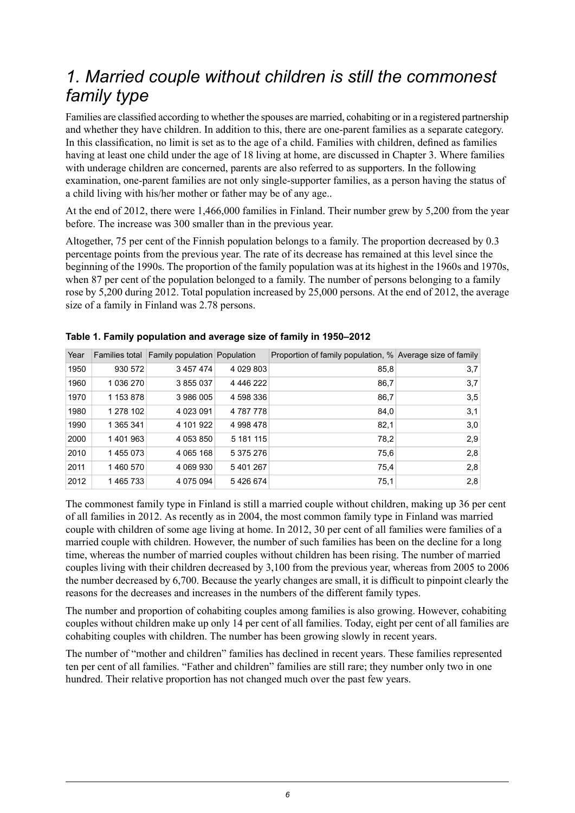## <span id="page-5-0"></span>*1. Married couple without children is still the commonest family type*

Families are classified according to whether the spouses are married, cohabiting or in a registered partnership and whether they have children. In addition to this, there are one-parent families as a separate category. In this classification, no limit is set as to the age of a child. Families with children, defined as families having at least one child under the age of 18 living at home, are discussed in Chapter 3. Where families with underage children are concerned, parents are also referred to as supporters. In the following examination, one-parent families are not only single-supporter families, as a person having the status of a child living with his/her mother or father may be of any age..

At the end of 2012, there were 1,466,000 families in Finland. Their number grew by 5,200 from the year before. The increase was 300 smaller than in the previous year.

Altogether, 75 per cent of the Finnish population belongs to a family. The proportion decreased by 0.3 percentage points from the previous year. The rate of its decrease has remained at this level since the beginning of the 1990s. The proportion of the family population was at its highest in the 1960s and 1970s, when 87 per cent of the population belonged to a family. The number of persons belonging to a family rose by 5,200 during 2012. Total population increased by 25,000 persons. At the end of 2012, the average size of a family in Finland was 2.78 persons.

| Year |           | Families total   Family population   Population |               | Proportion of family population, % Average size of family |     |
|------|-----------|-------------------------------------------------|---------------|-----------------------------------------------------------|-----|
| 1950 | 930 572   | 3 457 474                                       | 4 029 803     | 85,8                                                      | 3,7 |
| 1960 | 1 036 270 | 3 855 037                                       | 4 4 4 6 2 2 2 | 86,7                                                      | 3,7 |
| 1970 | 1 153 878 | 3 986 005                                       | 4 598 336     | 86,7                                                      | 3,5 |
| 1980 | 1 278 102 | 4 0 23 0 91                                     | 4787778       | 84,0                                                      | 3,1 |
| 1990 | 1 365 341 | 4 101 922                                       | 4 998 478     | 82,1                                                      | 3,0 |
| 2000 | 1401963   | 4 053 850                                       | 5 181 115     | 78,2                                                      | 2,9 |
| 2010 | 1455073   | 4 0 65 1 68                                     | 5 375 276     | 75,6                                                      | 2,8 |
| 2011 | 1460570   | 4 069 930                                       | 5401267       | 75,4                                                      | 2,8 |
| 2012 | 1465733   | 4 0 7 5 0 9 4                                   | 5426674       | 75,1                                                      | 2,8 |

#### <span id="page-5-1"></span>**Table 1. Family population and average size of family in 1950–2012**

The commonest family type in Finland is still a married couple without children, making up 36 per cent of all families in 2012. As recently as in 2004, the most common family type in Finland was married couple with children of some age living at home. In 2012, 30 per cent of all families were families of a married couple with children. However, the number of such families has been on the decline for a long time, whereas the number of married couples without children has been rising. The number of married couples living with their children decreased by 3,100 from the previous year, whereas from 2005 to 2006 the number decreased by 6,700. Because the yearly changes are small, it is difficult to pinpoint clearly the reasons for the decreases and increases in the numbers of the different family types.

The number and proportion of cohabiting couples among families is also growing. However, cohabiting couples without children make up only 14 per cent of all families. Today, eight per cent of all families are cohabiting couples with children. The number has been growing slowly in recent years.

The number of "mother and children" families has declined in recent years. These families represented ten per cent of all families. "Father and children" families are still rare; they number only two in one hundred. Their relative proportion has not changed much over the past few years.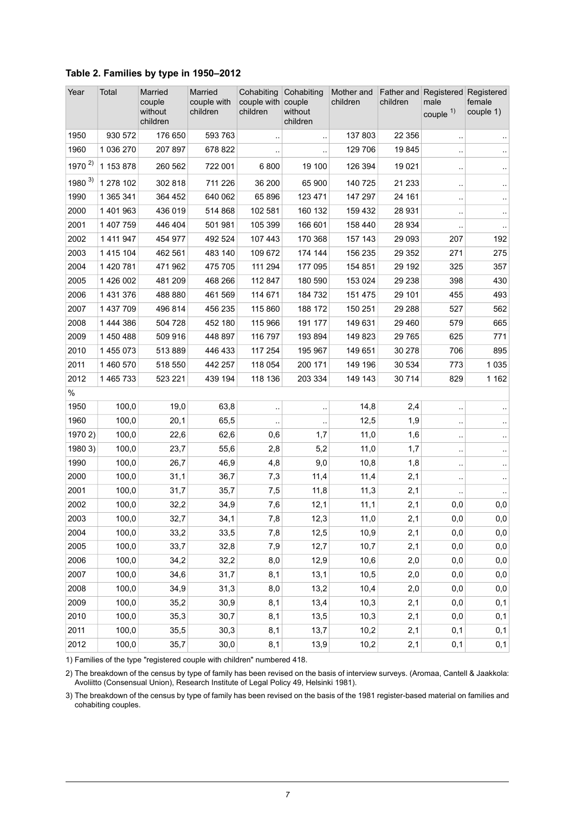| Year       | Total     | Married<br>couple<br>without<br>children | Married<br>couple with<br>children | Cohabiting<br>couple with couple<br>children | Cohabiting<br>Mother and<br>children<br>without<br>children |         | children | Father and Registered Registered<br>male<br>couple $1)$ | female<br>couple 1)  |
|------------|-----------|------------------------------------------|------------------------------------|----------------------------------------------|-------------------------------------------------------------|---------|----------|---------------------------------------------------------|----------------------|
| 1950       | 930 572   | 176 650                                  | 593 763                            |                                              |                                                             | 137 803 | 22 3 5 6 | $\ddot{\phantom{0}}$                                    |                      |
| 1960       | 1 036 270 | 207 897                                  | 678 822                            |                                              |                                                             | 129 706 | 19845    | $\cdot$                                                 |                      |
| $1970^{2}$ | 1 153 878 | 260 562                                  | 722 001                            | 6800                                         | 19 100                                                      | 126 394 | 19 0 21  | $\ddot{\phantom{0}}$                                    |                      |
| $1980^{3}$ | 1 278 102 | 302 818                                  | 711 226                            | 36 200                                       | 65 900                                                      | 140 725 | 21 2 3 3 | $\ddot{\phantom{0}}$                                    | $\ddot{\phantom{1}}$ |
| 1990       | 1 365 341 | 364 452                                  | 640 062                            | 65 896                                       | 123 471                                                     | 147 297 | 24 161   | $\ddot{\phantom{0}}$                                    | ٠.                   |
| 2000       | 1 401 963 | 436 019                                  | 514 868                            | 102 581                                      | 160 132                                                     | 159 432 | 28 931   | $\ddot{\phantom{0}}$                                    | $\ddotsc$            |
| 2001       | 1 407 759 | 446 404                                  | 501 981                            | 105 399                                      | 166 601                                                     | 158 440 | 28 9 34  | $\ddot{\phantom{0}}$                                    | $\ddot{\phantom{1}}$ |
| 2002       | 1 411 947 | 454 977                                  | 492 524                            | 107 443                                      | 170 368                                                     | 157 143 | 29 093   | 207                                                     | 192                  |
| 2003       | 1 415 104 | 462 561                                  | 483 140                            | 109 672                                      | 174 144                                                     | 156 235 | 29 3 5 2 | 271                                                     | 275                  |
| 2004       | 1 420 781 | 471 962                                  | 475 705                            | 111 294                                      | 177 095                                                     | 154 851 | 29 192   | 325                                                     | 357                  |
| 2005       | 1 426 002 | 481 209                                  | 468 266                            | 112 847                                      | 180 590                                                     | 153 024 | 29 238   | 398                                                     | 430                  |
| 2006       | 1 431 376 | 488 880                                  | 461 569                            | 114 671                                      | 184732                                                      | 151 475 | 29 101   | 455                                                     | 493                  |
| 2007       | 1 437 709 | 496 814                                  | 456 235                            | 115 860                                      | 188 172                                                     | 150 251 | 29 288   | 527                                                     | 562                  |
| 2008       | 1 444 386 | 504 728                                  | 452 180                            | 115 966                                      | 191 177                                                     | 149 631 | 29 4 60  | 579                                                     | 665                  |
| 2009       | 1450488   | 509 916                                  | 448 897                            | 116 797                                      | 193 894                                                     | 149 823 | 29 7 65  | 625                                                     | 771                  |
| 2010       | 1 455 073 | 513 889                                  | 446 433                            | 117 254                                      | 195 967                                                     | 149 651 | 30 278   | 706                                                     | 895                  |
| 2011       | 1 460 570 | 518 550                                  | 442 257                            | 118 054                                      | 200 171                                                     | 149 196 | 30 534   | 773                                                     | 1 0 3 5              |
| 2012       | 1465733   | 523 221                                  | 439 194                            | 118 136                                      | 203 334                                                     | 149 143 | 30 714   | 829                                                     | 1 1 6 2              |
| $\%$       |           |                                          |                                    |                                              |                                                             |         |          |                                                         |                      |
| 1950       | 100,0     | 19,0                                     | 63,8                               |                                              |                                                             | 14,8    | 2,4      |                                                         |                      |
| 1960       | 100,0     | 20,1                                     | 65,5                               |                                              |                                                             | 12,5    | 1,9      | $\ddot{\phantom{0}}$                                    | .,                   |
| 1970 2)    | 100,0     | 22,6                                     | 62,6                               | 0,6                                          | 1,7                                                         | 11,0    | 1,6      |                                                         |                      |
| 1980 3)    | 100,0     | 23,7                                     | 55,6                               | 2,8                                          | 5,2                                                         | 11,0    | 1,7      | $\ddot{\phantom{0}}$                                    | ٠.                   |
| 1990       | 100,0     | 26,7                                     | 46,9                               | 4,8                                          | 9,0                                                         | 10,8    | 1,8      | $\ddot{\phantom{0}}$                                    | $\ddot{\phantom{1}}$ |
| 2000       | 100,0     | 31,1                                     | 36,7                               | 7,3                                          | 11,4                                                        | 11,4    | 2,1      | $\ddot{\phantom{0}}$                                    | $\ddotsc$            |
| 2001       | 100,0     | 31,7                                     | 35,7                               | 7,5                                          | 11,8                                                        | 11,3    | 2,1      |                                                         | $\ddotsc$            |
| 2002       | 100,0     | 32,2                                     | 34,9                               | 7,6                                          | 12,1                                                        | 11,1    | 2,1      | 0,0                                                     | 0,0                  |
| 2003       | 100,0     | 32,7                                     | 34,1                               | 7,8                                          | 12,3                                                        | 11,0    | 2,1      | 0,0                                                     | 0,0                  |
| 2004       | 100,0     | 33,2                                     | 33,5                               | 7,8                                          | 12,5                                                        | 10,9    | 2,1      | 0,0                                                     | 0,0                  |
| 2005       | 100,0     | 33,7                                     | 32,8                               | 7,9                                          | 12,7                                                        | 10,7    | 2,1      | 0,0                                                     | 0,0                  |
| 2006       | 100,0     | 34,2                                     | 32,2                               | 8,0                                          | 12,9                                                        | 10,6    | 2,0      | 0,0                                                     | 0,0                  |
| 2007       | 100,0     | 34,6                                     | 31,7                               | 8,1                                          | 13,1                                                        | 10,5    | 2,0      | 0,0                                                     | 0,0                  |
| 2008       | 100,0     | 34,9                                     | 31,3                               | 8,0                                          | 13,2                                                        | 10,4    | 2,0      | 0,0                                                     | 0,0                  |
| 2009       | 100,0     | 35,2                                     | 30,9                               | 8,1                                          | 13,4                                                        | 10,3    | 2,1      | 0,0                                                     | 0,1                  |
| 2010       | 100,0     | 35,3                                     | 30,7                               | 8,1                                          | 13,5                                                        | 10,3    | 2,1      | 0,0                                                     | 0,1                  |
| 2011       | 100,0     | 35,5                                     | 30,3                               | 8,1                                          | 13,7                                                        | 10,2    | 2,1      | 0,1                                                     | 0,1                  |
| 2012       | 100,0     | 35,7                                     | 30,0                               | 8,1                                          | 13,9                                                        | 10,2    | 2,1      | 0,1                                                     | 0,1                  |

#### <span id="page-6-0"></span>**Table 2. Families by type in 1950–2012**

1) Families of the type "registered couple with children" numbered 418.

The breakdown of the census by type of family has been revised on the basis of interview surveys. (Aromaa, Cantell & Jaakkola: Avoliitto (Consensual Union), Research Institute of Legal Policy 49, Helsinki 1981). 2)

3) The breakdown of the census by type of family has been revised on the basis of the 1981 register-based material on families and cohabiting couples.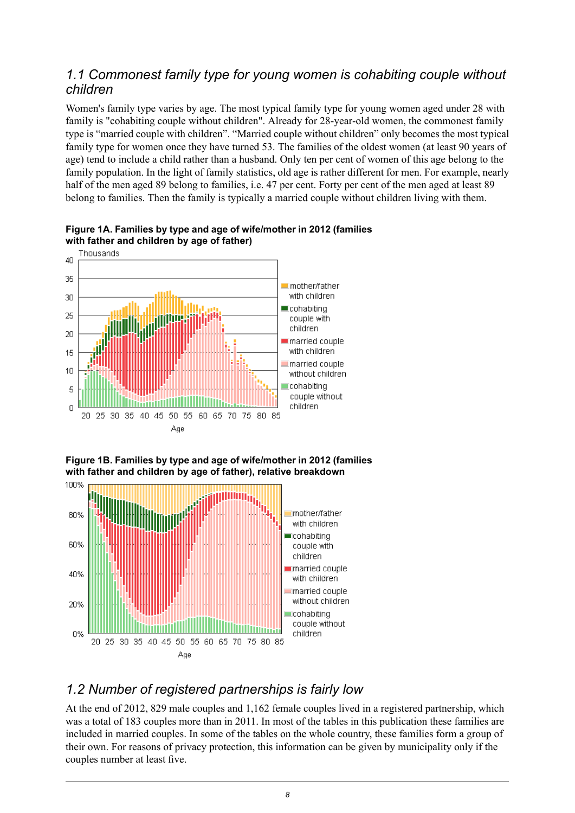#### <span id="page-7-0"></span>*1.1 Commonest family type for young women is cohabiting couple without children*

Women's family type varies by age. The most typical family type for young women aged under 28 with family is "cohabiting couple without children". Already for 28-year-old women, the commonest family type is "married couple with children". "Married couple without children" only becomes the most typical family type for women once they have turned 53. The families of the oldest women (at least 90 years of age) tend to include a child rather than a husband. Only ten per cent of women of this age belong to the family population. In the light of family statistics, old age is rather different for men. For example, nearly half of the men aged 89 belong to families, i.e. 47 per cent. Forty per cent of the men aged at least 89 belong to families. Then the family is typically a married couple without children living with them.



<span id="page-7-2"></span>**Figure 1A. Families by type and age of wife/mother in 2012 (families with father and children by age of father)**

<span id="page-7-3"></span>



#### <span id="page-7-1"></span>*1.2 Number of registered partnerships is fairly low*

At the end of 2012, 829 male couples and 1,162 female couples lived in a registered partnership, which was a total of 183 couples more than in 2011. In most of the tables in this publication these families are included in married couples. In some of the tables on the whole country, these families form a group of their own. For reasons of privacy protection, this information can be given by municipality only if the couples number at least five.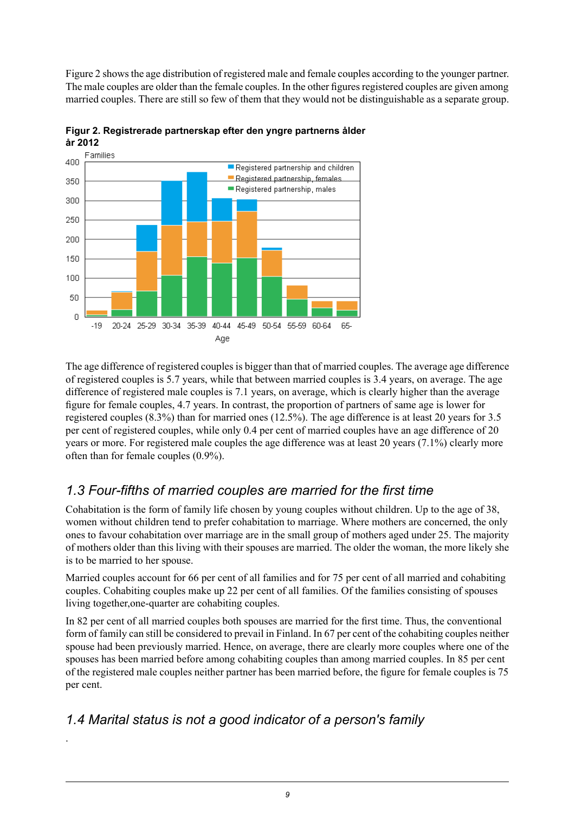Figure 2 showsthe age distribution of registered male and female couples according to the younger partner. The male couples are older than the female couples. In the other figures registered couples are given among married couples. There are still so few of them that they would not be distinguishable as a separate group.



<span id="page-8-2"></span>**Figur 2. Registrerade partnerskap efter den yngre partnerns ålder år 2012**

The age difference of registered couples is bigger than that of married couples. The average age difference of registered couples is 5.7 years, while that between married couples is 3.4 years, on average. The age difference of registered male couples is 7.1 years, on average, which is clearly higher than the average figure for female couples, 4.7 years. In contrast, the proportion of partners of same age is lower for registered couples (8.3%) than for married ones (12.5%). The age difference is at least 20 years for 3.5 per cent of registered couples, while only 0.4 per cent of married couples have an age difference of 20 years or more. For registered male couples the age difference was at least 20 years (7.1%) clearly more often than for female couples (0.9%).

#### <span id="page-8-0"></span>*1.3 Four-fifths of married couples are married for the first time*

Cohabitation is the form of family life chosen by young couples without children. Up to the age of 38, women without children tend to prefer cohabitation to marriage. Where mothers are concerned, the only ones to favour cohabitation over marriage are in the small group of mothers aged under 25. The majority of mothers older than this living with their spouses are married. The older the woman, the more likely she is to be married to her spouse.

Married couples account for 66 per cent of all families and for 75 per cent of all married and cohabiting couples. Cohabiting couples make up 22 per cent of all families. Of the families consisting of spouses living together,one-quarter are cohabiting couples.

<span id="page-8-1"></span>In 82 per cent of all married couples both spouses are married for the first time. Thus, the conventional form of family can still be considered to prevail in Finland. In 67 per cent of the cohabiting couples neither spouse had been previously married. Hence, on average, there are clearly more couples where one of the spouses has been married before among cohabiting couples than among married couples. In 85 per cent of the registered male couples neither partner has been married before, the figure for female couples is 75 per cent.

#### *1.4 Marital status is not a good indicator of a person's family*

.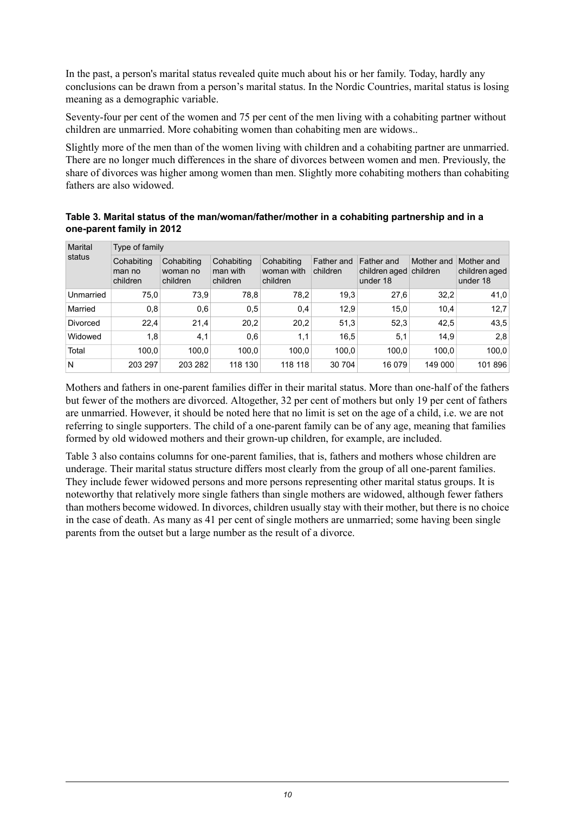In the past, a person's marital status revealed quite much about his or her family. Today, hardly any conclusions can be drawn from a person's marital status. In the Nordic Countries, marital status is losing meaning as a demographic variable.

Seventy-four per cent of the women and 75 per cent of the men living with a cohabiting partner without children are unmarried. More cohabiting women than cohabiting men are widows..

Slightly more of the men than of the women living with children and a cohabiting partner are unmarried. There are no longer much differences in the share of divorces between women and men. Previously, the share of divorces was higher among women than men. Slightly more cohabiting mothers than cohabiting fathers are also widowed.

<span id="page-9-0"></span>

|                           | Table 3. Marital status of the man/woman/father/mother in a cohabiting partnership and in a |  |  |
|---------------------------|---------------------------------------------------------------------------------------------|--|--|
| one-parent family in 2012 |                                                                                             |  |  |

| Marital<br>status | Type of family                   |                                    |                                    |                                      |                        |                                                  |            |                                         |  |  |  |
|-------------------|----------------------------------|------------------------------------|------------------------------------|--------------------------------------|------------------------|--------------------------------------------------|------------|-----------------------------------------|--|--|--|
|                   | Cohabiting<br>man no<br>children | Cohabiting<br>woman no<br>children | Cohabiting<br>man with<br>children | Cohabiting<br>woman with<br>children | Father and<br>children | Father and<br>children aged children<br>under 18 | Mother and | Mother and<br>children aged<br>under 18 |  |  |  |
| Unmarried         | 75,0                             | 73,9                               | 78,8                               | 78,2                                 | 19,3                   | 27,6                                             | 32,2       | 41,0                                    |  |  |  |
| Married           | 0,8                              | 0,6                                | 0,5                                | 0,4                                  | 12,9                   | 15,0                                             | 10.4       | 12.7                                    |  |  |  |
| <b>Divorced</b>   | 22,4                             | 21,4                               | 20,2                               | 20,2                                 | 51,3                   | 52,3                                             | 42,5       | 43.5                                    |  |  |  |
| Widowed           | 1,8                              | 4,1                                | 0,6                                | 1,1                                  | 16,5                   | 5,1                                              | 14.9       | 2,8                                     |  |  |  |
| Total             | 100,0                            | 100.0                              | 100.0                              | 100,0                                | 100,0                  | 100,0                                            | 100,0      | 100,0                                   |  |  |  |
| N                 | 203 297                          | 203 282                            | 118 130                            | 118 118                              | 30 704                 | 16 0 79                                          | 149 000    | 101 896                                 |  |  |  |

Mothers and fathers in one-parent families differ in their marital status. More than one-half of the fathers but fewer of the mothers are divorced. Altogether, 32 per cent of mothers but only 19 per cent of fathers are unmarried. However, it should be noted here that no limit is set on the age of a child, i.e. we are not referring to single supporters. The child of a one-parent family can be of any age, meaning that families formed by old widowed mothers and their grown-up children, for example, are included.

Table 3 also contains columns for one-parent families, that is, fathers and mothers whose children are underage. Their marital status structure differs most clearly from the group of all one-parent families. They include fewer widowed persons and more persons representing other marital status groups. It is noteworthy that relatively more single fathers than single mothers are widowed, although fewer fathers than mothers become widowed. In divorces, children usually stay with their mother, but there is no choice in the case of death. As many as 41 per cent of single mothers are unmarried; some having been single parents from the outset but a large number as the result of a divorce.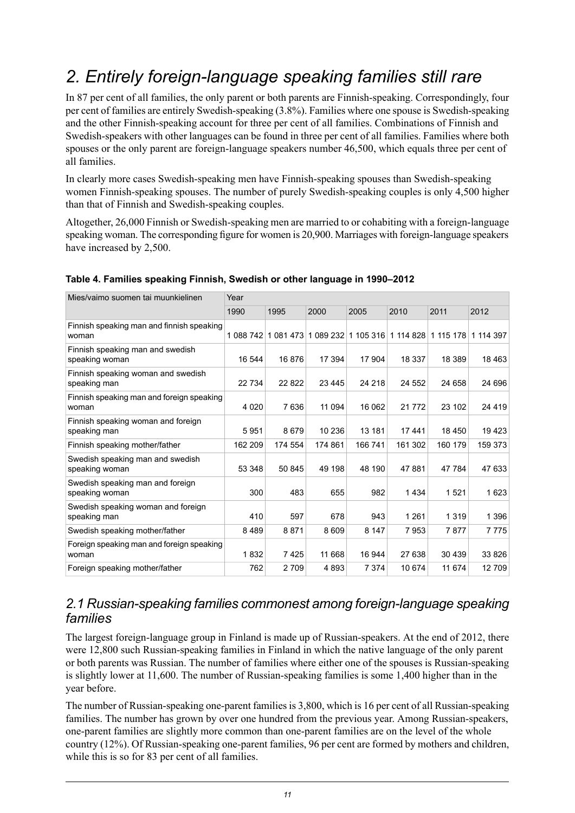## <span id="page-10-0"></span>*2. Entirely foreign-language speaking families still rare*

In 87 per cent of all families, the only parent or both parents are Finnish-speaking. Correspondingly, four per cent of families are entirely Swedish-speaking (3.8%). Families where one spouse is Swedish-speaking and the other Finnish-speaking account for three per cent of all families. Combinations of Finnish and Swedish-speakers with other languages can be found in three per cent of all families. Families where both spouses or the only parent are foreign-language speakers number 46,500, which equals three per cent of all families.

In clearly more cases Swedish-speaking men have Finnish-speaking spouses than Swedish-speaking women Finnish-speaking spouses. The number of purely Swedish-speaking couples is only 4,500 higher than that of Finnish and Swedish-speaking couples.

Altogether, 26,000 Finnish or Swedish-speaking men are married to or cohabiting with a foreign-language speaking woman. The corresponding figure for women is 20,900. Marriages with foreign-language speakers have increased by 2,500.

| Mies/vaimo suomen tai muunkielinen                 | Year    |         |         |         |                                                             |         |           |  |
|----------------------------------------------------|---------|---------|---------|---------|-------------------------------------------------------------|---------|-----------|--|
|                                                    | 1990    | 1995    | 2000    | 2005    | 2010                                                        | 2011    | 2012      |  |
| Finnish speaking man and finnish speaking<br>woman |         |         |         |         | 1 088 742 1 081 473 1 089 232 1 105 316 1 114 828 1 115 178 |         | 1 114 397 |  |
| Finnish speaking man and swedish<br>speaking woman | 16 544  | 16876   | 17 394  | 17 904  | 18 337                                                      | 18 389  | 18 4 63   |  |
| Finnish speaking woman and swedish<br>speaking man | 22 7 34 | 22 8 22 | 23 4 45 | 24 218  | 24 552                                                      | 24 658  | 24 696    |  |
| Finnish speaking man and foreign speaking<br>woman | 4 0 2 0 | 7636    | 11 094  | 16 062  | 21 7 7 2                                                    | 23 102  | 24 4 19   |  |
| Finnish speaking woman and foreign<br>speaking man | 5951    | 8679    | 10 236  | 13 181  | 17441                                                       | 18 450  | 19423     |  |
| Finnish speaking mother/father                     | 162 209 | 174 554 | 174 861 | 166 741 | 161 302                                                     | 160 179 | 159 373   |  |
| Swedish speaking man and swedish<br>speaking woman | 53 348  | 50 845  | 49 198  | 48 190  | 47881                                                       | 47 784  | 47 633    |  |
| Swedish speaking man and foreign<br>speaking woman | 300     | 483     | 655     | 982     | 1434                                                        | 1521    | 1623      |  |
| Swedish speaking woman and foreign<br>speaking man | 410     | 597     | 678     | 943     | 1 2 6 1                                                     | 1 3 1 9 | 1 3 9 6   |  |
| Swedish speaking mother/father                     | 8489    | 8871    | 8 6 0 9 | 8 1 4 7 | 7953                                                        | 7877    | 7775      |  |
| Foreign speaking man and foreign speaking<br>woman | 1832    | 7425    | 11 668  | 16 944  | 27 638                                                      | 30 439  | 33 826    |  |
| Foreign speaking mother/father                     | 762     | 2 7 0 9 | 4893    | 7 3 7 4 | 10 674                                                      | 11 674  | 12709     |  |

#### <span id="page-10-2"></span>**Table 4. Families speaking Finnish, Swedish or other language in 1990–2012**

#### <span id="page-10-1"></span>*2.1 Russian-speaking families commonest among foreign-language speaking families*

The largest foreign-language group in Finland is made up of Russian-speakers. At the end of 2012, there were 12,800 such Russian-speaking families in Finland in which the native language of the only parent or both parents was Russian. The number of families where either one of the spouses is Russian-speaking is slightly lower at 11,600. The number of Russian-speaking families is some 1,400 higher than in the year before.

The number of Russian-speaking one-parent familiesis 3,800, which is 16 per cent of all Russian-speaking families. The number has grown by over one hundred from the previous year. Among Russian-speakers, one-parent families are slightly more common than one-parent families are on the level of the whole country (12%). Of Russian-speaking one-parent families, 96 per cent are formed by mothers and children, while this is so for 83 per cent of all families.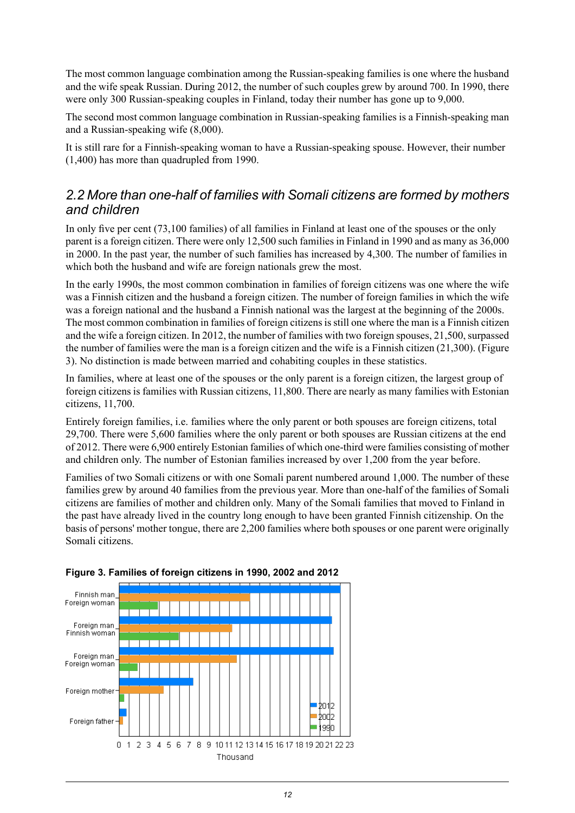The most common language combination among the Russian-speaking families is one where the husband and the wife speak Russian. During 2012, the number of such couples grew by around 700. In 1990, there were only 300 Russian-speaking couples in Finland, today their number has gone up to 9,000.

The second most common language combination in Russian-speaking families is a Finnish-speaking man and a Russian-speaking wife (8,000).

It is still rare for a Finnish-speaking woman to have a Russian-speaking spouse. However, their number (1,400) has more than quadrupled from 1990.

#### <span id="page-11-0"></span>*2.2 More than one-half of families with Somali citizens are formed by mothers and children*

In only five per cent (73,100 families) of all families in Finland at least one of the spouses or the only parent is a foreign citizen. There were only 12,500 such families in Finland in 1990 and as many as 36,000 in 2000. In the past year, the number of such families has increased by 4,300. The number of families in which both the husband and wife are foreign nationals grew the most.

In the early 1990s, the most common combination in families of foreign citizens was one where the wife was a Finnish citizen and the husband a foreign citizen. The number of foreign families in which the wife was a foreign national and the husband a Finnish national was the largest at the beginning of the 2000s. The most common combination in families of foreign citizens is still one where the man is a Finnish citizen and the wife a foreign citizen. In 2012, the number of families with two foreign spouses,  $21,500$ , surpassed the number of families were the man is a foreign citizen and the wife is a Finnish citizen (21,300). (Figure 3). No distinction is made between married and cohabiting couples in these statistics.

In families, where at least one of the spouses or the only parent is a foreign citizen, the largest group of foreign citizens is families with Russian citizens, 11,800. There are nearly as many families with Estonian citizens, 11,700.

Entirely foreign families, i.e. families where the only parent or both spouses are foreign citizens, total 29,700. There were 5,600 families where the only parent or both spouses are Russian citizens at the end of 2012. There were 6,900 entirely Estonian families of which one-third were families consisting of mother and children only. The number of Estonian families increased by over 1,200 from the year before.

<span id="page-11-1"></span>Families of two Somali citizens or with one Somali parent numbered around 1,000. The number of these families grew by around 40 families from the previous year. More than one-half of the families of Somali citizens are families of mother and children only. Many of the Somali families that moved to Finland in the past have already lived in the country long enough to have been granted Finnish citizenship. On the basis of persons' mother tongue, there are 2,200 families where both spouses or one parent were originally Somali citizens.



#### **Figure 3. Families of foreign citizens in 1990, 2002 and 2012**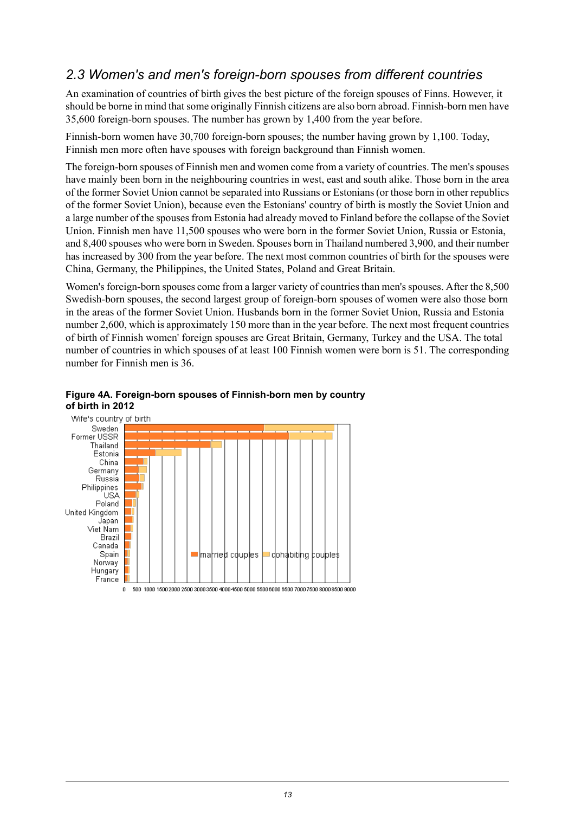#### <span id="page-12-0"></span>*2.3 Women's and men's foreign-born spouses from different countries*

An examination of countries of birth gives the best picture of the foreign spouses of Finns. However, it should be borne in mind thatsome originally Finnish citizens are also born abroad. Finnish-born men have 35,600 foreign-born spouses. The number has grown by 1,400 from the year before.

Finnish-born women have 30,700 foreign-born spouses; the number having grown by 1,100. Today, Finnish men more often have spouses with foreign background than Finnish women.

The foreign-born spouses of Finnish men and women come from a variety of countries. The men's spouses have mainly been born in the neighbouring countries in west, east and south alike. Those born in the area of the former Soviet Union cannot be separated into Russians or Estonians (or those born in other republics of the former Soviet Union), because even the Estonians' country of birth is mostly the Soviet Union and a large number of the spouses from Estonia had already moved to Finland before the collapse of the Soviet Union. Finnish men have 11,500 spouses who were born in the former Soviet Union, Russia or Estonia, and 8,400 spouses who were born in Sweden. Spouses born in Thailand numbered 3,900, and their number has increased by 300 from the year before. The next most common countries of birth for the spouses were China, Germany, the Philippines, the United States, Poland and Great Britain.

Women's foreign-born spouses come from a larger variety of countries than men's spouses. After the 8,500 Swedish-born spouses, the second largest group of foreign-born spouses of women were also those born in the areas of the former Soviet Union. Husbands born in the former Soviet Union, Russia and Estonia number 2,600, which is approximately 150 more than in the year before. The next most frequent countries of birth of Finnish women' foreign spouses are Great Britain, Germany, Turkey and the USA. The total number of countries in which spouses of at least 100 Finnish women were born is 51. The corresponding number for Finnish men is 36.



#### <span id="page-12-1"></span>**Figure 4A. Foreign-born spouses of Finnish-born men by country**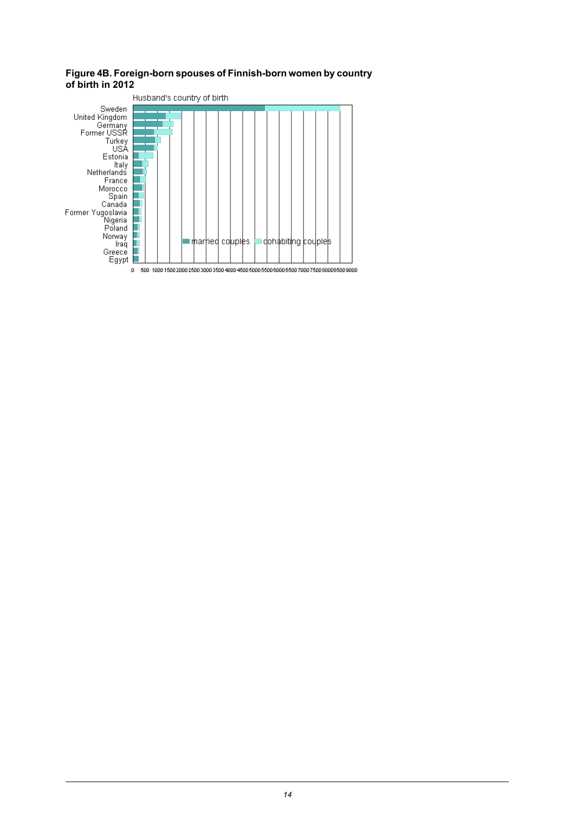#### <span id="page-13-0"></span>**Figure4B. Foreign-born spouses of Finnish-born women bycountry of birth in 2012**

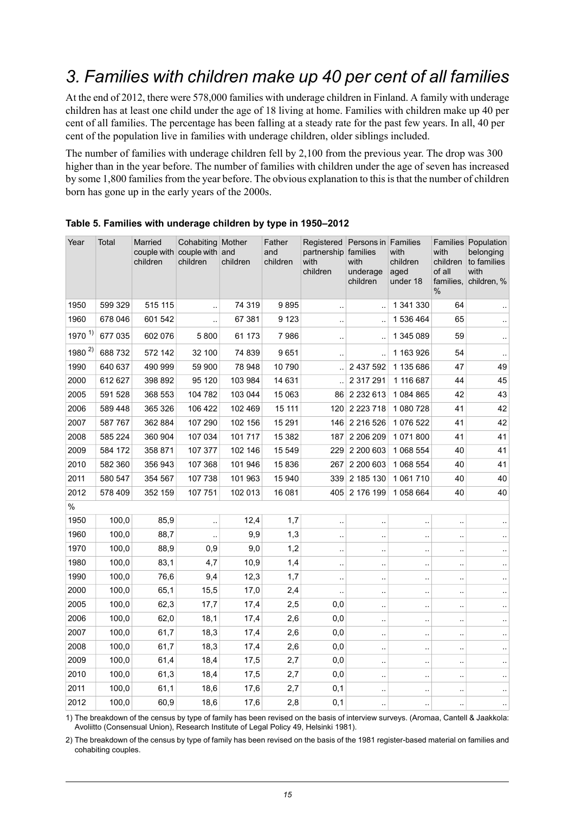## <span id="page-14-0"></span>*3. Families with children make up 40 per cent of all families*

At the end of 2012, there were 578,000 families with underage children in Finland. A family with underage children has at least one child under the age of 18 living at home. Families with children make up 40 per cent of all families. The percentage has been falling at a steady rate for the past few years. In all, 40 per cent of the population live in families with underage children, older siblings included.

The number of families with underage children fell by 2,100 from the previous year. The drop was 300 higher than in the year before. The number of families with children under the age of seven has increased by some 1,800 families from the year before. The obvious explanation to this is that the number of children born has gone up in the early years of the 2000s.

| Year                 | Total   | Married<br>children | Cohabiting Mother<br>couple with couple with and<br>children | children | Father<br>and<br>children | Registered   Persons in   Families<br>partnership families<br>with<br>children | with<br>underage<br>children | with<br>children<br>aged<br>under 18 | with<br>children<br>of all<br>families.<br>% | Families Population<br>belonging<br>to families<br>with<br>children, % |
|----------------------|---------|---------------------|--------------------------------------------------------------|----------|---------------------------|--------------------------------------------------------------------------------|------------------------------|--------------------------------------|----------------------------------------------|------------------------------------------------------------------------|
| 1950                 | 599 329 | 515 115             | $\ddot{\phantom{a}}$                                         | 74 319   | 9895                      | $\ddotsc$                                                                      | $\ddotsc$                    | 1 341 330                            | 64                                           |                                                                        |
| 1960                 | 678 046 | 601 542             |                                                              | 67 381   | 9 1 2 3                   | $\ddotsc$                                                                      |                              | 1 536 464                            | 65                                           |                                                                        |
| $1970$ <sup>1)</sup> | 677 035 | 602 076             | 5800                                                         | 61 173   | 7986                      | $\ddot{\phantom{1}}$                                                           | $\ddotsc$                    | 1 345 089                            | 59                                           | $\ddotsc$                                                              |
| $1980^{2}$           | 688 732 | 572 142             | 32 100                                                       | 74 839   | 9651                      | $\ddotsc$                                                                      |                              | 1 163 926                            | 54                                           | $\ddotsc$                                                              |
| 1990                 | 640 637 | 490 999             | 59 900                                                       | 78 948   | 10790                     |                                                                                | 2 437 592                    | 1 135 686                            | 47                                           | 49                                                                     |
| 2000                 | 612 627 | 398 892             | 95 120                                                       | 103 984  | 14 631                    | $\ddotsc$                                                                      | 2 317 291                    | 1 116 687                            | 44                                           | 45                                                                     |
| 2005                 | 591 528 | 368 553             | 104 782                                                      | 103 044  | 15 063                    |                                                                                | 86 2 2 3 2 6 1 3             | 1084865                              | 42                                           | 43                                                                     |
| 2006                 | 589 448 | 365 326             | 106 422                                                      | 102 469  | 15 111                    |                                                                                | 120 2 223 718                | 1 080 728                            | 41                                           | 42                                                                     |
| 2007                 | 587 767 | 362 884             | 107 290                                                      | 102 156  | 15 291                    |                                                                                | 146 2 216 526                | 1 076 522                            | 41                                           | 42                                                                     |
| 2008                 | 585 224 | 360 904             | 107 034                                                      | 101 717  | 15 382                    | 187                                                                            | 2 206 209                    | 1071800                              | 41                                           | 41                                                                     |
| 2009                 | 584 172 | 358 871             | 107 377                                                      | 102 146  | 15 549                    | 229                                                                            | 2 200 603                    | 1 068 554                            | 40                                           | 41                                                                     |
| 2010                 | 582 360 | 356 943             | 107 368                                                      | 101 946  | 15836                     | 267                                                                            | 2 200 603                    | 1 068 554                            | 40                                           | 41                                                                     |
| 2011                 | 580 547 | 354 567             | 107 738                                                      | 101 963  | 15 940                    | 339                                                                            | 2 185 130                    | 1 061 710                            | 40                                           | 40                                                                     |
| 2012                 | 578 409 | 352 159             | 107 751                                                      | 102 013  | 16 081                    |                                                                                | 405 2 176 199                | 1058664                              | 40                                           | 40                                                                     |
| $\frac{0}{0}$        |         |                     |                                                              |          |                           |                                                                                |                              |                                      |                                              |                                                                        |
| 1950                 | 100,0   | 85,9                | $\ddot{\phantom{a}}$                                         | 12,4     | 1,7                       | $\ddot{\phantom{1}}$                                                           | $\ddotsc$                    | $\ddotsc$                            | $\ddot{\phantom{0}}$                         |                                                                        |
| 1960                 | 100,0   | 88,7                |                                                              | 9,9      | 1,3                       | $\ddot{\phantom{a}}$                                                           | $\ddot{\phantom{0}}$         | $\bar{\mathbf{r}}$ .                 | $\ddot{\phantom{a}}$                         | ٠.                                                                     |
| 1970                 | 100,0   | 88,9                | 0,9                                                          | 9,0      | 1,2                       | $\ddotsc$                                                                      | $\epsilon$ .                 | $\ddotsc$                            | ٠.                                           |                                                                        |
| 1980                 | 100,0   | 83,1                | 4,7                                                          | 10,9     | 1,4                       | $\ddotsc$                                                                      | $\ddotsc$                    | $\ddot{\phantom{a}}$                 | $\ddot{\phantom{a}}$                         |                                                                        |
| 1990                 | 100,0   | 76,6                | 9,4                                                          | 12,3     | 1,7                       | ÷.                                                                             | $\ddot{\phantom{a}}$         | $\ddot{\phantom{a}}$                 | Ω,                                           | $\ddot{\phantom{a}}$                                                   |
| 2000                 | 100,0   | 65,1                | 15,5                                                         | 17,0     | 2,4                       | ă,                                                                             | $\ddotsc$                    | $\bar{\mathbf{r}}$ .                 | $\ddot{\phantom{0}}$                         |                                                                        |
| 2005                 | 100,0   | 62,3                | 17,7                                                         | 17,4     | 2,5                       | 0,0                                                                            | $\ddotsc$                    | $\ddotsc$                            | $\ddotsc$                                    | $\ddot{\phantom{0}}$                                                   |
| 2006                 | 100,0   | 62,0                | 18,1                                                         | 17,4     | 2,6                       | 0,0                                                                            | $\ddot{\phantom{a}}$         | $\bar{\mathbf{r}}$ .                 | ä,                                           |                                                                        |
| 2007                 | 100,0   | 61,7                | 18,3                                                         | 17,4     | 2,6                       | 0,0                                                                            | $\ddotsc$                    | $\ddotsc$                            | $\ddot{\phantom{a}}$                         | $\ddot{\phantom{a}}$                                                   |
| 2008                 | 100,0   | 61,7                | 18,3                                                         | 17,4     | 2,6                       | 0,0                                                                            | $\ddotsc$                    | $\bar{\mathbf{r}}$                   | $\ddotsc$                                    | $\ddot{\phantom{a}}$                                                   |
| 2009                 | 100,0   | 61,4                | 18,4                                                         | 17,5     | 2,7                       | 0,0                                                                            | $\ddotsc$                    | $\bar{\mathbf{r}}$ .                 | $\ddot{\phantom{a}}$                         | $\ddotsc$                                                              |
| 2010                 | 100,0   | 61,3                | 18,4                                                         | 17,5     | 2,7                       | 0,0                                                                            | $\ddotsc$                    | $\ddotsc$                            | $\ddot{\phantom{a}}$                         | $\ddotsc$                                                              |
| 2011                 | 100,0   | 61,1                | 18,6                                                         | 17,6     | 2,7                       | 0,1                                                                            | $\ddot{\phantom{a}}$         | $\ddot{\phantom{a}}$                 | $\ddot{\phantom{a}}$                         | $\ddot{\phantom{a}}$                                                   |
| 2012                 | 100,0   | 60,9                | 18,6                                                         | 17,6     | 2,8                       | 0,1                                                                            | $\ddot{\phantom{0}}$         |                                      |                                              |                                                                        |

<span id="page-14-1"></span>**Table 5. Families with underage children by type in 1950–2012**

1) The breakdown of the census by type of family has been revised on the basis of interview surveys. (Aromaa, Cantell & Jaakkola: Avoliitto (Consensual Union), Research Institute of Legal Policy 49, Helsinki 1981).

2) The breakdown of the census by type of family has been revised on the basis of the 1981 register-based material on families and cohabiting couples.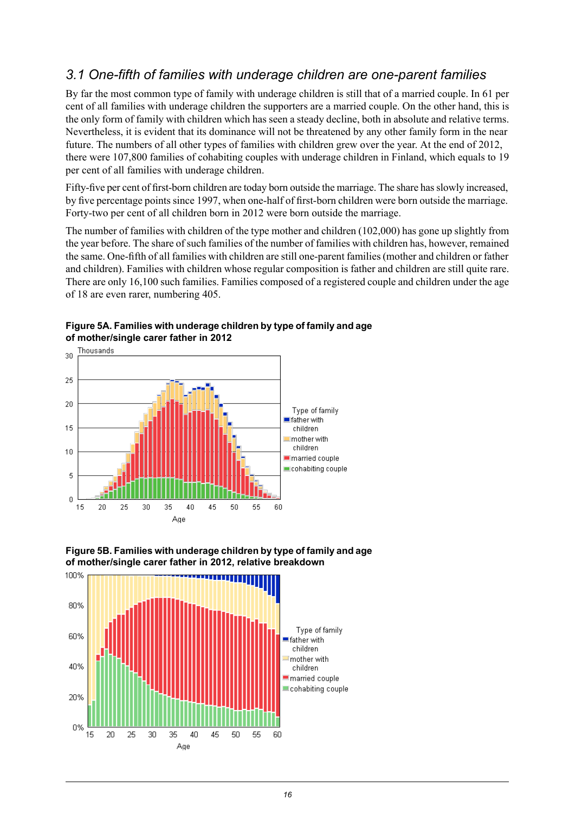#### <span id="page-15-0"></span>*3.1 One-fifth of families with underage children are one-parent families*

By far the most common type of family with underage children is still that of a married couple. In 61 per cent of all families with underage children the supporters are a married couple. On the other hand, this is the only form of family with children which has seen a steady decline, both in absolute and relative terms. Nevertheless, it is evident that its dominance will not be threatened by any other family form in the near future. The numbers of all other types of families with children grew over the year. At the end of 2012, there were 107,800 families of cohabiting couples with underage children in Finland, which equals to 19 per cent of all families with underage children.

Fifty-five per cent of first-born children are today born outside the marriage. The share has slowly increased, by five percentage points since 1997, when one-half of first-born children were born outside the marriage. Forty-two per cent of all children born in 2012 were born outside the marriage.

The number of families with children of the type mother and children (102,000) has gone up slightly from the year before. The share of such families of the number of families with children has, however, remained the same. One-fifth of all families with children are still one-parent families (mother and children or father and children). Families with children whose regular composition is father and children are still quite rare. There are only 16,100 such families. Families composed of a registered couple and children under the age of 18 are even rarer, numbering 405.

<span id="page-15-1"></span>**Figure5A. Families with underagechildren bytype of familyand age of mother/single carer father in 2012**





<span id="page-15-2"></span>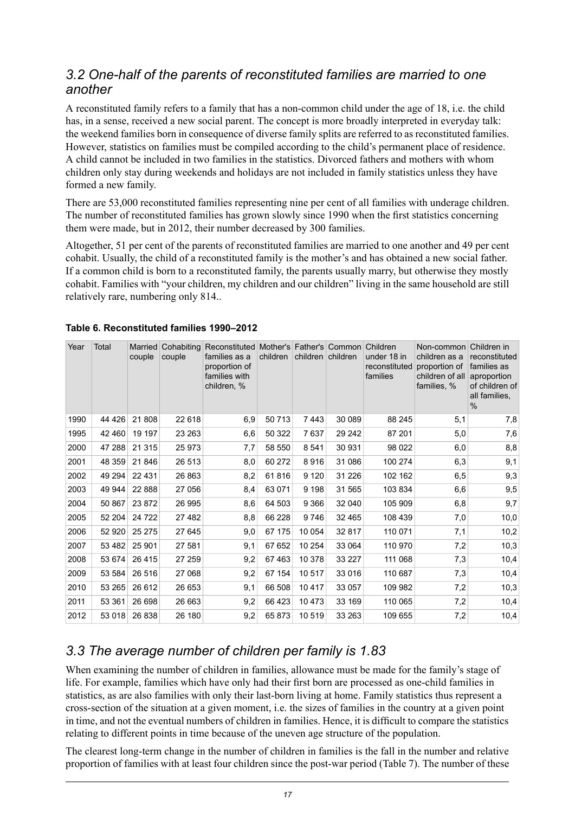#### <span id="page-16-0"></span>*3.2 One-half of the parents of reconstituted families are married to one another*

A reconstituted family refers to a family that has a non-common child under the age of 18, i.e. the child has, in a sense, received a new social parent. The concept is more broadly interpreted in everyday talk: the weekend families born in consequence of diverse family splits are referred to as reconstituted families. However, statistics on families must be compiled according to the child's permanent place of residence. A child cannot be included in two families in the statistics. Divorced fathers and mothers with whom children only stay during weekends and holidays are not included in family statistics unless they have formed a new family.

There are 53,000 reconstituted families representing nine per cent of all families with underage children. The number of reconstituted families has grown slowly since 1990 when the first statistics concerning them were made, but in 2012, their number decreased by 300 families.

Altogether, 51 per cent of the parents of reconstituted families are married to one another and 49 per cent cohabit. Usually, the child of a reconstituted family is the mother's and has obtained a new social father. If a common child is born to a reconstituted family, the parents usually marry, but otherwise they mostly cohabit. Families with "your children, my children and our children" living in the same household are still relatively rare, numbering only 814..

| Year | Total   | couple  | Married Cohabiting<br>couple | Reconstituted Mother's Father's Common Children<br>families as a<br>proportion of<br>families with<br>children, % | children |         | children children | under 18 in<br>reconstituted<br>families | Non-common<br>children as a<br>proportion of<br>children of all<br>families, % | Children in<br>reconstituted<br>families as<br>aproportion<br>of children of<br>all families. |
|------|---------|---------|------------------------------|-------------------------------------------------------------------------------------------------------------------|----------|---------|-------------------|------------------------------------------|--------------------------------------------------------------------------------|-----------------------------------------------------------------------------------------------|
|      |         |         |                              |                                                                                                                   |          |         |                   |                                          |                                                                                | $\frac{0}{0}$                                                                                 |
| 1990 | 44 4 26 | 21 808  | 22 618                       | 6,9                                                                                                               | 50713    | 7443    | 30 089            | 88 245                                   | 5,1                                                                            | 7,8                                                                                           |
| 1995 | 42 460  | 19 197  | 23 263                       | 6,6                                                                                                               | 50 322   | 7637    | 29 24 2           | 87 201                                   | 5,0                                                                            | 7,6                                                                                           |
| 2000 | 47 288  | 21 3 15 | 25 973                       | 7,7                                                                                                               | 58 550   | 8541    | 30 931            | 98 0 22                                  | 6,0                                                                            | 8,8                                                                                           |
| 2001 | 48 359  | 21 846  | 26 513                       | 8,0                                                                                                               | 60 272   | 8916    | 31 086            | 100 274                                  | 6,3                                                                            | 9,1                                                                                           |
| 2002 | 49 294  | 22 4 31 | 26 863                       | 8,2                                                                                                               | 61816    | 9 1 2 0 | 31 2 26           | 102 162                                  | 6,5                                                                            | 9,3                                                                                           |
| 2003 | 49 944  | 22 8 88 | 27 056                       | 8,4                                                                                                               | 63 071   | 9 1 9 8 | 31 565            | 103 834                                  | 6,6                                                                            | 9,5                                                                                           |
| 2004 | 50 867  | 23 872  | 26 995                       | 8,6                                                                                                               | 64 503   | 9 3 6 6 | 32 040            | 105 909                                  | 6,8                                                                            | 9,7                                                                                           |
| 2005 | 52 204  | 24 7 22 | 27 482                       | 8,8                                                                                                               | 66 228   | 9746    | 32 4 65           | 108 439                                  | 7,0                                                                            | 10,0                                                                                          |
| 2006 | 52 920  | 25 275  | 27 645                       | 9,0                                                                                                               | 67 175   | 10 054  | 32 817            | 110 071                                  | 7,1                                                                            | 10,2                                                                                          |
| 2007 | 53 482  | 25 901  | 27 581                       | 9,1                                                                                                               | 67 652   | 10 254  | 33 064            | 110 970                                  | 7,2                                                                            | 10,3                                                                                          |
| 2008 | 53 674  | 26 4 15 | 27 259                       | 9,2                                                                                                               | 67463    | 10 378  | 33 227            | 111 068                                  | 7,3                                                                            | 10,4                                                                                          |
| 2009 | 53 584  | 26 516  | 27 068                       | 9,2                                                                                                               | 67 154   | 10517   | 33 016            | 110 687                                  | 7,3                                                                            | 10,4                                                                                          |
| 2010 | 53 265  | 26 612  | 26 653                       | 9,1                                                                                                               | 66 508   | 10 417  | 33 057            | 109 982                                  | 7,2                                                                            | 10,3                                                                                          |
| 2011 | 53 361  | 26 698  | 26 663                       | 9,2                                                                                                               | 66 423   | 10 473  | 33 169            | 110 065                                  | 7,2                                                                            | 10,4                                                                                          |
| 2012 | 53 018  | 26 838  | 26 180                       | 9,2                                                                                                               | 65873    | 10519   | 33 263            | 109 655                                  | 7,2                                                                            | 10,4                                                                                          |

#### <span id="page-16-2"></span>**Table 6. Reconstituted families 1990–2012**

#### <span id="page-16-1"></span>*3.3 The average number of children per family is 1.83*

When examining the number of children in families, allowance must be made for the family's stage of life. For example, families which have only had their first born are processed as one-child families in statistics, as are also families with only their last-born living at home. Family statistics thus represent a cross-section of the situation at a given moment, i.e. the sizes of families in the country at a given point in time, and not the eventual numbers of children in families. Hence, it is difficult to compare the statistics relating to different points in time because of the uneven age structure of the population.

The clearest long-term change in the number of children in families is the fall in the number and relative proportion of families with at least four children since the post-war period (Table 7). The number of these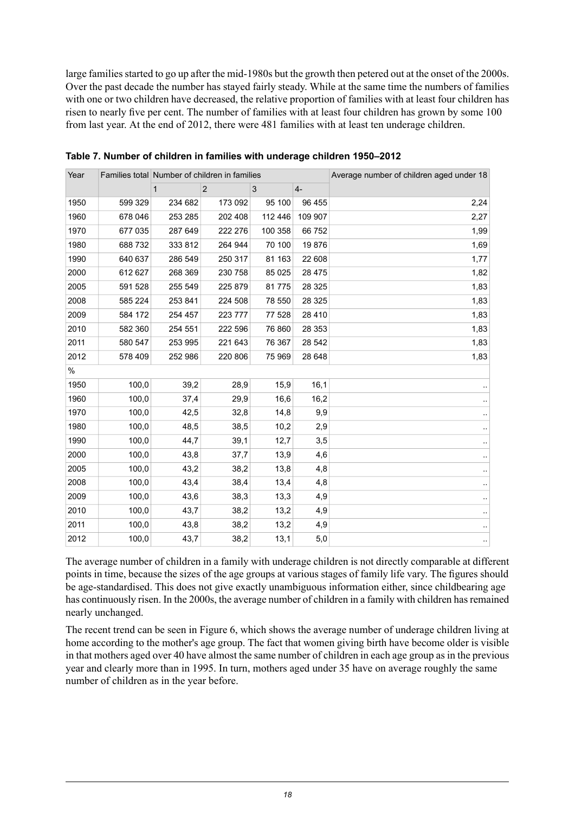large families started to go up after the mid-1980s but the growth then petered out at the onset of the 2000s. Over the past decade the number has stayed fairly steady. While at the same time the numbers of families with one or two children have decreased, the relative proportion of families with at least four children has risen to nearly five per cent. The number of families with at least four children has grown by some 100 from last year. At the end of 2012, there were 481 families with at least ten underage children.

| Year | Families total Number of children in families |              |             |         |          | Average number of children aged under 18 |
|------|-----------------------------------------------|--------------|-------------|---------|----------|------------------------------------------|
|      |                                               | $\mathbf{1}$ | $\mathbf 2$ | 3       | $4-$     |                                          |
| 1950 | 599 329                                       | 234 682      | 173 092     | 95 100  | 96 455   | 2,24                                     |
| 1960 | 678 046                                       | 253 285      | 202 408     | 112 446 | 109 907  | 2,27                                     |
| 1970 | 677 035                                       | 287 649      | 222 276     | 100 358 | 66752    | 1,99                                     |
| 1980 | 688 732                                       | 333 812      | 264 944     | 70 100  | 19876    | 1,69                                     |
| 1990 | 640 637                                       | 286 549      | 250 317     | 81 163  | 22 608   | 1,77                                     |
| 2000 | 612 627                                       | 268 369      | 230 758     | 85 0 25 | 28 4 7 5 | 1,82                                     |
| 2005 | 591 528                                       | 255 549      | 225 879     | 81775   | 28 3 25  | 1,83                                     |
| 2008 | 585 224                                       | 253 841      | 224 508     | 78 550  | 28 3 25  | 1,83                                     |
| 2009 | 584 172                                       | 254 457      | 223 777     | 77 528  | 28 4 10  | 1,83                                     |
| 2010 | 582 360                                       | 254 551      | 222 596     | 76 860  | 28 353   | 1,83                                     |
| 2011 | 580 547                                       | 253 995      | 221 643     | 76 367  | 28 542   | 1,83                                     |
| 2012 | 578 409                                       | 252 986      | 220 806     | 75 969  | 28 648   | 1,83                                     |
| $\%$ |                                               |              |             |         |          |                                          |
| 1950 | 100,0                                         | 39,2         | 28,9        | 15,9    | 16,1     |                                          |
| 1960 | 100,0                                         | 37,4         | 29,9        | 16,6    | 16,2     |                                          |
| 1970 | 100,0                                         | 42,5         | 32,8        | 14,8    | 9,9      |                                          |
| 1980 | 100,0                                         | 48,5         | 38,5        | 10,2    | 2,9      |                                          |
| 1990 | 100,0                                         | 44,7         | 39,1        | 12,7    | 3,5      |                                          |
| 2000 | 100,0                                         | 43,8         | 37,7        | 13,9    | 4,6      |                                          |
| 2005 | 100,0                                         | 43,2         | 38,2        | 13,8    | 4,8      |                                          |
| 2008 | 100,0                                         | 43,4         | 38,4        | 13,4    | 4,8      |                                          |
| 2009 | 100,0                                         | 43,6         | 38,3        | 13,3    | 4,9      |                                          |
| 2010 | 100,0                                         | 43,7         | 38,2        | 13,2    | 4,9      |                                          |
| 2011 | 100,0                                         | 43,8         | 38,2        | 13,2    | 4,9      |                                          |
| 2012 | 100,0                                         | 43,7         | 38,2        | 13,1    | 5,0      |                                          |

<span id="page-17-0"></span>**Table 7. Number of children in families with underage children 1950–2012**

The average number of children in a family with underage children is not directly comparable at different points in time, because the sizes of the age groups at various stages of family life vary. The figures should be age-standardised. This does not give exactly unambiguous information either, since childbearing age has continuously risen. In the 2000s, the average number of children in a family with children has remained nearly unchanged.

The recent trend can be seen in Figure 6, which shows the average number of underage children living at home according to the mother's age group. The fact that women giving birth have become older is visible in that mothers aged over 40 have almost the same number of children in each age group as in the previous year and clearly more than in 1995. In turn, mothers aged under 35 have on average roughly the same number of children as in the year before.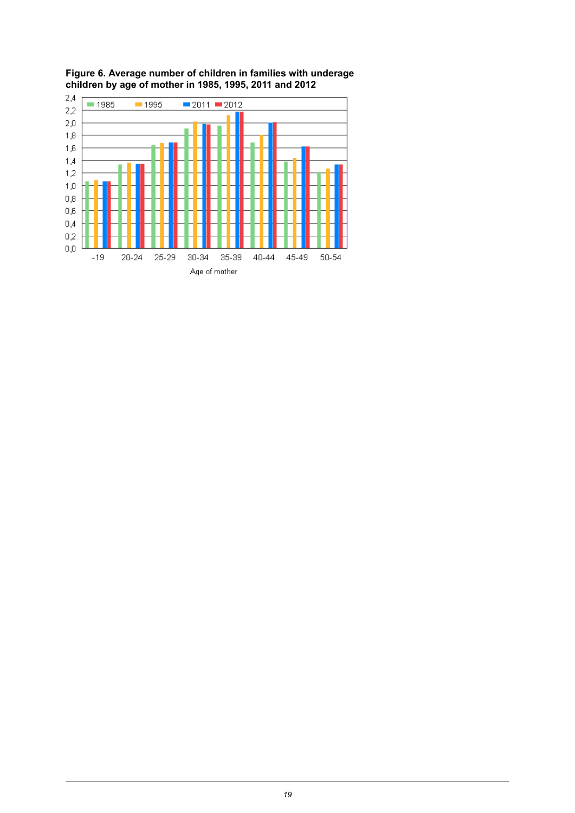

<span id="page-18-0"></span>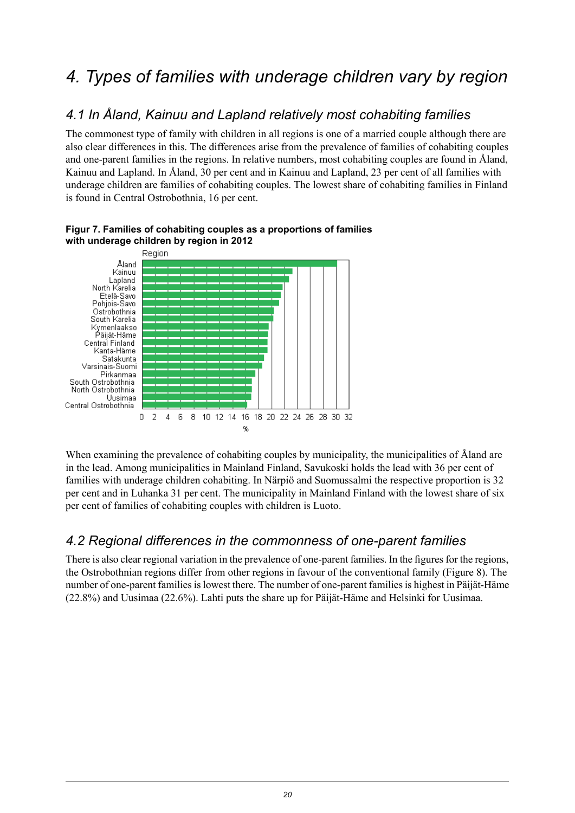## <span id="page-19-0"></span>*4. Types of families with underage children vary by region*

#### <span id="page-19-1"></span>*4.1 In Åland, Kainuu and Lapland relatively most cohabiting families*

The commonest type of family with children in all regions is one of a married couple although there are also clear differences in this. The differences arise from the prevalence of families of cohabiting couples and one-parent families in the regions. In relative numbers, most cohabiting couples are found in Åland, Kainuu and Lapland. In Åland, 30 per cent and in Kainuu and Lapland, 23 per cent of all families with underage children are families of cohabiting couples. The lowest share of cohabiting families in Finland is found in Central Ostrobothnia, 16 per cent.



#### <span id="page-19-3"></span>**Figur 7. Families of cohabiting couples as a proportions of families with underage children by region in 2012**

<span id="page-19-2"></span>When examining the prevalence of cohabiting couples by municipality, the municipalities of Åland are in the lead. Among municipalities in Mainland Finland, Savukoski holds the lead with 36 per cent of families with underage children cohabiting. In Närpiö and Suomussalmi the respective proportion is 32 per cent and in Luhanka 31 per cent. The municipality in Mainland Finland with the lowest share of six per cent of families of cohabiting couples with children is Luoto.

#### *4.2 Regional differences in the commonness of one-parent families*

There is also clear regional variation in the prevalence of one-parent families. In the figures for the regions, the Ostrobothnian regions differ from other regions in favour of the conventional family (Figure 8). The number of one-parent familiesislowest there. The number of one-parent familiesis highest in Päijät-Häme (22.8%) and Uusimaa (22.6%). Lahti puts the share up for Päijät-Häme and Helsinki for Uusimaa.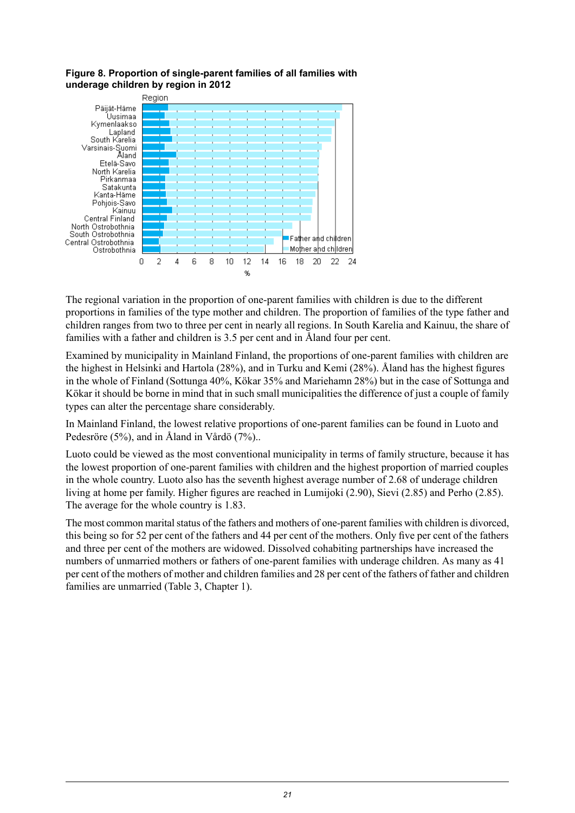

#### <span id="page-20-0"></span>**Figure 8. Proportion of single-parent families of all families with underage children by region in 2012**

The regional variation in the proportion of one-parent families with children is due to the different proportions in families of the type mother and children. The proportion of families of the type father and children ranges from two to three per cent in nearly all regions. In South Karelia and Kainuu, the share of families with a father and children is 3.5 per cent and in Åland four per cent.

Examined by municipality in Mainland Finland, the proportions of one-parent families with children are the highest in Helsinki and Hartola (28%), and in Turku and Kemi (28%). Åland has the highest figures in the whole of Finland (Sottunga 40%, Kökar 35% and Mariehamn 28%) but in the case of Sottunga and Kökar it should be borne in mind that in such small municipalities the difference of just a couple of family types can alter the percentage share considerably.

In Mainland Finland, the lowest relative proportions of one-parent families can be found in Luoto and Pedesröre (5%), and in Åland in Vårdö (7%)..

Luoto could be viewed as the most conventional municipality in terms of family structure, because it has the lowest proportion of one-parent families with children and the highest proportion of married couples in the whole country. Luoto also has the seventh highest average number of 2.68 of underage children living at home per family. Higher figures are reached in Lumijoki (2.90), Sievi (2.85) and Perho (2.85). The average for the whole country is 1.83.

The most common marital status of the fathers and mothers of one-parent families with children is divorced, this being so for 52 per cent of the fathers and 44 per cent of the mothers. Only five per cent of the fathers and three per cent of the mothers are widowed. Dissolved cohabiting partnerships have increased the numbers of unmarried mothers or fathers of one-parent families with underage children. As many as 41 per cent of the mothers of mother and children families and 28 per cent of the fathers of father and children families are unmarried (Table 3, Chapter 1).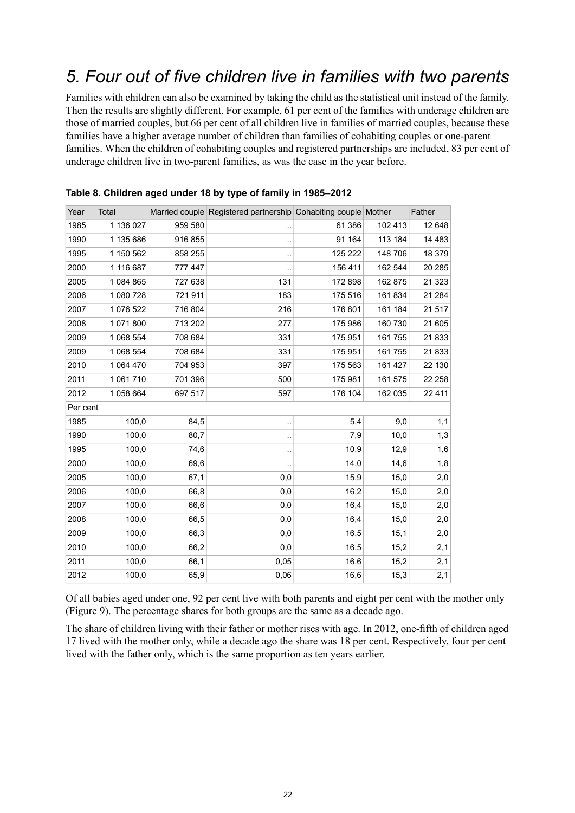## <span id="page-21-0"></span>*5. Four out of five children live in families with two parents*

Families with children can also be examined by taking the child as the statistical unit instead of the family. Then the results are slightly different. For example, 61 per cent of the families with underage children are those of married couples, but 66 per cent of all children live in families of married couples, because these families have a higher average number of children than families of cohabiting couples or one-parent families. When the children of cohabiting couples and registered partnerships are included, 83 per cent of underage children live in two-parent families, as was the case in the year before.

| Year     | Total     |         | Married couple Registered partnership Cohabiting couple Mother |         |         | Father   |
|----------|-----------|---------|----------------------------------------------------------------|---------|---------|----------|
| 1985     | 1 136 027 | 959 580 | .,                                                             | 61 386  | 102 413 | 12 648   |
| 1990     | 1 135 686 | 916 855 |                                                                | 91 164  | 113 184 | 14 4 8 3 |
| 1995     | 1 150 562 | 858 255 | $\ddot{\phantom{0}}$                                           | 125 222 | 148 706 | 18 379   |
| 2000     | 1 116 687 | 777 447 |                                                                | 156 411 | 162 544 | 20 285   |
| 2005     | 1 084 865 | 727 638 | 131                                                            | 172 898 | 162 875 | 21 3 23  |
| 2006     | 1 080 728 | 721 911 | 183                                                            | 175 516 | 161 834 | 21 284   |
| 2007     | 1 076 522 | 716 804 | 216                                                            | 176 801 | 161 184 | 21 517   |
| 2008     | 1 071 800 | 713 202 | 277                                                            | 175 986 | 160 730 | 21 605   |
| 2009     | 1 068 554 | 708 684 | 331                                                            | 175 951 | 161 755 | 21833    |
| 2009     | 1 068 554 | 708 684 | 331                                                            | 175 951 | 161 755 | 21833    |
| 2010     | 1 064 470 | 704 953 | 397                                                            | 175 563 | 161 427 | 22 130   |
| 2011     | 1 061 710 | 701 396 | 500                                                            | 175 981 | 161 575 | 22 258   |
| 2012     | 1 058 664 | 697 517 | 597                                                            | 176 104 | 162 035 | 22 4 11  |
| Per cent |           |         |                                                                |         |         |          |
| 1985     | 100,0     | 84,5    | $\cdot$                                                        | 5,4     | 9,0     | 1,1      |
| 1990     | 100,0     | 80,7    |                                                                | 7,9     | 10,0    | 1,3      |
| 1995     | 100,0     | 74,6    | $\ddot{\phantom{0}}$                                           | 10,9    | 12,9    | 1,6      |
| 2000     | 100,0     | 69,6    |                                                                | 14,0    | 14,6    | 1,8      |
| 2005     | 100,0     | 67,1    | 0,0                                                            | 15,9    | 15,0    | 2,0      |
| 2006     | 100,0     | 66,8    | 0,0                                                            | 16,2    | 15,0    | 2,0      |
| 2007     | 100,0     | 66,6    | 0,0                                                            | 16,4    | 15,0    | 2,0      |
| 2008     | 100,0     | 66,5    | 0,0                                                            | 16,4    | 15,0    | 2,0      |
| 2009     | 100,0     | 66,3    | 0,0                                                            | 16,5    | 15,1    | 2,0      |
| 2010     | 100,0     | 66,2    | 0,0                                                            | 16,5    | 15,2    | 2,1      |
| 2011     | 100,0     | 66,1    | 0,05                                                           | 16,6    | 15,2    | 2,1      |
| 2012     | 100,0     | 65,9    | 0,06                                                           | 16,6    | 15,3    | 2,1      |

#### <span id="page-21-1"></span>**Table 8. Children aged under 18 by type of family in 1985–2012**

Of all babies aged under one, 92 per cent live with both parents and eight per cent with the mother only (Figure 9). The percentage shares for both groups are the same as a decade ago.

The share of children living with their father or mother rises with age. In 2012, one-fifth of children aged lived with the mother only, while a decade ago the share was 18 per cent. Respectively, four per cent lived with the father only, which is the same proportion as ten years earlier.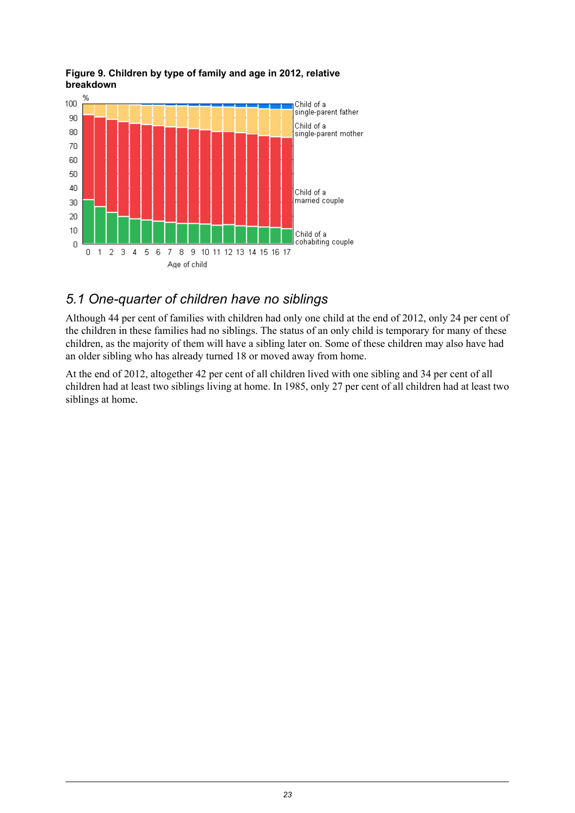

#### <span id="page-22-1"></span>**Figure 9. Children by type of family and age in 2012, relative breakdown**

#### <span id="page-22-0"></span>*5.1 One-quarter of children have no siblings*

Although 44 per cent of families with children had only one child at the end of 2012, only 24 per cent of the children in these families had no siblings. The status of an only child is temporary for many of these children, as the majority of them will have a sibling later on. Some of these children may also have had an older sibling who has already turned 18 or moved away from home.

At the end of 2012, altogether 42 per cent of all children lived with one sibling and 34 per cent of all children had at least two siblings living at home. In 1985, only 27 per cent of all children had at least two siblings at home.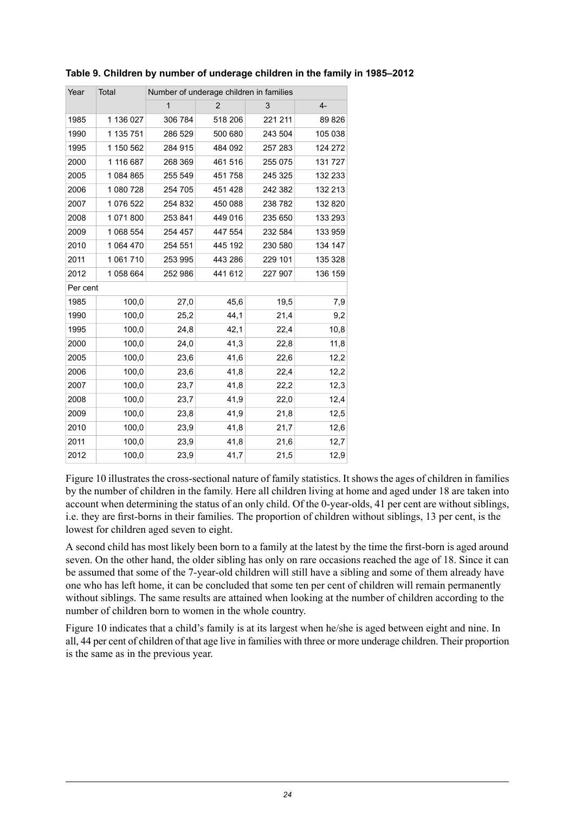| Year     | Total     | Number of underage children in families |                |         |         |  |  |  |  |  |  |
|----------|-----------|-----------------------------------------|----------------|---------|---------|--|--|--|--|--|--|
|          |           | $\mathbf{1}$                            | $\overline{2}$ | 3       | $4-$    |  |  |  |  |  |  |
| 1985     | 1 136 027 | 306 784                                 | 518 206        | 221 211 | 89 826  |  |  |  |  |  |  |
| 1990     | 1 135 751 | 286 529                                 | 500 680        | 243 504 | 105 038 |  |  |  |  |  |  |
| 1995     | 1 150 562 | 284 915                                 | 484 092        | 257 283 | 124 272 |  |  |  |  |  |  |
| 2000     | 1 116 687 | 268 369                                 | 461 516        | 255 075 | 131 727 |  |  |  |  |  |  |
| 2005     | 1 084 865 | 255 549                                 | 451 758        | 245 325 | 132 233 |  |  |  |  |  |  |
| 2006     | 1 080 728 | 254 705                                 | 451 428        | 242 382 | 132 213 |  |  |  |  |  |  |
| 2007     | 1 076 522 | 254 832                                 | 450 088        | 238 782 | 132 820 |  |  |  |  |  |  |
| 2008     | 1 071 800 | 253 841                                 | 449 016        | 235 650 | 133 293 |  |  |  |  |  |  |
| 2009     | 1 068 554 | 254 457                                 | 447 554        | 232 584 | 133 959 |  |  |  |  |  |  |
| 2010     | 1 064 470 | 254 551                                 | 445 192        | 230 580 | 134 147 |  |  |  |  |  |  |
| 2011     | 1 061 710 | 253 995                                 | 443 286        | 229 101 | 135 328 |  |  |  |  |  |  |
| 2012     | 1058664   | 252 986                                 | 441 612        | 227 907 | 136 159 |  |  |  |  |  |  |
| Per cent |           |                                         |                |         |         |  |  |  |  |  |  |
| 1985     | 100,0     | 27,0                                    | 45,6           | 19,5    | 7,9     |  |  |  |  |  |  |
| 1990     | 100,0     | 25,2                                    | 44,1           | 21,4    | 9,2     |  |  |  |  |  |  |
| 1995     | 100,0     | 24,8                                    | 42,1           | 22,4    | 10,8    |  |  |  |  |  |  |
| 2000     | 100,0     | 24,0                                    | 41,3           | 22,8    | 11,8    |  |  |  |  |  |  |
| 2005     | 100,0     | 23,6                                    | 41,6           | 22,6    | 12,2    |  |  |  |  |  |  |
| 2006     | 100,0     | 23,6                                    | 41,8           | 22,4    | 12,2    |  |  |  |  |  |  |
| 2007     | 100,0     | 23,7                                    | 41,8           | 22,2    | 12,3    |  |  |  |  |  |  |
| 2008     | 100,0     | 23,7                                    | 41,9           | 22,0    | 12,4    |  |  |  |  |  |  |
| 2009     | 100,0     | 23,8                                    | 41,9           | 21,8    | 12,5    |  |  |  |  |  |  |
| 2010     | 100,0     | 23,9                                    | 41,8           | 21,7    | 12,6    |  |  |  |  |  |  |
| 2011     | 100,0     | 23,9                                    | 41,8           | 21,6    | 12,7    |  |  |  |  |  |  |
| 2012     | 100,0     | 23,9                                    | 41,7           | 21,5    | 12,9    |  |  |  |  |  |  |

<span id="page-23-0"></span>**Table 9. Children by number of underage children in the family in 1985–2012**

Figure 10 illustrates the cross-sectional nature of family statistics. It shows the ages of children in families by the number of children in the family. Here all children living at home and aged under 18 are taken into account when determining the status of an only child. Of the 0-year-olds, 41 per cent are without siblings, i.e. they are first-borns in their families. The proportion of children without siblings, 13 per cent, is the lowest for children aged seven to eight.

A second child has most likely been born to a family at the latest by the time the first-born is aged around seven. On the other hand, the older sibling has only on rare occasions reached the age of 18. Since it can be assumed that some of the 7-year-old children will still have a sibling and some of them already have one who has left home, it can be concluded that some ten per cent of children will remain permanently without siblings. The same results are attained when looking at the number of children according to the number of children born to women in the whole country.

Figure 10 indicates that a child's family is at its largest when he/she is aged between eight and nine. In all, 44 per cent of children of that age live in families with three or more underage children. Their proportion is the same as in the previous year.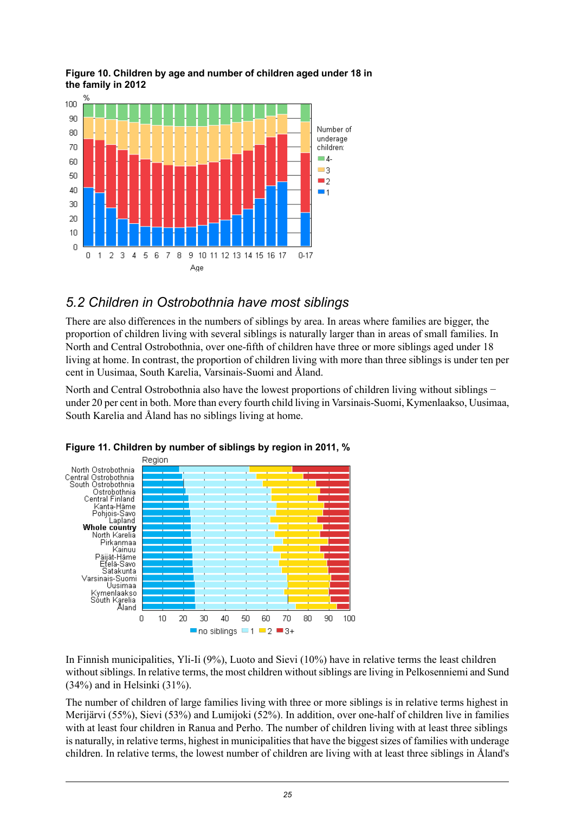

#### <span id="page-24-1"></span>**Figure 10. Children by age and number of children aged under 18 in the family in 2012**

#### <span id="page-24-0"></span>*5.2 Children in Ostrobothnia have most siblings*

There are also differences in the numbers of siblings by area. In areas where families are bigger, the proportion of children living with several siblings is naturally larger than in areas of small families. In North and Central Ostrobothnia, over one-fifth of children have three or more siblings aged under 18 living at home. In contrast, the proportion of children living with more than three siblings is under ten per cent in Uusimaa, South Karelia, Varsinais-Suomi and Åland.

<span id="page-24-2"></span>North and Central Ostrobothnia also have the lowest proportions of children living without siblings − under 20 per cent in both. More than every fourth child living in Varsinais-Suomi, Kymenlaakso, Uusimaa, South Karelia and Åland has no siblings living at home.



**Figure 11. Children by number of siblings by region in 2011, %**

In Finnish municipalities, Yli-Ii (9%), Luoto and Sievi (10%) have in relative terms the least children without siblings. In relative terms, the most children without siblings are living in Pelkosenniemi and Sund (34%) and in Helsinki (31%).

The number of children of large families living with three or more siblings is in relative terms highest in Merijärvi (55%), Sievi (53%) and Lumijoki (52%). In addition, over one-half of children live in families with at least four children in Ranua and Perho. The number of children living with at least three siblings is naturally, in relative terms, highest in municipalities that have the biggest sizes of families with underage children. In relative terms, the lowest number of children are living with at least three siblings in Åland's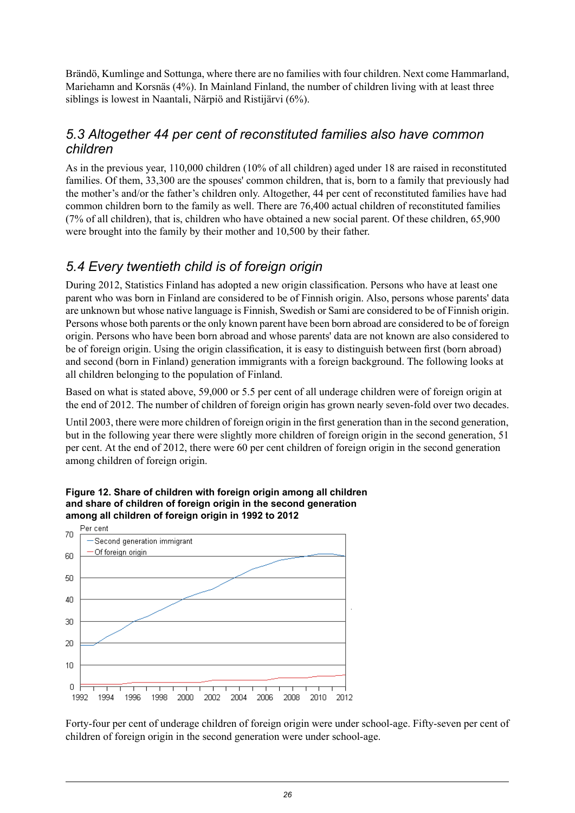Brändö, Kumlinge and Sottunga, where there are no families with four children. Next come Hammarland, Mariehamn and Korsnäs (4%). In Mainland Finland, the number of children living with at least three siblings is lowest in Naantali, Närpiö and Ristijärvi (6%).

#### <span id="page-25-0"></span>*5.3 Altogether 44 per cent of reconstituted families also have common children*

As in the previous year, 110,000 children (10% of all children) aged under 18 are raised in reconstituted families. Of them, 33,300 are the spouses' common children, that is, born to a family that previously had the mother's and/or the father's children only. Altogether, 44 per cent of reconstituted families have had common children born to the family as well. There are 76,400 actual children of reconstituted families (7% of all children), that is, children who have obtained a new social parent. Of these children, 65,900 were brought into the family by their mother and 10,500 by their father.

#### <span id="page-25-1"></span>*5.4 Every twentieth child is of foreign origin*

During 2012, Statistics Finland has adopted a new origin classification. Persons who have at least one parent who was born in Finland are considered to be of Finnish origin. Also, persons whose parents' data are unknown but whose native language is Finnish, Swedish or Sami are considered to be of Finnish origin. Persons whose both parents or the only known parent have been born abroad are considered to be of foreign origin. Persons who have been born abroad and whose parents' data are not known are also considered to be of foreign origin. Using the origin classification, it is easy to distinguish between first (born abroad) and second (born in Finland) generation immigrants with a foreign background. The following looks at all children belonging to the population of Finland.

Based on what is stated above, 59,000 or 5.5 per cent of all underage children were of foreign origin at the end of 2012. The number of children of foreign origin has grown nearly seven-fold over two decades.

<span id="page-25-2"></span>Until 2003, there were more children of foreign origin in the first generation than in the second generation, but in the following year there were slightly more children of foreign origin in the second generation, 51 per cent. At the end of 2012, there were 60 per cent children of foreign origin in the second generation among children of foreign origin.



**Figure 12. Share of children with foreign origin among all children and share of children of foreign origin in the second generation among all children of foreign origin in 1992 to 2012**

Forty-four per cent of underage children of foreign origin were under school-age. Fifty-seven per cent of children of foreign origin in the second generation were under school-age.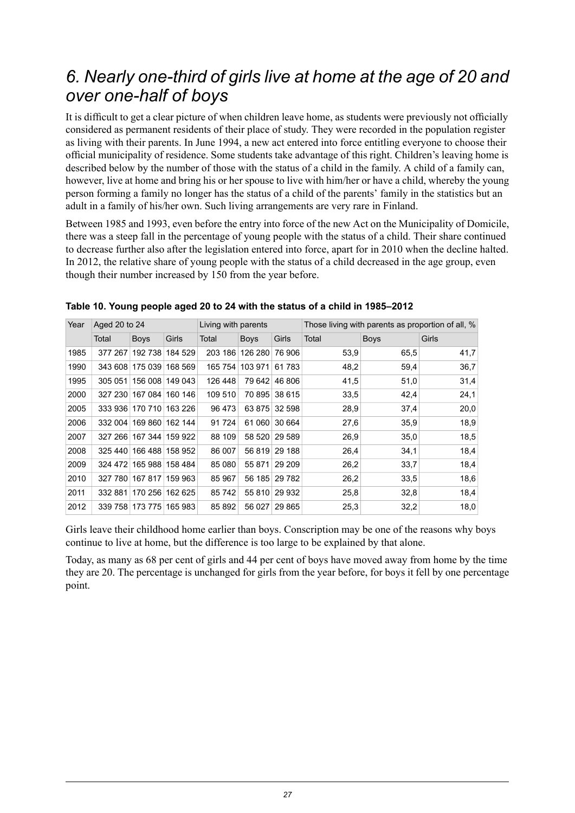## <span id="page-26-0"></span>*6. Nearly one-third of girls live at home at the age of 20 and over one-half of boys*

It is difficult to get a clear picture of when children leave home, as students were previously not officially considered as permanent residents of their place of study. They were recorded in the population register as living with their parents. In June 1994, a new act entered into force entitling everyone to choose their official municipality of residence. Some students take advantage of this right. Children's leaving home is described below by the number of those with the status of a child in the family. A child of a family can, however, live at home and bring his or her spouse to live with him/her or have a child, whereby the young person forming a family no longer has the status of a child of the parents' family in the statistics but an adult in a family of his/her own. Such living arrangements are very rare in Finland.

Between 1985 and 1993, even before the entry into force of the new Act on the Municipality of Domicile, there was a steep fall in the percentage of young people with the status of a child. Their share continued to decrease further also after the legislation entered into force, apart for in 2010 when the decline halted. In 2012, the relative share of young people with the status of a child decreased in the age group, even though their number increased by 150 from the year before.

| Year | Aged 20 to 24 |                         |         | Living with parents |                 |         | Those living with parents as proportion of all, % |             |       |  |  |
|------|---------------|-------------------------|---------|---------------------|-----------------|---------|---------------------------------------------------|-------------|-------|--|--|
|      | Total         | <b>Boys</b>             | Girls   | Total               | <b>Boys</b>     | Girls   | Total                                             | <b>Boys</b> | Girls |  |  |
| 1985 |               | 377 267 192 738         | 184 529 |                     | 203 186 126 280 | 76 906  | 53.9                                              | 65.5        | 41,7  |  |  |
| 1990 |               | 343 608 175 039         | 168 569 | 165 754             | 103 971         | 61 783  | 48,2                                              | 59,4        | 36,7  |  |  |
| 1995 | 305 051       | 156 008                 | 149 043 | 126 448             | 79 642          | 46 806  | 41,5                                              | 51,0        | 31,4  |  |  |
| 2000 |               | 327 230 167 084 160 146 |         | 109 510             | 70 895          | 38 615  | 33.5                                              | 42,4        | 24,1  |  |  |
| 2005 |               | 333 936 170 710         | 163 226 | 96 473              | 63 875          | 32 598  | 28,9                                              | 37,4        | 20,0  |  |  |
| 2006 | 332 004       | 169 860                 | 162 144 | 91 7 24             | 61 060          | 30 664  | 27,6                                              | 35,9        | 18,9  |  |  |
| 2007 |               | 327 266 167 344 159 922 |         | 88 109              | 58 520          | 29 589  | 26,9                                              | 35.0        | 18,5  |  |  |
| 2008 |               | 325 440 166 488         | 158 952 | 86 007              | 56 819          | 29 188  | 26,4                                              | 34,1        | 18,4  |  |  |
| 2009 |               | 324 472 165 988         | 158 484 | 85 080              | 55 871          | 29 209  | 26,2                                              | 33,7        | 18,4  |  |  |
| 2010 |               | 327 780 167 817         | 159 963 | 85 967              | 56 185          | 29 7 82 | 26,2                                              | 33.5        | 18,6  |  |  |
| 2011 | 332881        | 170 256                 | 162 625 | 85 742              | 55 810          | 29 932  | 25,8                                              | 32,8        | 18,4  |  |  |
| 2012 |               | 339 758 173 775         | 165 983 | 85 892              | 56 027          | 29 8 65 | 25,3                                              | 32,2        | 18,0  |  |  |

<span id="page-26-1"></span>

| Table 10. Young people aged 20 to 24 with the status of a child in 1985-2012 |  |
|------------------------------------------------------------------------------|--|
|------------------------------------------------------------------------------|--|

Girls leave their childhood home earlier than boys. Conscription may be one of the reasons why boys continue to live at home, but the difference is too large to be explained by that alone.

Today, as many as 68 per cent of girls and 44 per cent of boys have moved away from home by the time they are 20. The percentage is unchanged for girls from the year before, for boys it fell by one percentage point.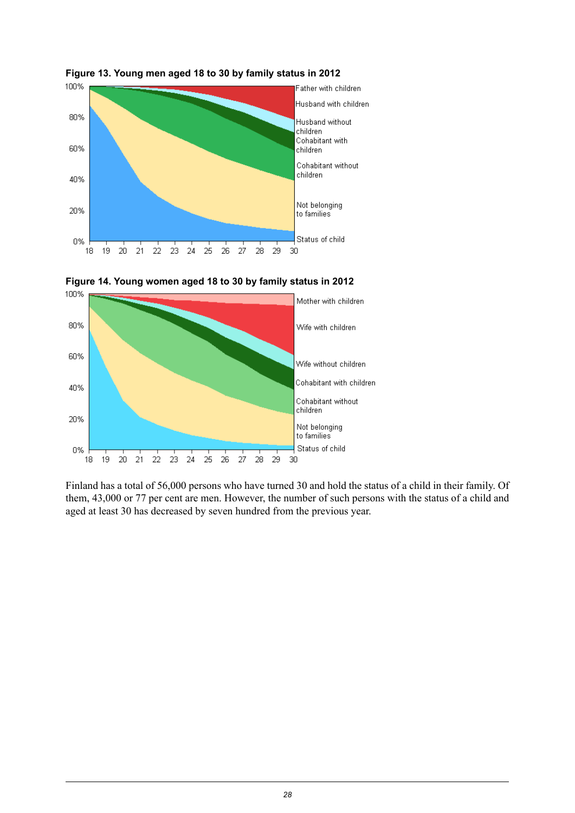

<span id="page-27-0"></span>



<span id="page-27-1"></span>

Finland has a total of 56,000 persons who have turned 30 and hold the status of a child in their family. Of them, 43,000 or 77 per cent are men. However, the number of such persons with the status of a child and aged at least 30 has decreased by seven hundred from the previous year.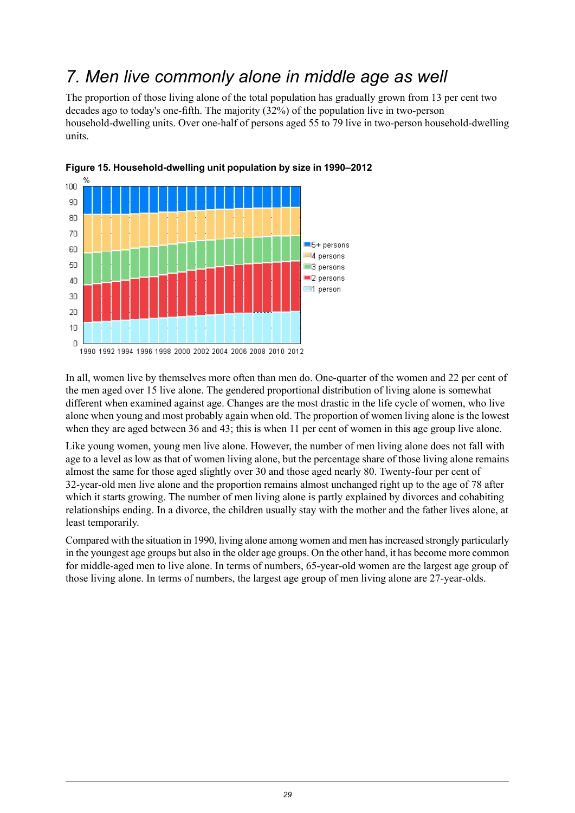## <span id="page-28-0"></span>*7. Men live commonly alone in middle age as well*

The proportion of those living alone of the total population has gradually grown from 13 per cent two decades ago to today's one-fifth. The majority (32%) of the population live in two-person household-dwelling units. Over one-half of persons aged 55 to 79 live in two-person household-dwelling units.



<span id="page-28-1"></span>

In all, women live by themselves more often than men do. One-quarter of the women and 22 per cent of the men aged over 15 live alone. The gendered proportional distribution of living alone is somewhat different when examined against age. Changes are the most drastic in the life cycle of women, who live alone when young and most probably again when old. The proportion of women living alone is the lowest when they are aged between 36 and 43; this is when 11 per cent of women in this age group live alone.

Like young women, young men live alone. However, the number of men living alone does not fall with age to a level as low as that of women living alone, but the percentage share of those living alone remains almost the same for those aged slightly over 30 and those aged nearly 80. Twenty-four per cent of 32-year-old men live alone and the proportion remains almost unchanged right up to the age of 78 after which it starts growing. The number of men living alone is partly explained by divorces and cohabiting relationships ending. In a divorce, the children usually stay with the mother and the father lives alone, at least temporarily.

Compared with the situation in 1990, living alone among women and men hasincreased strongly particularly in the youngest age groups but also in the older age groups. On the other hand, it has become more common for middle-aged men to live alone. In terms of numbers, 65-year-old women are the largest age group of those living alone. In terms of numbers, the largest age group of men living alone are 27-year-olds.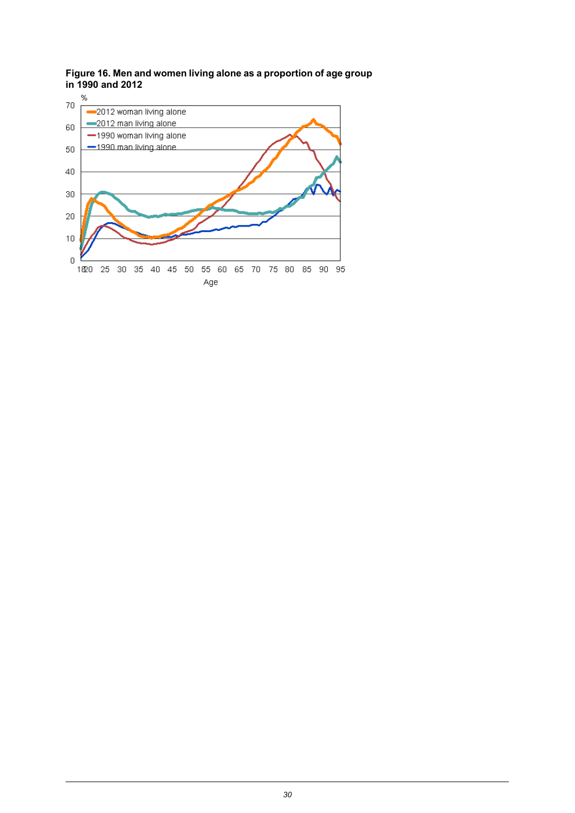<span id="page-29-0"></span>**Figure 16. Men and women living alone as a proportion of age group in 1990 and 2012**

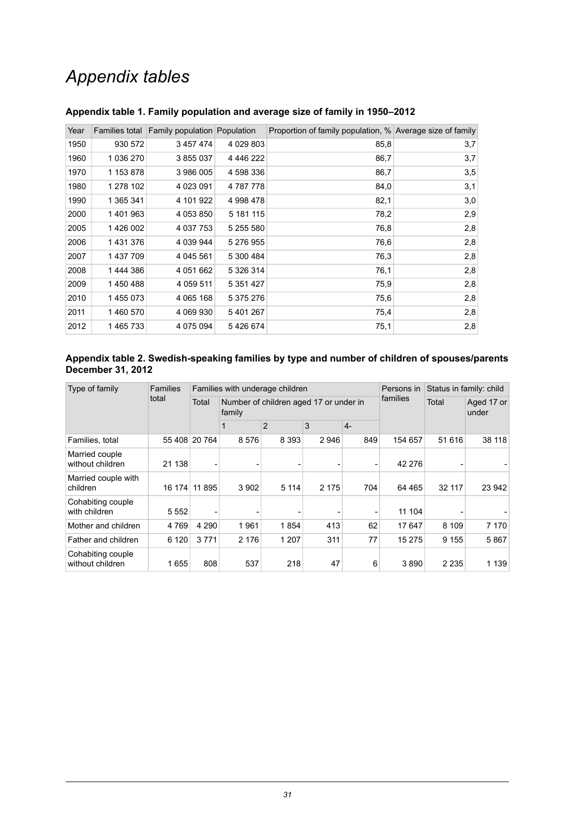## *Appendix tables*

| Year | Families total | <b>Family population Population</b> |               | Proportion of family population, % Average size of family |     |
|------|----------------|-------------------------------------|---------------|-----------------------------------------------------------|-----|
| 1950 | 930 572        | 3 457 474                           | 4 0 29 8 0 3  | 85,8                                                      | 3,7 |
| 1960 | 1 036 270      | 3 855 037                           | 4 4 4 6 2 2 2 | 86,7                                                      | 3,7 |
| 1970 | 1 153 878      | 3 986 005                           | 4 598 336     | 86,7                                                      | 3,5 |
| 1980 | 1 278 102      | 4 0 23 0 91                         | 4 787 778     | 84,0                                                      | 3,1 |
| 1990 | 1 365 341      | 4 101 922                           | 4998478       | 82,1                                                      | 3,0 |
| 2000 | 1401963        | 4 053 850                           | 5 181 115     | 78,2                                                      | 2,9 |
| 2005 | 1426 002       | 4 037 753                           | 5 255 580     | 76,8                                                      | 2,8 |
| 2006 | 1431376        | 4 039 944                           | 5 276 955     | 76,6                                                      | 2,8 |
| 2007 | 1437709        | 4 045 561                           | 5 300 484     | 76,3                                                      | 2,8 |
| 2008 | 1444386        | 4 051 662                           | 5 326 314     | 76.1                                                      | 2,8 |
| 2009 | 1450488        | 4 0 5 9 5 1 1                       | 5 351 427     | 75,9                                                      | 2,8 |
| 2010 | 1455073        | 4 065 168                           | 5 375 276     | 75,6                                                      | 2,8 |
| 2011 | 1460570        | 4 069 930                           | 5 401 267     | 75,4                                                      | 2,8 |
| 2012 | 1465733        | 4 075 094                           | 5426674       | 75.1                                                      | 2,8 |

#### <span id="page-30-0"></span>**Appendix table 1. Family population and average size of family in 1950–2012**

#### <span id="page-30-1"></span>**Appendix table 2. Swedish-speaking families by type and number of children of spouses/parents December 31, 2012**

| Type of family                        | <b>Families</b><br>total |               |         | Families with underage children        | Persons in | Status in family: child |         |                     |         |
|---------------------------------------|--------------------------|---------------|---------|----------------------------------------|------------|-------------------------|---------|---------------------|---------|
|                                       |                          | Total         | family  | Number of children aged 17 or under in |            | families                | Total   | Aged 17 or<br>under |         |
|                                       |                          |               |         | $\overline{2}$                         | 3          | $4-$                    |         |                     |         |
| Families, total                       |                          | 55 408 20 764 | 8576    | 8 3 9 3                                | 2946       | 849                     | 154 657 | 51 616              | 38 118  |
| Married couple<br>without children    | 21 138                   |               |         |                                        |            | -                       | 42 276  |                     |         |
| Married couple with<br>children       | 16 174                   | 11 895        | 3 9 0 2 | 5 1 1 4                                | 2 1 7 5    | 704                     | 64 4 65 | 32 117              | 23 942  |
| Cohabiting couple<br>with children    | 5 5 5 2                  |               |         |                                        |            |                         | 11 104  |                     |         |
| Mother and children                   | 4769                     | 4 2 9 0       | 1961    | 1854                                   | 413        | 62                      | 17647   | 8 1 0 9             | 7 1 7 0 |
| Father and children                   | 6 1 2 0                  | 3771          | 2 1 7 6 | 1 2 0 7                                | 311        | 77                      | 15 275  | 9 1 5 5             | 5867    |
| Cohabiting couple<br>without children | 1655                     | 808           | 537     | 218                                    | 47         | 6                       | 3890    | 2 2 3 5             | 1 1 3 9 |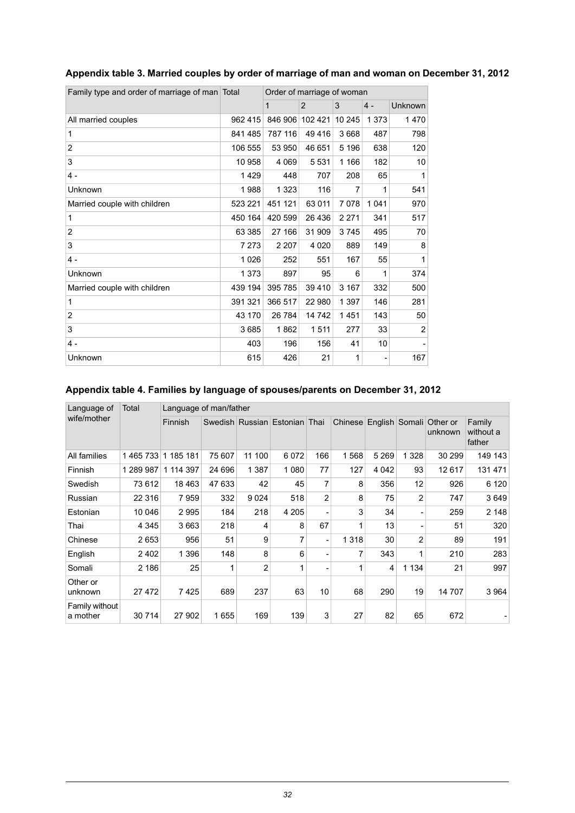| Family type and order of marriage of man Total |         | Order of marriage of woman |                |         |         |                |  |  |
|------------------------------------------------|---------|----------------------------|----------------|---------|---------|----------------|--|--|
|                                                |         | 1                          | $\overline{2}$ | 3       | $4 -$   | Unknown        |  |  |
| All married couples                            | 962 415 | 846 906                    | 102 421        | 10 245  | 1 3 7 3 | 1470           |  |  |
| 1                                              | 841 485 | 787 116                    | 49 4 16        | 3 6 6 8 | 487     | 798            |  |  |
| $\overline{2}$                                 | 106 555 | 53 950                     | 46 651         | 5 1 9 6 | 638     | 120            |  |  |
| 3                                              | 10 958  | 4 0 6 9                    | 5 5 3 1        | 1 1 6 6 | 182     | 10             |  |  |
| $4 -$                                          | 1429    | 448                        | 707            | 208     | 65      | 1              |  |  |
| Unknown                                        | 1988    | 1 3 2 3                    | 116            | 7       | 1       | 541            |  |  |
| Married couple with children                   | 523 221 | 451 121                    | 63 011         | 7078    | 1 0 4 1 | 970            |  |  |
| 1                                              | 450 164 | 420 599                    | 26 436         | 2 2 7 1 | 341     | 517            |  |  |
| $\overline{2}$                                 | 63 385  | 27 166                     | 31 909         | 3745    | 495     | 70             |  |  |
| 3                                              | 7 2 7 3 | 2 2 0 7                    | 4 0 2 0        | 889     | 149     | 8              |  |  |
| $4 -$                                          | 1026    | 252                        | 551            | 167     | 55      | 1              |  |  |
| Unknown                                        | 1 3 7 3 | 897                        | 95             | 6       | 1       | 374            |  |  |
| Married couple with children                   | 439 194 | 395 785                    | 39 410         | 3 1 6 7 | 332     | 500            |  |  |
| 1                                              | 391 321 | 366 517                    | 22 980         | 1 3 9 7 | 146     | 281            |  |  |
| $\overline{2}$                                 | 43 170  | 26 784                     | 14 742         | 1451    | 143     | 50             |  |  |
| 3                                              | 3685    | 1862                       | 1511           | 277     | 33      | $\overline{2}$ |  |  |
| $4 -$                                          | 403     | 196                        | 156            | 41      | 10      |                |  |  |
| Unknown                                        | 615     | 426                        | 21             | 1       |         | 167            |  |  |

#### <span id="page-31-0"></span>**Appendix table 3. Married couples by order of marriage of man and woman on December 31, 2012**

#### <span id="page-31-1"></span>**Appendix table 4. Families by language of spouses/parents on December 31, 2012**

| Language of                | Total     | Language of man/father |        |                |                               |     |         |         |         |                                            |                               |
|----------------------------|-----------|------------------------|--------|----------------|-------------------------------|-----|---------|---------|---------|--------------------------------------------|-------------------------------|
| wife/mother                |           | Finnish                |        |                | Swedish Russian Estonian Thai |     |         |         |         | Chinese English Somali Other or<br>unknown | Family<br>without a<br>father |
| All families               | 1465733   | 1 185 181              | 75 607 | 11 100         | 6072                          | 166 | 1568    | 5 2 6 9 | 1 3 2 8 | 30 299                                     | 149 143                       |
| Finnish                    | 1 289 987 | 1 114 397              | 24 696 | 1 3 8 7        | 1080                          | 77  | 127     | 4 0 4 2 | 93      | 12617                                      | 131 471                       |
| Swedish                    | 73 612    | 18463                  | 47 633 | 42             | 45                            | 7   | 8       | 356     | 12      | 926                                        | 6 1 2 0                       |
| Russian                    | 22 316    | 7959                   | 332    | 9024           | 518                           | 2   | 8       | 75      | 2       | 747                                        | 3649                          |
| Estonian                   | 10 046    | 2995                   | 184    | 218            | 4 2 0 5                       | ۰   | 3       | 34      | -       | 259                                        | 2 1 4 8                       |
| Thai                       | 4 3 4 5   | 3663                   | 218    | 4              | 8                             | 67  | 1       | 13      |         | 51                                         | 320                           |
| Chinese                    | 2653      | 956                    | 51     | 9              |                               | ٠   | 1 3 1 8 | 30      | 2       | 89                                         | 191                           |
| English                    | 2 4 0 2   | 1 3 9 6                | 148    | 8              | 6                             | ۰   | 7       | 343     | 1       | 210                                        | 283                           |
| Somali                     | 2 186     | 25                     | 1      | $\overline{2}$ | 1                             |     | 1       | 4       | 1 1 3 4 | 21                                         | 997                           |
| Other or<br>unknown        | 27 472    | 7425                   | 689    | 237            | 63                            | 10  | 68      | 290     | 19      | 14 707                                     | 3964                          |
| Family without<br>a mother | 30 714    | 27 902                 | 1655   | 169            | 139                           | 3   | 27      | 82      | 65      | 672                                        |                               |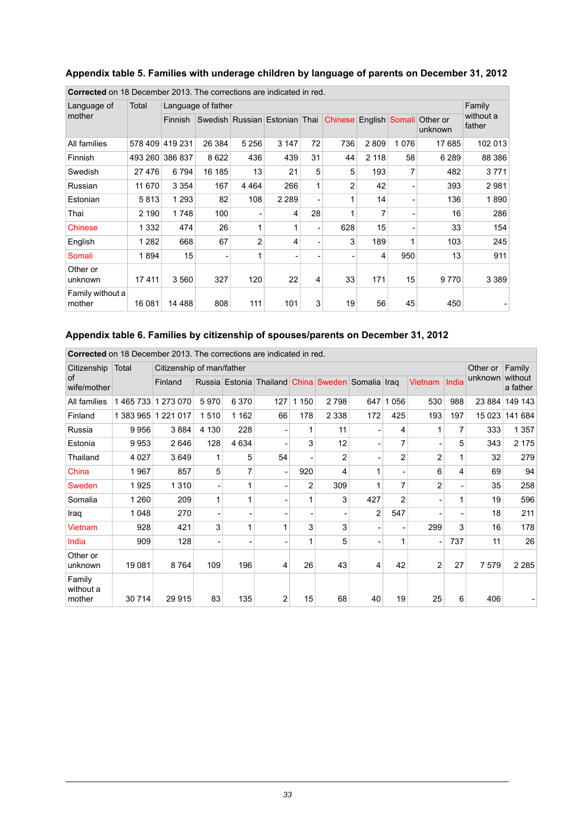| <b>Corrected</b> on 18 December 2013. The corrections are indicated in red. |          |                 |                    |                |                               |                          |                          |                |      |                     |                               |
|-----------------------------------------------------------------------------|----------|-----------------|--------------------|----------------|-------------------------------|--------------------------|--------------------------|----------------|------|---------------------|-------------------------------|
| Language of                                                                 | Total    |                 | Language of father |                |                               |                          |                          |                |      |                     | Family<br>without a<br>father |
| mother                                                                      |          | <b>Finnish</b>  |                    |                | Swedish Russian Estonian Thai |                          | Chinese                  | English Somali |      | Other or<br>unknown |                               |
| All families                                                                | 578 409  | 419 231         | 26 384             | 5 2 5 6        | 3 1 4 7                       | 72                       | 736                      | 2809           | 1076 | 17685               | 102 013                       |
| Finnish                                                                     |          | 493 260 386 837 | 8622               | 436            | 439                           | 31                       | 44                       | 2 1 1 8        | 58   | 6 2 8 9             | 88 386                        |
| Swedish                                                                     | 27 4 7 6 | 6794            | 16 185             | 13             | 21                            | 5                        | 5                        | 193            | 7    | 482                 | 3771                          |
| Russian                                                                     | 11 670   | 3 3 5 4         | 167                | 4 4 6 4        | 266                           | 1                        | $\overline{2}$           | 42             |      | 393                 | 2981                          |
| Estonian                                                                    | 5813     | 1 2 9 3         | 82                 | 108            | 2 2 8 9                       |                          | 1                        | 14             |      | 136                 | 1890                          |
| Thai                                                                        | 2 1 9 0  | 1748            | 100                |                | 4                             | 28                       | 1                        | 7              |      | 16                  | 286                           |
| <b>Chinese</b>                                                              | 1 3 3 2  | 474             | 26                 | 1              |                               | $\overline{\phantom{a}}$ | 628                      | 15             |      | 33                  | 154                           |
| English                                                                     | 1 2 8 2  | 668             | 67                 | $\overline{2}$ | 4                             |                          | 3                        | 189            | 1    | 103                 | 245                           |
| Somali                                                                      | 1894     | 15              |                    | 1              |                               |                          | $\overline{\phantom{a}}$ | 4              | 950  | 13                  | 911                           |
| Other or<br>unknown                                                         | 17411    | 3560            | 327                | 120            | 22                            | 4                        | 33                       | 171            | 15   | 9770                | 3 3 8 9                       |
| Family without a<br>mother                                                  | 16 081   | 14 4 8 8        | 808                | 111            | 101                           | 3                        | 19                       | 56             | 45   | 450                 |                               |

#### <span id="page-32-0"></span>**Appendix table 5. Families with underage children by language of parents on December 31, 2012**

#### <span id="page-32-1"></span>**Appendix table 6. Families by citizenship of spouses/parents on December 31, 2012**

|                               | <b>Corrected</b> on 18 December 2013. The corrections are indicated in red. |                           |                          |         |                                                   |         |                          |                |                |                |       |          |                     |
|-------------------------------|-----------------------------------------------------------------------------|---------------------------|--------------------------|---------|---------------------------------------------------|---------|--------------------------|----------------|----------------|----------------|-------|----------|---------------------|
| Citizenship                   | Total                                                                       | Citizenship of man/father |                          |         |                                                   |         |                          |                |                |                |       | Other or | Family              |
| <b>of</b><br>wife/mother      |                                                                             | Finland                   |                          |         | Russia Estonia Thailand China Sweden Somalia Iraq |         |                          |                |                | Vietnam        | India | unknown  | without<br>a father |
| All families                  | 1465733                                                                     | 1 273 070                 | 5970                     | 6 3 7 0 | 127                                               | 1 1 5 0 | 2798                     | 647            | 056<br>1       | 530            | 988   | 23 884   | 149 143             |
| Finland                       | 1 383 965                                                                   | 1 2 2 1 0 1 7             | 1510                     | 1 1 6 2 | 66                                                | 178     | 2 3 3 8                  | 172            | 425            | 193            | 197   | 15 0 23  | 141 684             |
| Russia                        | 9956                                                                        | 3884                      | 4 1 3 0                  | 228     |                                                   |         | 11                       |                | 4              |                | 7     | 333      | 1 3 5 7             |
| Estonia                       | 9953                                                                        | 2646                      | 128                      | 4 6 3 4 |                                                   | 3       | 12                       |                | 7              |                | 5     | 343      | 2 1 7 5             |
| Thailand                      | 4 0 27                                                                      | 3649                      | 1                        | 5       | 54                                                |         | 2                        |                | $\overline{2}$ | $\overline{2}$ | 1     | 32       | 279                 |
| China                         | 1967                                                                        | 857                       | 5                        |         | ۰                                                 | 920     | 4                        | 1              |                | 6              | 4     | 69       | 94                  |
| Sweden                        | 1925                                                                        | 1310                      | $\overline{\phantom{a}}$ |         | -                                                 | 2       | 309                      | 1              | 7              | $\overline{c}$ |       | 35       | 258                 |
| Somalia                       | 1 2 6 0                                                                     | 209                       | 1                        | 1       |                                                   |         | 3                        | 427            | $\overline{2}$ |                | 1     | 19       | 596                 |
| Iraq                          | 1 0 4 8                                                                     | 270                       | -                        |         |                                                   |         | $\overline{\phantom{a}}$ | $\overline{2}$ | 547            |                |       | 18       | 211                 |
| Vietnam                       | 928                                                                         | 421                       | 3                        | 1       | 1                                                 | 3       | 3                        |                |                | 299            | 3     | 16       | 178                 |
| India                         | 909                                                                         | 128                       |                          |         |                                                   |         | 5                        |                | 1              | $\blacksquare$ | 737   | 11       | 26                  |
| Other or<br>unknown           | 19 081                                                                      | 8764                      | 109                      | 196     | 4                                                 | 26      | 43                       | 4              | 42             | $\overline{2}$ | 27    | 7579     | 2 2 8 5             |
| Family<br>without a<br>mother | 30 714                                                                      | 29 915                    | 83                       | 135     | 2                                                 | 15      | 68                       | 40             | 19             | 25             | 6     | 406      |                     |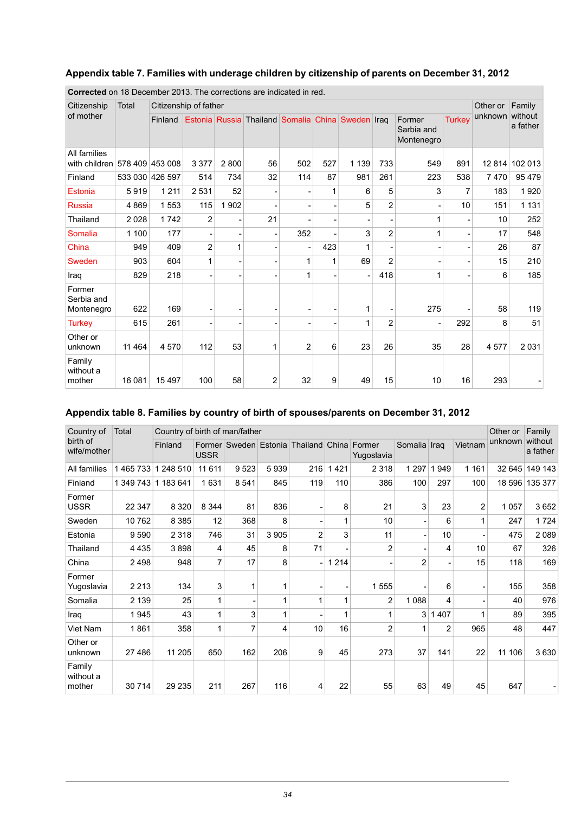#### <span id="page-33-0"></span>**Appendix table 7. Families with underage children by citizenship of parents on December 31, 2012**

| <b>CUTTECLED</b> OIL TO DECENT DEL ZO TO. THE COLLECTIONS ALE INDICATED IN TEQ. |         |                       |                |         |                                                   |                |     |         |                |                                    |               |          |                     |
|---------------------------------------------------------------------------------|---------|-----------------------|----------------|---------|---------------------------------------------------|----------------|-----|---------|----------------|------------------------------------|---------------|----------|---------------------|
| Citizenship                                                                     | Total   | Citizenship of father |                |         |                                                   |                |     |         |                |                                    |               | Other or | Family              |
| of mother                                                                       |         | Finland               |                |         | Estonia Russia Thailand Somalia China Sweden Iraq |                |     |         |                | Former<br>Sarbia and<br>Montenegro | <b>Turkey</b> | unknown  | without<br>a father |
| All families<br>with children                                                   |         | 578 409 453 008       | 3 3 7 7        | 2800    | 56                                                | 502            | 527 | 1 1 3 9 | 733            | 549                                | 891           |          | 12 814 102 013      |
| Finland                                                                         |         | 533 030 426 597       | 514            | 734     | 32                                                | 114            | 87  | 981     | 261            | 223                                | 538           | 7470     | 95 479              |
| Estonia                                                                         | 5919    | 1 2 1 1               | 2 5 3 1        | 52      |                                                   |                | 1   | 6       | 5              | 3                                  | 7             | 183      | 1920                |
| <b>Russia</b>                                                                   | 4869    | 1 5 5 3               | 115            | 1 9 0 2 |                                                   |                |     | 5       | $\overline{2}$ | $\overline{\phantom{a}}$           | 10            | 151      | 1 1 3 1             |
| Thailand                                                                        | 2 0 28  | 1742                  | 2              |         | 21                                                |                |     |         |                | 1                                  |               | 10       | 252                 |
| Somalia                                                                         | 1 100   | 177                   |                |         |                                                   | 352            |     | 3       | $\overline{2}$ | 1                                  |               | 17       | 548                 |
| China                                                                           | 949     | 409                   | $\overline{2}$ | 1       |                                                   |                | 423 | 1       |                |                                    |               | 26       | 87                  |
| Sweden                                                                          | 903     | 604                   | 1              |         |                                                   | 1              | 1   | 69      | $\overline{2}$ | $\overline{\phantom{0}}$           |               | 15       | 210                 |
| Iraq                                                                            | 829     | 218                   |                |         |                                                   | 1              |     |         | 418            | 1                                  |               | 6        | 185                 |
| Former<br>Serbia and<br>Montenegro                                              | 622     | 169                   |                |         |                                                   |                |     | 1       |                | 275                                |               | 58       | 119                 |
| <b>Turkey</b>                                                                   | 615     | 261                   |                |         |                                                   |                |     | 1       | 2              | -                                  | 292           | 8        | 51                  |
| Other or<br>unknown                                                             | 11 4 64 | 4570                  | 112            | 53      | 1                                                 | $\overline{2}$ | 6   | 23      | 26             | 35                                 | 28            | 4577     | 2 0 3 1             |
| Family<br>without a<br>mother                                                   | 16 081  | 15 4 9 7              | 100            | 58      | 2                                                 | 32             | 9   | 49      | 15             | 10                                 | 16            | 293      |                     |

**Corrected** on 18 December 2013. The corrections are indicated in red.

#### <span id="page-33-1"></span>**Appendix table 8. Families by country of birth of spouses/parents on December 31, 2012**

| Country of                    | Total               | Country of birth of man/father |             |                       |         |                |          |                      |                |                          | Other or       | Family  |                     |
|-------------------------------|---------------------|--------------------------------|-------------|-----------------------|---------|----------------|----------|----------------------|----------------|--------------------------|----------------|---------|---------------------|
| birth of<br>wife/mother       |                     | Finland                        | <b>USSR</b> | Former Sweden Estonia |         | Thailand China |          | Former<br>Yugoslavia | Somalia Iraq   |                          | Vietnam        | unknown | without<br>a father |
| All families                  | 1465733             | 1 248 510                      | 11 6 11     | 9523                  | 5939    | 216            | 421      | 2 3 1 8              | 1 2 9 7        | 949                      | 1 1 6 1        | 32 645  | 149 143             |
| Finland                       | 1 349 743 1 183 641 |                                | 1631        | 8 5 4 1               | 845     | 119            | 110      | 386                  | 100            | 297                      | 100            | 18 596  | 135 377             |
| Former<br><b>USSR</b>         | 22 347              | 8 3 2 0                        | 8 3 4 4     | 81                    | 836     |                | 8        | 21                   | 3              | 23                       | $\overline{2}$ | 1 0 5 7 | 3652                |
| Sweden                        | 10762               | 8 3 8 5                        | 12          | 368                   | 8       |                | 1        | 10                   |                | 6                        | 1              | 247     | 1724                |
| Estonia                       | 9590                | 2 3 1 8                        | 746         | 31                    | 3 9 0 5 | $\overline{2}$ | 3        | 11                   |                | 10                       |                | 475     | 2089                |
| Thailand                      | 4 4 3 5             | 3898                           | 4           | 45                    | 8       | 71             |          | $\overline{2}$       | ٠              | 4                        | 10             | 67      | 326                 |
| China                         | 2498                | 948                            | 7           | 17                    | 8       |                | 214<br>1 |                      | $\overline{2}$ | $\overline{\phantom{a}}$ | 15             | 118     | 169                 |
| Former<br>Yugoslavia          | 2 2 1 3             | 134                            | 3           | 1                     |         |                |          | 1555                 |                | 6                        |                | 155     | 358                 |
| Somalia                       | 2 1 3 9             | 25                             |             |                       |         | 1              | 1        | $\overline{2}$       | 1 0 8 8        | 4                        |                | 40      | 976                 |
| Iraq                          | 1945                | 43                             |             | 3                     |         |                | 1        |                      | 3              | 407<br>1                 | 1              | 89      | 395                 |
| Viet Nam                      | 1861                | 358                            | 1           | 7                     | 4       | 10             | 16       | $\overline{2}$       | 1              | $\overline{2}$           | 965            | 48      | 447                 |
| Other or<br>unknown           | 27 486              | 11 205                         | 650         | 162                   | 206     | 9              | 45       | 273                  | 37             | 141                      | 22             | 11 106  | 3630                |
| Family<br>without a<br>mother | 30 714              | 29 235                         | 211         | 267                   | 116     | 4              | 22       | 55                   | 63             | 49                       | 45             | 647     |                     |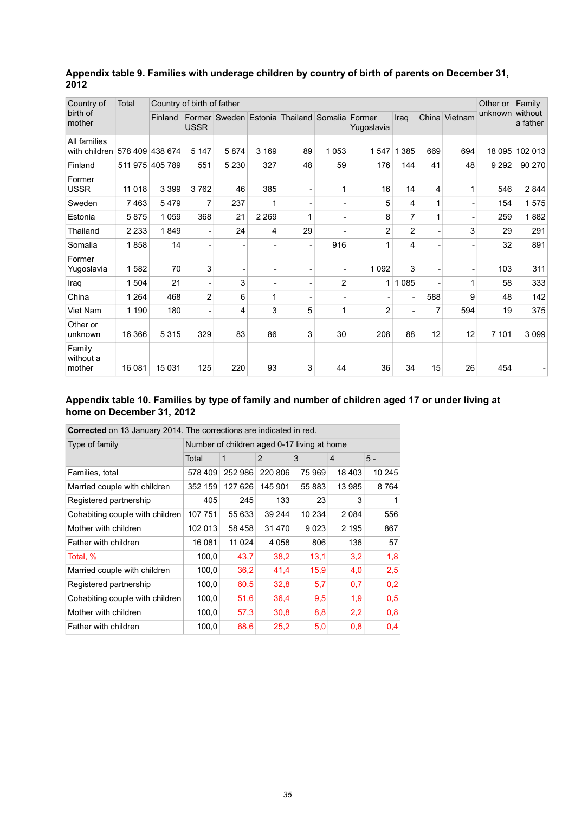| Country of                    | Total   | Country of birth of father |                          |                       |                          |                         |                |                |                |     |               | Other or | Family              |
|-------------------------------|---------|----------------------------|--------------------------|-----------------------|--------------------------|-------------------------|----------------|----------------|----------------|-----|---------------|----------|---------------------|
| birth of<br>mother            |         | Finland                    | <b>USSR</b>              | Former Sweden Estonia |                          | Thailand Somalia Former |                | Yugoslavia     | Iraq           |     | China Vietnam | unknown  | without<br>a father |
| All families<br>with children | 578 409 | 438 674                    | 5 1 4 7                  | 5874                  | 3 1 6 9                  | 89                      | 1 0 5 3        | 1547           | 1 3 8 5        | 669 | 694           | 18 095   | 102 013             |
| Finland                       |         | 511 975 405 789            | 551                      | 5 2 3 0               | 327                      | 48                      | 59             | 176            | 144            | 41  | 48            | 9 2 9 2  | 90 270              |
| Former<br><b>USSR</b>         | 11 018  | 3 3 9 9                    | 3762                     | 46                    | 385                      |                         |                | 16             | 14             | 4   |               | 546      | 2844                |
| Sweden                        | 7463    | 5479                       | 7                        | 237                   | 1                        |                         |                | 5              | 4              | 1   |               | 154      | 1575                |
| Estonia                       | 5875    | 1 0 5 9                    | 368                      | 21                    | 2 2 6 9                  | 1                       |                | 8              | 7              | 1   |               | 259      | 1882                |
| Thailand                      | 2 2 3 3 | 1849                       | $\overline{\phantom{a}}$ | 24                    | 4                        | 29                      |                | 2              | $\overline{c}$ | ۰   | 3             | 29       | 291                 |
| Somalia                       | 1858    | 14                         | ٠                        |                       | $\overline{\phantom{a}}$ |                         | 916            | 1              | 4              |     |               | 32       | 891                 |
| Former<br>Yugoslavia          | 1582    | 70                         | 3                        |                       | $\overline{\phantom{0}}$ |                         |                | 1 0 9 2        | 3              |     |               | 103      | 311                 |
| Iraq                          | 1 504   | 21                         |                          | 3                     | $\overline{\phantom{a}}$ |                         | $\overline{2}$ | 1              | 1 0 8 5        |     |               | 58       | 333                 |
| China                         | 1 2 6 4 | 468                        | $\overline{2}$           | 6                     | 1                        |                         |                |                |                | 588 | 9             | 48       | 142                 |
| Viet Nam                      | 1 1 9 0 | 180                        | $\blacksquare$           | 4                     | 3                        | 5                       |                | $\overline{2}$ | $\blacksquare$ | 7   | 594           | 19       | 375                 |
| Other or<br>unknown           | 16 366  | 5 3 1 5                    | 329                      | 83                    | 86                       | 3                       | 30             | 208            | 88             | 12  | 12            | 7 1 0 1  | 3 0 9 9             |
| Family<br>without a<br>mother | 16 081  | 15 031                     | 125                      | 220                   | 93                       | 3                       | 44             | 36             | 34             | 15  | 26            | 454      |                     |

#### <span id="page-34-0"></span>**Appendix table 9. Families with underage children by country of birth of parents on December 31, 2012**

#### <span id="page-34-1"></span>**Appendix table 10. Families by type of family and number of children aged 17 or under living at home on December 31, 2012**

| <b>Corrected</b> on 13 January 2014. The corrections are indicated in red. |                                             |         |                |        |         |        |  |  |  |  |  |
|----------------------------------------------------------------------------|---------------------------------------------|---------|----------------|--------|---------|--------|--|--|--|--|--|
| Type of family                                                             | Number of children aged 0-17 living at home |         |                |        |         |        |  |  |  |  |  |
|                                                                            | Total                                       | 1       | $\overline{2}$ | 3      | 4       | $5 -$  |  |  |  |  |  |
| Families, total                                                            | 578 409                                     | 252 986 | 220 806        | 75 969 | 18 403  | 10 245 |  |  |  |  |  |
| Married couple with children                                               | 352 159                                     | 127 626 | 145 901        | 55 883 | 13 985  | 8764   |  |  |  |  |  |
| Registered partnership                                                     | 405                                         | 245     | 133            | 23     | 3       | 1      |  |  |  |  |  |
| Cohabiting couple with children                                            | 107 751                                     | 55 633  | 39 244         | 10 234 | 2 0 8 4 | 556    |  |  |  |  |  |
| Mother with children                                                       | 102 013                                     | 58 458  | 31 470         | 9023   | 2 1 9 5 | 867    |  |  |  |  |  |
| Father with children                                                       | 16 081                                      | 11 0 24 | 4 0 5 8        | 806    | 136     | 57     |  |  |  |  |  |
| Total, %                                                                   | 100,0                                       | 43,7    | 38,2           | 13.1   | 3,2     | 1,8    |  |  |  |  |  |
| Married couple with children                                               | 100,0                                       | 36,2    | 41,4           | 15,9   | 4,0     | 2,5    |  |  |  |  |  |
| Registered partnership                                                     | 100,0                                       | 60,5    | 32,8           | 5,7    | 0,7     | 0,2    |  |  |  |  |  |
| Cohabiting couple with children                                            | 100,0                                       | 51,6    | 36,4           | 9,5    | 1,9     | 0,5    |  |  |  |  |  |
| Mother with children                                                       | 100,0                                       | 57,3    | 30,8           | 8,8    | 2,2     | 0,8    |  |  |  |  |  |
| Father with children                                                       | 100,0                                       | 68,6    | 25,2           | 5,0    | 0,8     | 0,4    |  |  |  |  |  |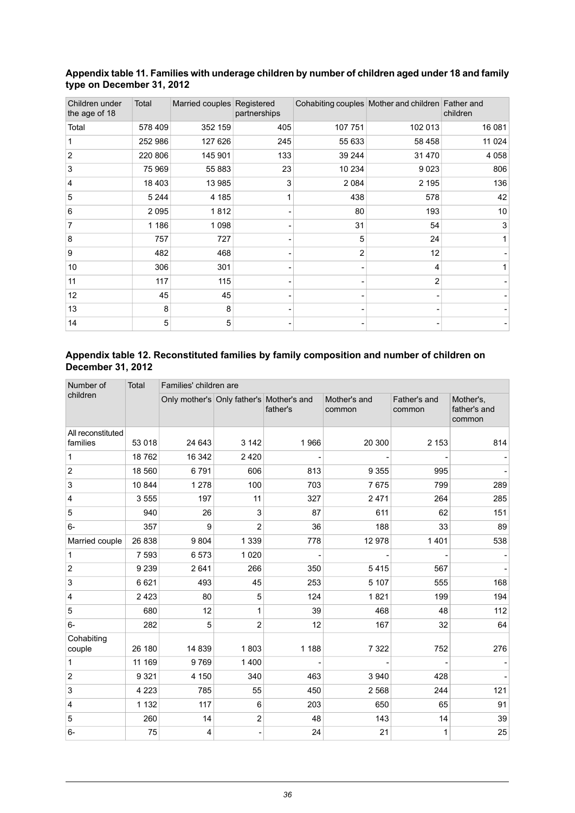| Children under<br>the age of 18 | <b>Total</b> | Married couples Registered | partnerships |         | Cohabiting couples Mother and children Father and | children |
|---------------------------------|--------------|----------------------------|--------------|---------|---------------------------------------------------|----------|
| Total                           | 578 409      | 352 159                    | 405          | 107 751 | 102 013                                           | 16 081   |
| 1                               | 252 986      | 127 626                    | 245          | 55 633  | 58 458                                            | 11 0 24  |
| $\overline{2}$                  | 220 806      | 145 901                    | 133          | 39 244  | 31 470                                            | 4 0 5 8  |
| $\mathsf 3$                     | 75 969       | 55 883                     | 23           | 10 234  | 9 0 23                                            | 806      |
| 4                               | 18 4 03      | 13 985                     | 3            | 2 0 8 4 | 2 1 9 5                                           | 136      |
| 5                               | 5 2 4 4      | 4 1 8 5                    |              | 438     | 578                                               | 42       |
| 6                               | 2095         | 1812                       |              | 80      | 193                                               | 10       |
| 7                               | 1 1 8 6      | 1 0 9 8                    |              | 31      | 54                                                | 3        |
| 8                               | 757          | 727                        |              | 5       | 24                                                | 1        |
| 9                               | 482          | 468                        |              | 2       | 12                                                |          |
| 10                              | 306          | 301                        |              |         | 4                                                 |          |
| 11                              | 117          | 115                        |              |         | $\overline{2}$                                    |          |
| 12                              | 45           | 45                         |              |         |                                                   |          |
| 13                              | 8            | 8                          |              |         |                                                   |          |
| 14                              | 5            | 5                          |              |         |                                                   |          |

#### <span id="page-35-0"></span>**Appendixtable11. Families with underagechildren by number ofchildren aged under18and family type on December 31, 2012**

#### <span id="page-35-1"></span>**Appendix table 12. Reconstituted families by family composition and number of children on December 31, 2012**

| Number of                     | Total   | Families' children are                   |                  |          |                        |                        |                                     |  |  |  |  |
|-------------------------------|---------|------------------------------------------|------------------|----------|------------------------|------------------------|-------------------------------------|--|--|--|--|
| children                      |         | Only mother's Only father's Mother's and |                  | father's | Mother's and<br>common | Father's and<br>common | Mother's,<br>father's and<br>common |  |  |  |  |
| All reconstituted<br>families | 53 018  | 24 643                                   | 3 1 4 2          | 1966     | 20 300                 | 2 1 5 3                | 814                                 |  |  |  |  |
| $\mathbf{1}$                  | 18762   | 16 342                                   | 2420             |          |                        |                        |                                     |  |  |  |  |
| $\overline{c}$                | 18 560  | 6791                                     | 606              | 813      | 9 3 5 5                | 995                    |                                     |  |  |  |  |
| 3                             | 10 844  | 1 2 7 8                                  | 100              | 703      | 7675                   | 799                    | 289                                 |  |  |  |  |
| $\overline{\mathbf{4}}$       | 3555    | 197                                      | 11               | 327      | 2471                   | 264                    | 285                                 |  |  |  |  |
| 5                             | 940     | 26                                       | 3                | 87       | 611                    | 62                     | 151                                 |  |  |  |  |
| $6-$                          | 357     | 9                                        | $\overline{2}$   | 36       | 188                    | 33                     | 89                                  |  |  |  |  |
| Married couple                | 26 838  | 9804                                     | 1 3 3 9          | 778      | 12978                  | 1401                   | 538                                 |  |  |  |  |
| $\mathbf{1}$                  | 7 5 9 3 | 6573                                     | 1 0 2 0          |          |                        |                        |                                     |  |  |  |  |
| $\overline{c}$                | 9 2 3 9 | 2641                                     | 266              | 350      | 5415                   | 567                    |                                     |  |  |  |  |
| $\ensuremath{\mathsf{3}}$     | 6621    | 493                                      | 45               | 253      | 5 1 0 7                | 555                    | 168                                 |  |  |  |  |
| $\overline{\mathbf{4}}$       | 2 4 2 3 | 80                                       | 5                | 124      | 1821                   | 199                    | 194                                 |  |  |  |  |
| 5                             | 680     | 12                                       | 1                | 39       | 468                    | 48                     | 112                                 |  |  |  |  |
| $6-$                          | 282     | 5                                        | $\overline{2}$   | 12       | 167                    | 32                     | 64                                  |  |  |  |  |
| Cohabiting<br>couple          | 26 180  | 14 8 39                                  | 1803             | 1 1 8 8  | 7 3 2 2                | 752                    | 276                                 |  |  |  |  |
| $\mathbf{1}$                  | 11 169  | 9769                                     | 1400             |          |                        |                        |                                     |  |  |  |  |
| $\boldsymbol{2}$              | 9 3 2 1 | 4 150                                    | 340              | 463      | 3 9 4 0                | 428                    |                                     |  |  |  |  |
| $\mathsf 3$                   | 4 2 2 3 | 785                                      | 55               | 450      | 2 5 6 8                | 244                    | 121                                 |  |  |  |  |
| 4                             | 1 1 3 2 | 117                                      | 6                | 203      | 650                    | 65                     | 91                                  |  |  |  |  |
| $\mathbf 5$                   | 260     | 14                                       | $\boldsymbol{2}$ | 48       | 143                    | 14                     | 39                                  |  |  |  |  |
| $6-$                          | 75      | 4                                        |                  | 24       | 21                     | 1                      | 25                                  |  |  |  |  |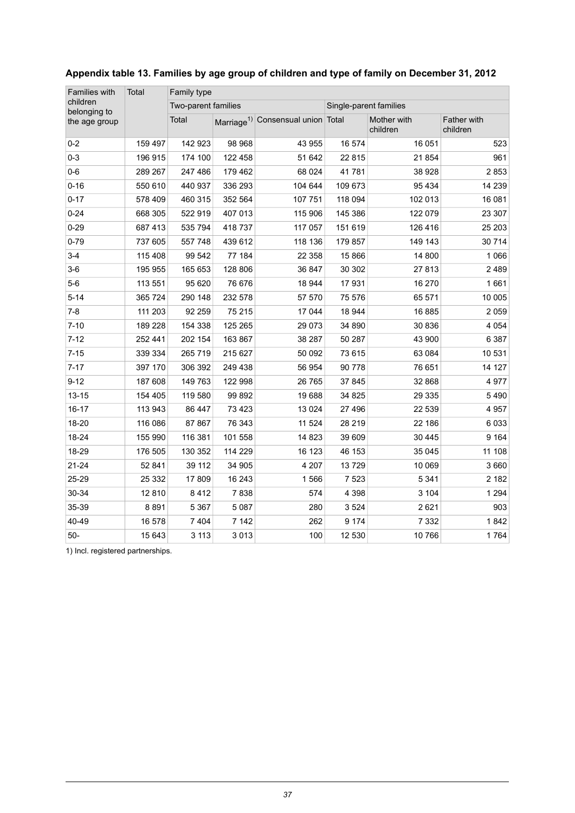| Families with            | Total   | Family type         |         |                                               |                        |                         |                         |  |  |  |
|--------------------------|---------|---------------------|---------|-----------------------------------------------|------------------------|-------------------------|-------------------------|--|--|--|
| children<br>belonging to |         | Two-parent families |         |                                               | Single-parent families |                         |                         |  |  |  |
| the age group            |         | Total               |         | Marriage <sup>1)</sup> Consensual union Total |                        | Mother with<br>children | Father with<br>children |  |  |  |
| $0 - 2$                  | 159 497 | 142 923             | 98 968  | 43 955                                        | 16 574                 | 16 051                  | 523                     |  |  |  |
| $0 - 3$                  | 196 915 | 174 100             | 122 458 | 51 642                                        | 22 815                 | 21 854                  | 961                     |  |  |  |
| $0-6$                    | 289 267 | 247 486             | 179 462 | 68 0 24                                       | 41781                  | 38 928                  | 2853                    |  |  |  |
| $0 - 16$                 | 550 610 | 440 937             | 336 293 | 104 644                                       | 109 673                | 95 4 34                 | 14 239                  |  |  |  |
| $0 - 17$                 | 578 409 | 460 315             | 352 564 | 107 751                                       | 118 094                | 102 013                 | 16 081                  |  |  |  |
| $0 - 24$                 | 668 305 | 522 919             | 407 013 | 115 906                                       | 145 386                | 122 079                 | 23 307                  |  |  |  |
| $0 - 29$                 | 687 413 | 535 794             | 418 737 | 117 057                                       | 151 619                | 126 416                 | 25 203                  |  |  |  |
| $0 - 79$                 | 737 605 | 557 748             | 439 612 | 118 136                                       | 179 857                | 149 143                 | 30714                   |  |  |  |
| $3-4$                    | 115 408 | 99 542              | 77 184  | 22 358                                        | 15 866                 | 14 800                  | 1 0 6 6                 |  |  |  |
| $3-6$                    | 195 955 | 165 653             | 128 806 | 36 847                                        | 30 30 2                | 27813                   | 2489                    |  |  |  |
| $5-6$                    | 113 551 | 95 620              | 76 676  | 18 944                                        | 17931                  | 16 270                  | 1661                    |  |  |  |
| $5 - 14$                 | 365 724 | 290 148             | 232 578 | 57 570                                        | 75 576                 | 65 571                  | 10 005                  |  |  |  |
| $7 - 8$                  | 111 203 | 92 259              | 75 215  | 17 044                                        | 18 944                 | 16885                   | 2 0 5 9                 |  |  |  |
| $7 - 10$                 | 189 228 | 154 338             | 125 265 | 29 0 73                                       | 34 890                 | 30 836                  | 4 0 5 4                 |  |  |  |
| $7 - 12$                 | 252 441 | 202 154             | 163 867 | 38 287                                        | 50 287                 | 43 900                  | 6 3 8 7                 |  |  |  |
| $7 - 15$                 | 339 334 | 265 719             | 215 627 | 50 092                                        | 73 615                 | 63 084                  | 10 531                  |  |  |  |
| $7 - 17$                 | 397 170 | 306 392             | 249 438 | 56 954                                        | 90 778                 | 76 651                  | 14 127                  |  |  |  |
| $9 - 12$                 | 187 608 | 149 763             | 122 998 | 26 765                                        | 37 845                 | 32 868                  | 4977                    |  |  |  |
| $13 - 15$                | 154 405 | 119 580             | 99 892  | 19688                                         | 34 825                 | 29 3 35                 | 5490                    |  |  |  |
| 16-17                    | 113 943 | 86 447              | 73 4 23 | 13 0 24                                       | 27 496                 | 22 539                  | 4 9 5 7                 |  |  |  |
| 18-20                    | 116 086 | 87 867              | 76 343  | 11 524                                        | 28 219                 | 22 186                  | 6033                    |  |  |  |
| 18-24                    | 155 990 | 116 381             | 101 558 | 14 823                                        | 39 609                 | 30 4 45                 | 9 1 6 4                 |  |  |  |
| 18-29                    | 176 505 | 130 352             | 114 229 | 16 123                                        | 46 153                 | 35 045                  | 11 108                  |  |  |  |
| $21 - 24$                | 52 841  | 39 112              | 34 905  | 4 2 0 7                                       | 13729                  | 10 069                  | 3 6 6 0                 |  |  |  |
| 25-29                    | 25 332  | 17809               | 16 24 3 | 1566                                          | 7 5 23                 | 5 3 4 1                 | 2 1 8 2                 |  |  |  |
| 30-34                    | 12810   | 8 4 1 2             | 7838    | 574                                           | 4 3 9 8                | 3 1 0 4                 | 1 2 9 4                 |  |  |  |
| 35-39                    | 8891    | 5 3 6 7             | 5 0 8 7 | 280                                           | 3 5 24                 | 2621                    | 903                     |  |  |  |
| 40-49                    | 16 578  | 7 4 0 4             | 7 1 4 2 | 262                                           | 9 1 7 4                | 7 3 3 2                 | 1842                    |  |  |  |
| $50-$                    | 15 643  | 3 1 1 3             | 3013    | 100                                           | 12 530                 | 10766                   | 1764                    |  |  |  |

#### <span id="page-36-0"></span>**Appendix table 13. Families by age group of children and type of family on December 31, 2012**

1) Incl. registered partnerships.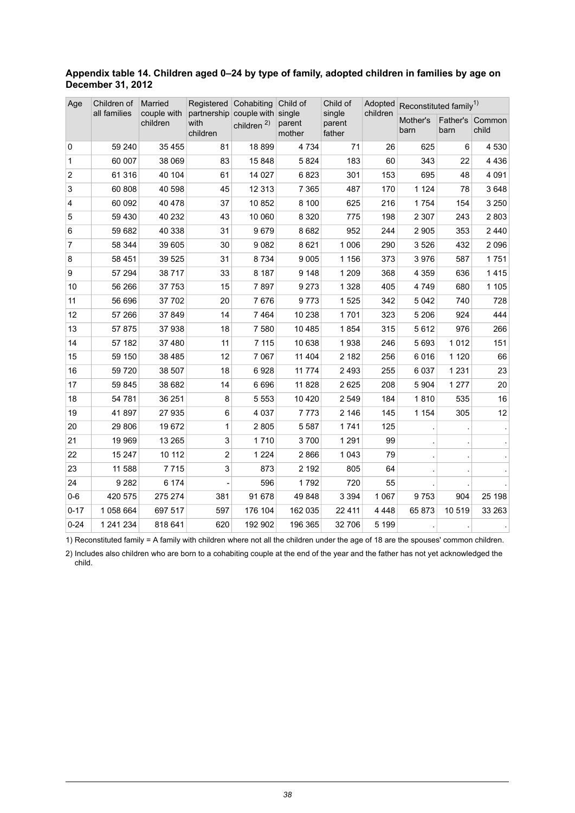#### <span id="page-37-0"></span>**Appendix table 14. Children aged 0–24 by type of family, adopted children in families by age on December 31, 2012**

| Age            | Children of  | Married                 | Registered                                  | Cohabiting             | Child of                   | Child of                   | Adopted  | Reconstituted family <sup>1)</sup> |                  |                 |
|----------------|--------------|-------------------------|---------------------------------------------|------------------------|----------------------------|----------------------------|----------|------------------------------------|------------------|-----------------|
|                | all families | couple with<br>children | partnership couple with<br>with<br>children | children <sup>2)</sup> | single<br>parent<br>mother | single<br>parent<br>father | children | Mother's<br>barn                   | Father's<br>barn | Common<br>child |
| 0              | 59 240       | 35 4 55                 | 81                                          | 18899                  | 4 7 3 4                    | 71                         | 26       | 625                                | 6                | 4 5 3 0         |
| $\mathbf{1}$   | 60 007       | 38 069                  | 83                                          | 15 848                 | 5824                       | 183                        | 60       | 343                                | 22               | 4436            |
| $\overline{c}$ | 61 316       | 40 104                  | 61                                          | 14 0 27                | 6823                       | 301                        | 153      | 695                                | 48               | 4 0 9 1         |
| 3              | 60 808       | 40 598                  | 45                                          | 12 3 13                | 7 3 6 5                    | 487                        | 170      | 1 1 2 4                            | 78               | 3648            |
| $\overline{4}$ | 60 092       | 40 478                  | 37                                          | 10 852                 | 8 100                      | 625                        | 216      | 1754                               | 154              | 3 2 5 0         |
| 5              | 59 430       | 40 232                  | 43                                          | 10 060                 | 8 3 2 0                    | 775                        | 198      | 2 3 0 7                            | 243              | 2803            |
| 6              | 59 682       | 40 338                  | 31                                          | 9679                   | 8682                       | 952                        | 244      | 2 9 0 5                            | 353              | 2440            |
| $\overline{7}$ | 58 344       | 39 605                  | 30                                          | 9082                   | 8621                       | 1 0 0 6                    | 290      | 3526                               | 432              | 2096            |
| 8              | 58 451       | 39 5 25                 | 31                                          | 8734                   | 9 0 0 5                    | 1 1 5 6                    | 373      | 3976                               | 587              | 1751            |
| 9              | 57 294       | 38717                   | 33                                          | 8 1 8 7                | 9 1 4 8                    | 1 2 0 9                    | 368      | 4 3 5 9                            | 636              | 1415            |
| 10             | 56 266       | 37 753                  | 15                                          | 7897                   | 9273                       | 1 3 2 8                    | 405      | 4749                               | 680              | 1 1 0 5         |
| 11             | 56 696       | 37 702                  | 20                                          | 7676                   | 9773                       | 1 5 2 5                    | 342      | 5 0 4 2                            | 740              | 728             |
| 12             | 57 266       | 37849                   | 14                                          | 7 4 6 4                | 10 238                     | 1701                       | 323      | 5 2 0 6                            | 924              | 444             |
| 13             | 57 875       | 37938                   | 18                                          | 7580                   | 10 4 85                    | 1854                       | 315      | 5612                               | 976              | 266             |
| 14             | 57 182       | 37 480                  | 11                                          | 7 1 1 5                | 10 638                     | 1938                       | 246      | 5 6 9 3                            | 1012             | 151             |
| 15             | 59 150       | 38 4 85                 | 12                                          | 7 0 6 7                | 11 404                     | 2 1 8 2                    | 256      | 6016                               | 1 1 2 0          | 66              |
| 16             | 59 720       | 38 507                  | 18                                          | 6928                   | 11 774                     | 2 4 9 3                    | 255      | 6 0 3 7                            | 1 2 3 1          | 23              |
| 17             | 59 845       | 38 682                  | 14                                          | 6696                   | 11 828                     | 2625                       | 208      | 5 9 0 4                            | 1 2 7 7          | 20              |
| 18             | 54 781       | 36 251                  | 8                                           | 5 5 5 3                | 10 4 20                    | 2 5 4 9                    | 184      | 1810                               | 535              | 16              |
| 19             | 41897        | 27 935                  | 6                                           | 4 0 3 7                | 7773                       | 2 1 4 6                    | 145      | 1 1 5 4                            | 305              | 12              |
| 20             | 29 806       | 19672                   | 1                                           | 2805                   | 5587                       | 1741                       | 125      |                                    |                  |                 |
| 21             | 19 969       | 13 265                  | 3                                           | 1710                   | 3700                       | 1 2 9 1                    | 99       |                                    |                  |                 |
| 22             | 15 247       | 10 112                  | $\overline{c}$                              | 1 2 2 4                | 2866                       | 1 0 4 3                    | 79       |                                    |                  |                 |
| 23             | 11 588       | 7715                    | 3                                           | 873                    | 2 1 9 2                    | 805                        | 64       |                                    |                  |                 |
| 24             | 9 2 8 2      | 6 174                   |                                             | 596                    | 1792                       | 720                        | 55       |                                    |                  |                 |
| $0 - 6$        | 420 575      | 275 274                 | 381                                         | 91 678                 | 49848                      | 3 3 9 4                    | 1 0 6 7  | 9753                               | 904              | 25 198          |
| $0 - 17$       | 1058 664     | 697 517                 | 597                                         | 176 104                | 162 035                    | 22 4 11                    | 4 4 4 8  | 65873                              | 10519            | 33 263          |
| $0 - 24$       | 1 241 234    | 818 641                 | 620                                         | 192 902                | 196 365                    | 32 706                     | 5 1 9 9  |                                    |                  |                 |

1) Reconstituted family = A family with children where not all the children under the age of 18 are the spouses' common children.

2) Includes also children who are born to a cohabiting couple at the end of the year and the father has not yet acknowledged the child.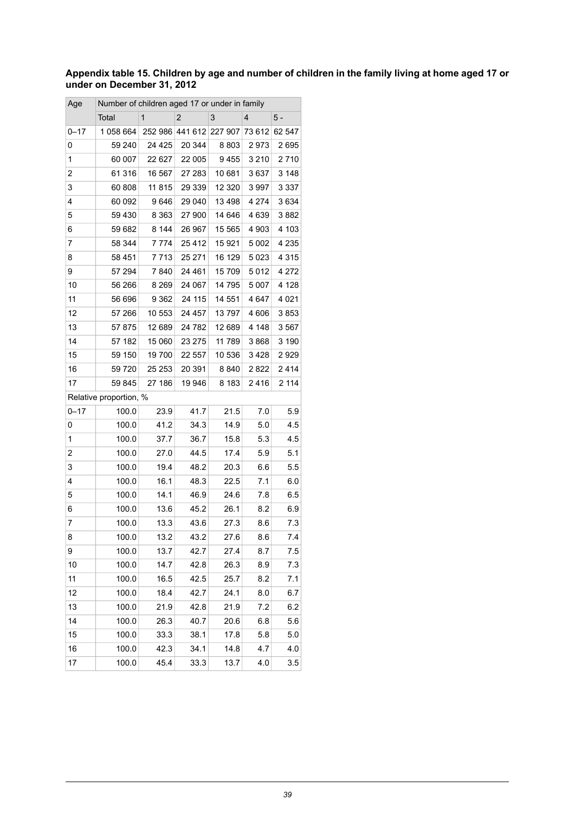#### <span id="page-38-0"></span>Appendix table 15. Children by age and number of children in the family living at home aged 17 or **under on December 31, 2012**

| Age      | Number of children aged 17 or under in family |              |                |                         |                |         |
|----------|-----------------------------------------------|--------------|----------------|-------------------------|----------------|---------|
|          | Total                                         | $\mathbf{1}$ | $\overline{2}$ | 3                       | $\overline{4}$ | 5 -     |
| $0 - 17$ | 1058 664                                      |              |                | 252 986 441 612 227 907 | 73 612         | 62 547  |
| 0        | 59 240                                        | 24 4 25      | 20 344         | 8803                    | 2973           | 2695    |
| 1        | 60 007                                        | 22 627       | 22 005         | 9455                    | 3 2 1 0        | 2710    |
| 2        | 61 316                                        | 16 567       | 27 283         | 10 681                  | 3637           | 3 1 4 8 |
| 3        | 60 808                                        | 11 815       | 29 339         | 12 3 20                 | 3997           | 3 3 3 7 |
| 4        | 60 092                                        | 9646         | 29 040         | 13498                   | 4 2 7 4        | 3634    |
| 5        | 59 430                                        | 8 3 6 3      | 27 900         | 14 646                  | 4639           | 3882    |
| 6        | 59 682                                        | 8 1 4 4      | 26 967         | 15 565                  | 4 9 0 3        | 4 103   |
| 7        | 58 344                                        | 7774         | 25 4 12        | 15921                   | 5 0 0 2        | 4 2 3 5 |
| 8        | 58 451                                        | 7713         | 25 271         | 16 129                  | 5023           | 4 3 1 5 |
| 9        | 57 294                                        | 7840         | 24 4 61        | 15 709                  | 5012           | 4 272   |
| 10       | 56 266                                        | 8 2 6 9      | 24 067         | 14 795                  | 5 0 0 7        | 4 1 2 8 |
| 11       | 56 696                                        | 9 3 6 2      | 24 115         | 14 551                  | 4647           | 4 0 21  |
| 12       | 57 266                                        | 10 553       | 24 457         | 13797                   | 4606           | 3853    |
| 13       | 57 875                                        | 12 689       | 24 782         | 12 689                  | 4 1 4 8        | 3567    |
| 14       | 57 182                                        | 15 060       | 23 275         | 11 789                  | 3868           | 3 190   |
| 15       | 59 150                                        | 19700        | 22 557         | 10 536                  | 3428           | 2929    |
| 16       | 59 720                                        | 25 253       | 20 391         | 8840                    | 2822           | 2414    |
| 17       | 59 845                                        | 27 186       | 19 946         | 8 1 8 3                 | 2416           | 2 114   |
|          | Relative proportion, %                        |              |                |                         |                |         |
| $0 - 17$ | 100.0                                         | 23.9         | 41.7           | 21.5                    | 7.0            | 5.9     |
| 0        | 100.0                                         | 41.2         | 34.3           | 14.9                    | 5.0            | 4.5     |
| 1        | 100.0                                         | 37.7         | 36.7           | 15.8                    | 5.3            | 4.5     |
| 2        | 100.0                                         | 27.0         | 44.5           | 17.4                    | 5.9            | 5.1     |
| 3        | 100.0                                         | 19.4         | 48.2           | 20.3                    | 6.6            | 5.5     |
| 4        | 100.0                                         | 16.1         | 48.3           | 22.5                    | 7.1            | 6.0     |
| 5        | 100.0                                         | 14.1         | 46.9           | 24.6                    | 7.8            | 6.5     |
| 6        | 100.0                                         | 13.6         | 45.2           | 26.1                    | 8.2            | 6.9     |
| 7        | 100.0                                         | 13.3         | 43.6           | 27.3                    | 8.6            | 7.3     |
| 8        | 100.0                                         | 13.2         | 43.2           | 27.6                    | 8.6            | 7.4     |
| 9        | 100.0                                         | 13.7         | 42.7           | 27.4                    | 8.7            | 7.5     |
| 10       | 100.0                                         | 14.7         | 42.8           | 26.3                    | 8.9            | 7.3     |
| 11       | 100.0                                         | 16.5         | 42.5           | 25.7                    | 8.2            | 7.1     |
| 12       | 100.0                                         | 18.4         | 42.7           | 24.1                    | 8.0            | 6.7     |
| 13       | 100.0                                         | 21.9         | 42.8           | 21.9                    | 7.2            | 6.2     |
| 14       | 100.0                                         | 26.3         | 40.7           | 20.6                    | 6.8            | 5.6     |
| 15       | 100.0                                         | 33.3         | 38.1           | 17.8                    | 5.8            | 5.0     |
| 16       | 100.0                                         | 42.3         | 34.1           | 14.8                    | 4.7            | 4.0     |
| 17       | 100.0                                         | 45.4         | 33.3           | 13.7                    | 4.0            | 3.5     |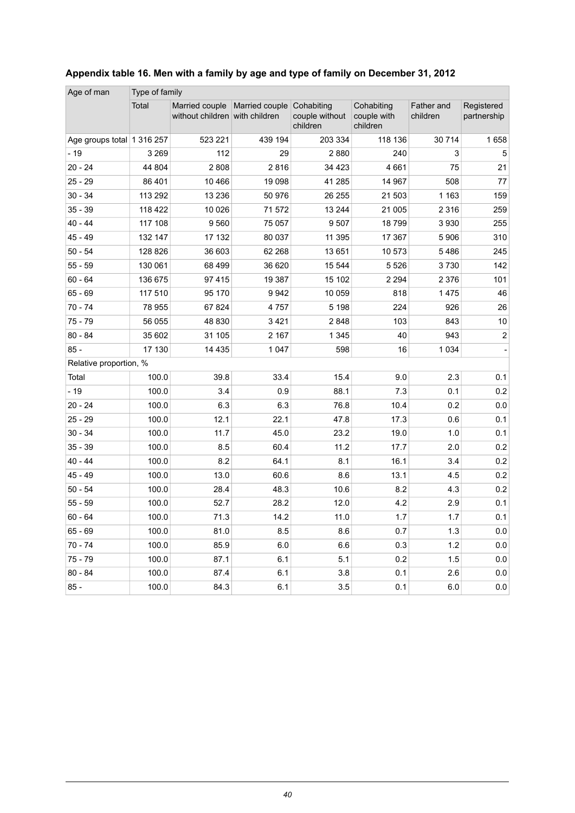| Age of man                 | Type of family |                                                                     |         |                                          |                                       |                        |                           |
|----------------------------|----------------|---------------------------------------------------------------------|---------|------------------------------------------|---------------------------------------|------------------------|---------------------------|
|                            | Total          | Married couple   Married couple  <br>without children with children |         | Cohabiting<br>couple without<br>children | Cohabiting<br>couple with<br>children | Father and<br>children | Registered<br>partnership |
| Age groups total 1 316 257 |                | 523 221                                                             | 439 194 | 203 334                                  | 118 136                               | 30 714                 | 1658                      |
| $-19$                      | 3 2 6 9        | 112                                                                 | 29      | 2880                                     | 240                                   | 3                      | 5                         |
| $20 - 24$                  | 44 804         | 2808                                                                | 2816    | 34 4 23                                  | 4661                                  | 75                     | 21                        |
| $25 - 29$                  | 86 401         | 10 4 66                                                             | 19 0 98 | 41 285                                   | 14 967                                | 508                    | 77                        |
| $30 - 34$                  | 113 292        | 13 2 36                                                             | 50 976  | 26 255                                   | 21 503                                | 1 1 6 3                | 159                       |
| $35 - 39$                  | 118 422        | 10 0 26                                                             | 71572   | 13 244                                   | 21 005                                | 2 3 1 6                | 259                       |
| $40 - 44$                  | 117 108        | 9 5 6 0                                                             | 75 057  | 9507                                     | 18799                                 | 3930                   | 255                       |
| $45 - 49$                  | 132 147        | 17 132                                                              | 80 037  | 11 395                                   | 17 367                                | 5906                   | 310                       |
| $50 - 54$                  | 128 826        | 36 603                                                              | 62 268  | 13 651                                   | 10573                                 | 5486                   | 245                       |
| $55 - 59$                  | 130 061        | 68 499                                                              | 36 620  | 15 544                                   | 5 5 2 6                               | 3730                   | 142                       |
| $60 - 64$                  | 136 675        | 97 415                                                              | 19 387  | 15 102                                   | 2 2 9 4                               | 2 3 7 6                | 101                       |
| $65 - 69$                  | 117 510        | 95 170                                                              | 9942    | 10 059                                   | 818                                   | 1475                   | 46                        |
| $70 - 74$                  | 78 955         | 67 824                                                              | 4757    | 5 1 9 8                                  | 224                                   | 926                    | 26                        |
| $75 - 79$                  | 56 055         | 48 830                                                              | 3421    | 2848                                     | 103                                   | 843                    | 10                        |
| $80 - 84$                  | 35 602         | 31 105                                                              | 2 1 6 7 | 1 3 4 5                                  | 40                                    | 943                    | $\overline{c}$            |
| $85 -$                     | 17 130         | 14 4 35                                                             | 1 0 4 7 | 598                                      | 16                                    | 1 0 3 4                |                           |
| Relative proportion, %     |                |                                                                     |         |                                          |                                       |                        |                           |
| Total                      | 100.0          | 39.8                                                                | 33.4    | 15.4                                     | 9.0                                   | 2.3                    | 0.1                       |
| $-19$                      | 100.0          | 3.4                                                                 | 0.9     | 88.1                                     | 7.3                                   | 0.1                    | 0.2                       |
| $20 - 24$                  | 100.0          | 6.3                                                                 | 6.3     | 76.8                                     | 10.4                                  | 0.2                    | 0.0                       |
| $25 - 29$                  | 100.0          | 12.1                                                                | 22.1    | 47.8                                     | 17.3                                  | 0.6                    | 0.1                       |
| $30 - 34$                  | 100.0          | 11.7                                                                | 45.0    | 23.2                                     | 19.0                                  | 1.0                    | 0.1                       |
| $35 - 39$                  | 100.0          | 8.5                                                                 | 60.4    | 11.2                                     | 17.7                                  | 2.0                    | 0.2                       |
| $40 - 44$                  | 100.0          | 8.2                                                                 | 64.1    | 8.1                                      | 16.1                                  | 3.4                    | 0.2                       |
| $45 - 49$                  | 100.0          | 13.0                                                                | 60.6    | 8.6                                      | 13.1                                  | 4.5                    | 0.2                       |
| $50 - 54$                  | 100.0          | 28.4                                                                | 48.3    | 10.6                                     | 8.2                                   | 4.3                    | 0.2                       |
| $55 - 59$                  | 100.0          | 52.7                                                                | 28.2    | 12.0                                     | 4.2                                   | 2.9                    | 0.1                       |
| $60 - 64$                  | 100.0          | 71.3                                                                | 14.2    | 11.0                                     | 1.7                                   | 1.7                    | 0.1                       |
| $65 - 69$                  | 100.0          | 81.0                                                                | 8.5     | 8.6                                      | 0.7                                   | 1.3                    | 0.0                       |
| $70 - 74$                  | 100.0          | 85.9                                                                | 6.0     | 6.6                                      | 0.3                                   | 1.2                    | 0.0                       |
| $75 - 79$                  | 100.0          | 87.1                                                                | 6.1     | 5.1                                      | 0.2                                   | 1.5                    | 0.0                       |
| $80 - 84$                  | 100.0          | 87.4                                                                | 6.1     | 3.8                                      | 0.1                                   | 2.6                    | 0.0                       |
| $85 -$                     | 100.0          | 84.3                                                                | 6.1     | 3.5                                      | 0.1                                   | 6.0                    | 0.0                       |

#### <span id="page-39-0"></span>**Appendix table 16. Men with a family by age and type of family on December 31, 2012**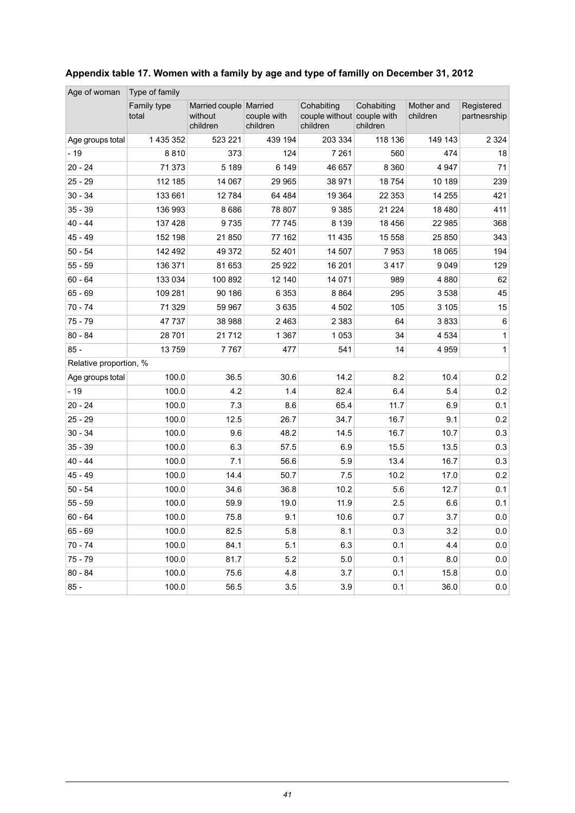| Age of woman           | Type of family       |                                                 |                         |                                                      |                        |                        |                            |  |  |  |  |  |
|------------------------|----------------------|-------------------------------------------------|-------------------------|------------------------------------------------------|------------------------|------------------------|----------------------------|--|--|--|--|--|
|                        | Family type<br>total | Married couple   Married<br>without<br>children | couple with<br>children | Cohabiting<br>couple without couple with<br>children | Cohabiting<br>children | Mother and<br>children | Registered<br>partnesrship |  |  |  |  |  |
| Age groups total       | 1 435 352            | 523 221                                         | 439 194                 | 203 334                                              | 118 136                | 149 143                | 2 3 2 4                    |  |  |  |  |  |
| $-19$                  | 8810                 | 373                                             | 124                     | 7 2 6 1                                              | 560                    | 474                    | 18                         |  |  |  |  |  |
| $20 - 24$              | 71 373               | 5 1 8 9                                         | 6 1 4 9                 | 46 657                                               | 8 3 6 0                | 4 9 4 7                | 71                         |  |  |  |  |  |
| $25 - 29$              | 112 185              | 14 067                                          | 29 965                  | 38 971                                               | 18754                  | 10 189                 | 239                        |  |  |  |  |  |
| $30 - 34$              | 133 661              | 12784                                           | 64 4 84                 | 19 3 64                                              | 22 353                 | 14 255                 | 421                        |  |  |  |  |  |
| $35 - 39$              | 136 993              | 8686                                            | 78 807                  | 9 3 8 5                                              | 21 2 24                | 18 4 8 0               | 411                        |  |  |  |  |  |
| $40 - 44$              | 137 428              | 9735                                            | 77 745                  | 8 1 3 9                                              | 18 4 56                | 22 985                 | 368                        |  |  |  |  |  |
| $45 - 49$              | 152 198              | 21 850                                          | 77 162                  | 11 4 35                                              | 15 558                 | 25 850                 | 343                        |  |  |  |  |  |
| $50 - 54$              | 142 492              | 49 372                                          | 52 401                  | 14 507                                               | 7953                   | 18 065                 | 194                        |  |  |  |  |  |
| $55 - 59$              | 136 371              | 81 653                                          | 25 9 22                 | 16 201                                               | 3417                   | 9 0 4 9                | 129                        |  |  |  |  |  |
| $60 - 64$              | 133 034              | 100 892                                         | 12 140                  | 14 071                                               | 989                    | 4880                   | 62                         |  |  |  |  |  |
| $65 - 69$              | 109 281              | 90 186                                          | 6 3 5 3                 | 8864                                                 | 295                    | 3538                   | 45                         |  |  |  |  |  |
| $70 - 74$              | 71 329               | 59 967                                          | 3635                    | 4 5 0 2                                              | 105                    | 3 1 0 5                | 15                         |  |  |  |  |  |
| $75 - 79$              | 47 737               | 38 988                                          | 2463                    | 2 3 8 3                                              | 64                     | 3833                   | 6                          |  |  |  |  |  |
| $80 - 84$              | 28 701               | 21712                                           | 1 3 6 7                 | 1 0 5 3                                              | 34                     | 4 5 3 4                | 1                          |  |  |  |  |  |
| $85 -$                 | 13759                | 7767                                            | 477                     | 541                                                  | 14                     | 4 9 5 9                | 1                          |  |  |  |  |  |
| Relative proportion, % |                      |                                                 |                         |                                                      |                        |                        |                            |  |  |  |  |  |
| Age groups total       | 100.0                | 36.5                                            | 30.6                    | 14.2                                                 | 8.2                    | 10.4                   | 0.2                        |  |  |  |  |  |
| $-19$                  | 100.0                | 4.2                                             | 1.4                     | 82.4                                                 | 6.4                    | 5.4                    | 0.2                        |  |  |  |  |  |
| $20 - 24$              | 100.0                | 7.3                                             | 8.6                     | 65.4                                                 | 11.7                   | 6.9                    | 0.1                        |  |  |  |  |  |
| $25 - 29$              | 100.0                | 12.5                                            | 26.7                    | 34.7                                                 | 16.7                   | 9.1                    | 0.2                        |  |  |  |  |  |
| $30 - 34$              | 100.0                | 9.6                                             | 48.2                    | 14.5                                                 | 16.7                   | 10.7                   | 0.3                        |  |  |  |  |  |
| $35 - 39$              | 100.0                | 6.3                                             | 57.5                    | 6.9                                                  | 15.5                   | 13.5                   | 0.3                        |  |  |  |  |  |
| $40 - 44$              | 100.0                | 7.1                                             | 56.6                    | 5.9                                                  | 13.4                   | 16.7                   | 0.3                        |  |  |  |  |  |
| 45 - 49                | 100.0                | 14.4                                            | 50.7                    | 7.5                                                  | 10.2                   | 17.0                   | 0.2                        |  |  |  |  |  |
| $50 - 54$              | 100.0                | 34.6                                            | 36.8                    | 10.2                                                 | 5.6                    | 12.7                   | 0.1                        |  |  |  |  |  |
| $55 - 59$              | 100.0                | 59.9                                            | 19.0                    | 11.9                                                 | 2.5                    | 6.6                    | 0.1                        |  |  |  |  |  |
| $60 - 64$              | 100.0                | 75.8                                            | 9.1                     | 10.6                                                 | 0.7                    | 3.7                    | 0.0                        |  |  |  |  |  |
| $65 - 69$              | 100.0                | 82.5                                            | 5.8                     | 8.1                                                  | 0.3                    | 3.2                    | 0.0                        |  |  |  |  |  |
| $70 - 74$              | 100.0                | 84.1                                            | 5.1                     | 6.3                                                  | 0.1                    | 4.4                    | 0.0                        |  |  |  |  |  |
| $75 - 79$              | 100.0                | 81.7                                            | 5.2                     | 5.0                                                  | 0.1                    | 8.0                    | $0.0\,$                    |  |  |  |  |  |
| $80 - 84$              | 100.0                | 75.6                                            | 4.8                     | 3.7                                                  | 0.1                    | 15.8                   | 0.0                        |  |  |  |  |  |
| $85 -$                 | 100.0                | 56.5                                            | 3.5                     | 3.9                                                  | 0.1                    | 36.0                   | 0.0                        |  |  |  |  |  |

#### <span id="page-40-0"></span>**Appendix table 17. Women with a family by age and type of familly on December 31, 2012**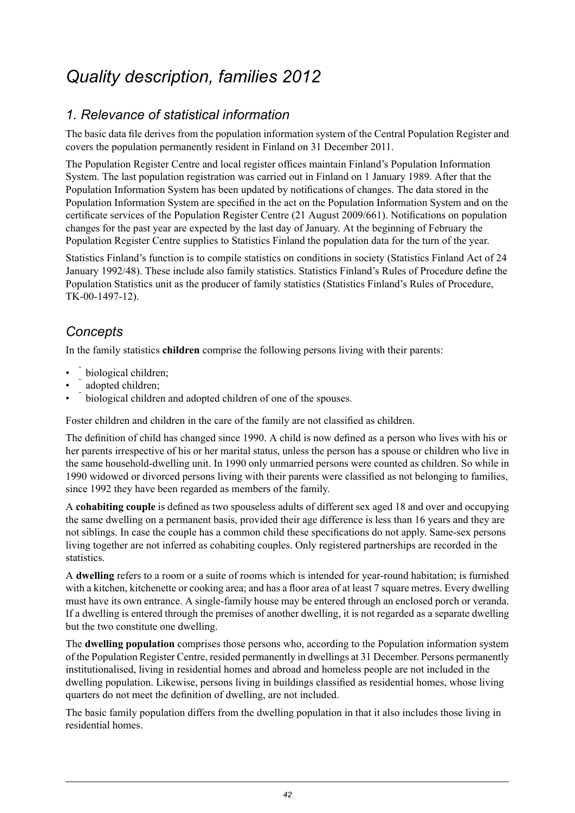## <span id="page-41-0"></span>*Quality description, families 2012*

#### *1. Relevance of statistical information*

The basic data file derives from the population information system of the Central Population Register and covers the population permanently resident in Finland on 31 December 2011.

The Population Register Centre and local register offices maintain Finland's Population Information System. The last population registration was carried out in Finland on 1 January 1989. After that the Population Information System has been updated by notifications of changes. The data stored in the Population Information System are specified in the act on the Population Information System and on the certificate services of the Population Register Centre (21 August 2009/661). Notifications on population changes for the past year are expected by the last day of January. At the beginning of February the Population Register Centre supplies to Statistics Finland the population data for the turn of the year.

Statistics Finland's function is to compile statistics on conditions in society (Statistics Finland Act of 24 January 1992/48). These include also family statistics. Statistics Finland's Rules of Procedure define the Population Statistics unit as the producer of family statistics (Statistics Finland's Rules of Procedure, TK-00-1497-12).

#### *Concepts*

In the family statistics **children** comprise the following persons living with their parents:

- biological children;
- adopted children;
- biological children and adopted children of one of the spouses.

Foster children and children in the care of the family are not classified as children.

The definition of child has changed since 1990. A child is now defined as a person who lives with his or her parents irrespective of his or her marital status, unless the person has a spouse or children who live in the same household-dwelling unit. In 1990 only unmarried persons were counted as children. So while in 1990 widowed or divorced persons living with their parents were classified as not belonging to families, since 1992 they have been regarded as members of the family.

A **cohabiting couple** is defined as two spouseless adults of different sex aged 18 and over and occupying the same dwelling on a permanent basis, provided their age difference is less than 16 years and they are not siblings. In case the couple has a common child these specifications do not apply. Same-sex persons living together are not inferred as cohabiting couples. Only registered partnerships are recorded in the statistics.

A **dwelling** refers to a room or a suite of rooms which is intended for year-round habitation; is furnished with a kitchen, kitchenette or cooking area; and has a floor area of at least 7 square metres. Every dwelling must have its own entrance. A single-family house may be entered through an enclosed porch or veranda. If a dwelling is entered through the premises of another dwelling, it is not regarded as a separate dwelling but the two constitute one dwelling.

The **dwelling population** comprises those persons who, according to the Population information system of the Population Register Centre, resided permanently in dwellings at 31 December. Persons permanently institutionalised, living in residential homes and abroad and homeless people are not included in the dwelling population. Likewise, persons living in buildings classified as residential homes, whose living quarters do not meet the definition of dwelling, are not included.

The basic family population differs from the dwelling population in that it also includes those living in residential homes.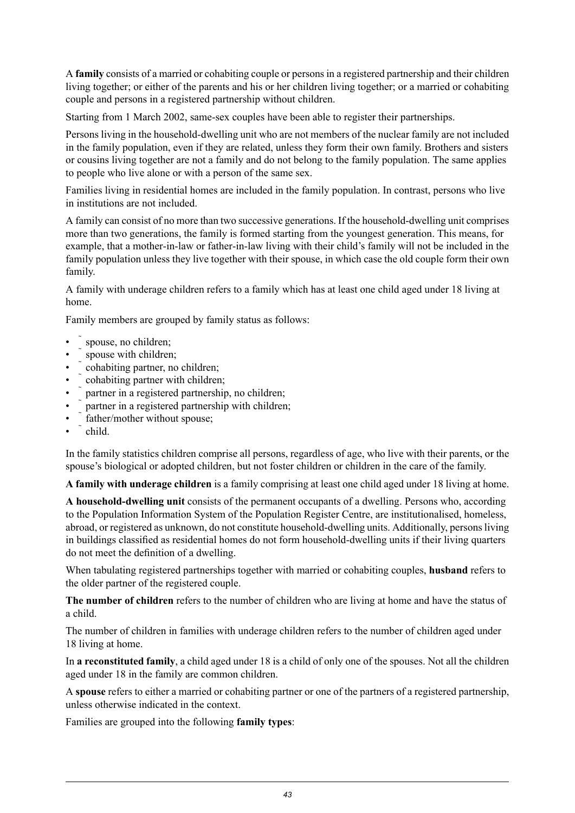A **family** consists of a married or cohabiting couple or personsin a registered partnership and their children living together; or either of the parents and his or her children living together; or a married or cohabiting couple and persons in a registered partnership without children.

Starting from 1 March 2002, same-sex couples have been able to register their partnerships.

Persons living in the household-dwelling unit who are not members of the nuclear family are not included in the family population, even if they are related, unless they form their own family. Brothers and sisters or cousins living together are not a family and do not belong to the family population. The same applies to people who live alone or with a person of the same sex.

Families living in residential homes are included in the family population. In contrast, persons who live in institutions are not included.

A family can consist of no more than two successive generations. If the household-dwelling unit comprises more than two generations, the family is formed starting from the youngest generation. This means, for example, that a mother-in-law or father-in-law living with their child's family will not be included in the family population unless they live together with their spouse, in which case the old couple form their own family.

A family with underage children refers to a family which has at least one child aged under 18 living at home.

Family members are grouped by family status as follows:

- spouse, no children;
- spouse with children:
- cohabiting partner, no children;
- cohabiting partner with children;
- partner in a registered partnership, no children;
- partner in a registered partnership with children;
- father/mother without spouse;
- child.

In the family statistics children comprise all persons, regardless of age, who live with their parents, or the spouse's biological or adopted children, but not foster children or children in the care of the family.

**A family with underage children** is a family comprising at least one child aged under 18 living at home.

**A household-dwelling unit** consists of the permanent occupants of a dwelling. Persons who, according to the Population Information System of the Population Register Centre, are institutionalised, homeless, abroad, or registered as unknown, do not constitute household-dwelling units. Additionally, persons living in buildings classified as residential homes do not form household-dwelling units if their living quarters do not meet the definition of a dwelling.

When tabulating registered partnerships together with married or cohabiting couples, **husband** refers to the older partner of the registered couple.

**The number of children** refers to the number of children who are living at home and have the status of a child.

The number of children in families with underage children refers to the number of children aged under 18 living at home.

In **a reconstituted family**, a child aged under 18 is a child of only one of the spouses. Not all the children aged under 18 in the family are common children.

A **spouse** refers to either a married or cohabiting partner or one of the partners of a registered partnership, unless otherwise indicated in the context.

Families are grouped into the following **family types**: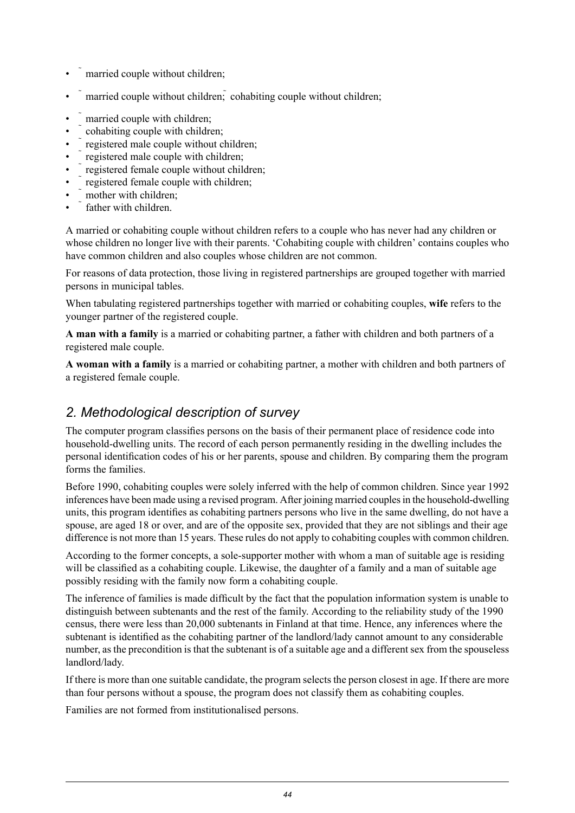- married couple without children;
- married couple without children; cohabiting couple without children;
- married couple with children;
- cohabiting couple with children;
- registered male couple without children;
- registered male couple with children;
- registered female couple without children;
- registered female couple with children;
- mother with children:
- father with children

A married or cohabiting couple without children refers to a couple who has never had any children or whose children no longer live with their parents. 'Cohabiting couple with children' contains couples who have common children and also couples whose children are not common.

For reasons of data protection, those living in registered partnerships are grouped together with married persons in municipal tables.

When tabulating registered partnerships together with married or cohabiting couples, **wife** refers to the younger partner of the registered couple.

**A man with a family** is a married or cohabiting partner, a father with children and both partners of a registered male couple.

**A woman with a family** is a married or cohabiting partner, a mother with children and both partners of a registered female couple.

#### *2. Methodological description of survey*

The computer program classifies persons on the basis of their permanent place of residence code into household-dwelling units. The record of each person permanently residing in the dwelling includes the personal identification codes of his or her parents, spouse and children. By comparing them the program forms the families.

Before 1990, cohabiting couples were solely inferred with the help of common children. Since year 1992 inferences have been made using a revised program. After joining married couplesin the household-dwelling units, this program identifies as cohabiting partners persons who live in the same dwelling, do not have a spouse, are aged 18 or over, and are of the opposite sex, provided that they are not siblings and their age difference is not more than 15 years. These rules do not apply to cohabiting couples with common children.

According to the former concepts, a sole-supporter mother with whom a man of suitable age is residing will be classified as a cohabiting couple. Likewise, the daughter of a family and a man of suitable age possibly residing with the family now form a cohabiting couple.

The inference of families is made difficult by the fact that the population information system is unable to distinguish between subtenants and the rest of the family. According to the reliability study of the 1990 census, there were less than 20,000 subtenants in Finland at that time. Hence, any inferences where the subtenant is identified as the cohabiting partner of the landlord/lady cannot amount to any considerable number, as the precondition is that the subtenant is of a suitable age and a different sex from the spouseless landlord/lady.

If there is more than one suitable candidate, the program selects the person closest in age. If there are more than four persons without a spouse, the program does not classify them as cohabiting couples.

Families are not formed from institutionalised persons.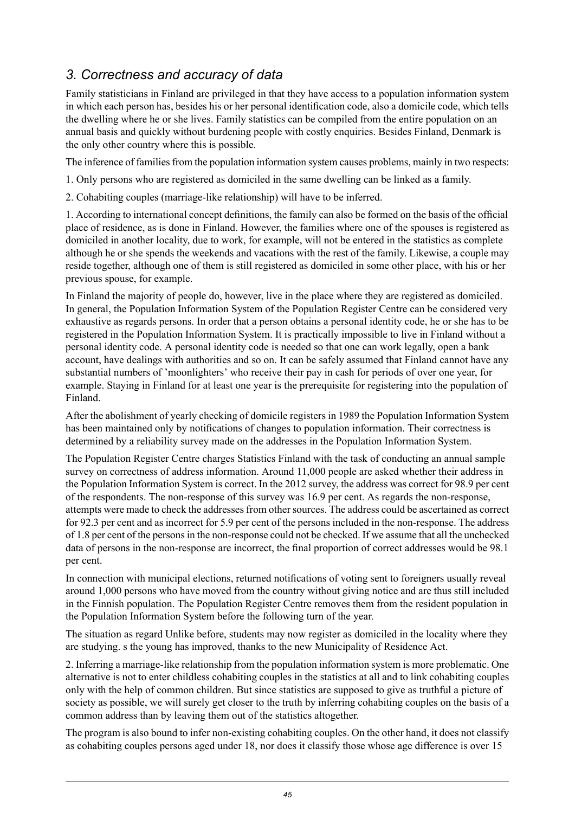#### *3. Correctness and accuracy of data*

Family statisticians in Finland are privileged in that they have access to a population information system in which each person has, besides his or her personal identification code, also a domicile code, which tells the dwelling where he or she lives. Family statistics can be compiled from the entire population on an annual basis and quickly without burdening people with costly enquiries. Besides Finland, Denmark is the only other country where this is possible.

The inference of families from the population information system causes problems, mainly in two respects:

1. Only persons who are registered as domiciled in the same dwelling can be linked as a family.

2. Cohabiting couples (marriage-like relationship) will have to be inferred.

1. According to international concept definitions, the family can also be formed on the basis of the official place of residence, as is done in Finland. However, the families where one of the spouses is registered as domiciled in another locality, due to work, for example, will not be entered in the statistics as complete although he or she spends the weekends and vacations with the rest of the family. Likewise, a couple may reside together, although one of them is still registered as domiciled in some other place, with his or her previous spouse, for example.

In Finland the majority of people do, however, live in the place where they are registered as domiciled. In general, the Population Information System of the Population Register Centre can be considered very exhaustive as regards persons. In order that a person obtains a personal identity code, he or she has to be registered in the Population Information System. It is practically impossible to live in Finland without a personal identity code. A personal identity code is needed so that one can work legally, open a bank account, have dealings with authorities and so on. It can be safely assumed that Finland cannot have any substantial numbers of 'moonlighters' who receive their pay in cash for periods of over one year, for example. Staying in Finland for at least one year is the prerequisite for registering into the population of Finland.

After the abolishment of yearly checking of domicile registers in 1989 the Population Information System has been maintained only by notifications of changes to population information. Their correctness is determined by a reliability survey made on the addresses in the Population Information System.

The Population Register Centre charges Statistics Finland with the task of conducting an annual sample survey on correctness of address information. Around 11,000 people are asked whether their address in the Population Information System is correct. In the 2012 survey, the address was correct for 98.9 per cent of the respondents. The non-response of this survey was 16.9 per cent. As regards the non-response, attempts were made to check the addresses from other sources. The address could be ascertained as correct for 92.3 per cent and as incorrect for 5.9 per cent of the persons included in the non-response. The address of 1.8 per cent of the personsin the non-response could not be checked. If we assume that all the unchecked data of persons in the non-response are incorrect, the final proportion of correct addresses would be 98.1 per cent.

In connection with municipal elections, returned notifications of voting sent to foreigners usually reveal around 1,000 persons who have moved from the country without giving notice and are thus still included in the Finnish population. The Population Register Centre removes them from the resident population in the Population Information System before the following turn of the year.

The situation as regard Unlike before, students may now register as domiciled in the locality where they are studying. s the young has improved, thanks to the new Municipality of Residence Act.

2. Inferring a marriage-like relationship from the population information system is more problematic. One alternative is not to enter childless cohabiting couples in the statistics at all and to link cohabiting couples only with the help of common children. But since statistics are supposed to give as truthful a picture of society as possible, we will surely get closer to the truth by inferring cohabiting couples on the basis of a common address than by leaving them out of the statistics altogether.

The program is also bound to infer non-existing cohabiting couples. On the other hand, it does not classify as cohabiting couples persons aged under 18, nor does it classify those whose age difference is over 15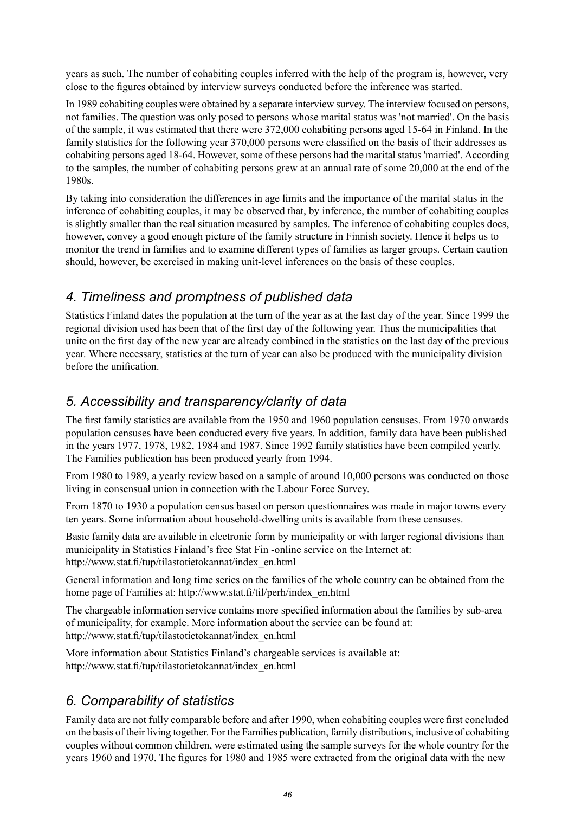years as such. The number of cohabiting couples inferred with the help of the program is, however, very close to the figures obtained by interview surveys conducted before the inference was started.

In 1989 cohabiting couples were obtained by a separate interview survey. The interview focused on persons, not families. The question was only posed to persons whose marital status was 'not married'. On the basis of the sample, it was estimated that there were 372,000 cohabiting persons aged 15-64 in Finland. In the family statistics for the following year 370,000 persons were classified on the basis of their addresses as cohabiting persons aged 18-64. However, some of these persons had the marital status 'married'. According to the samples, the number of cohabiting persons grew at an annual rate of some 20,000 at the end of the 1980s.

By taking into consideration the differences in age limits and the importance of the marital status in the inference of cohabiting couples, it may be observed that, by inference, the number of cohabiting couples is slightly smaller than the real situation measured by samples. The inference of cohabiting couples does, however, convey a good enough picture of the family structure in Finnish society. Hence it helps us to monitor the trend in families and to examine different types of families as larger groups. Certain caution should, however, be exercised in making unit-level inferences on the basis of these couples.

#### *4. Timeliness and promptness of published data*

Statistics Finland dates the population at the turn of the year as at the last day of the year. Since 1999 the regional division used has been that of the first day of the following year. Thus the municipalities that unite on the first day of the new year are already combined in the statistics on the last day of the previous year. Where necessary, statistics at the turn of year can also be produced with the municipality division before the unification.

#### *5. Accessibility and transparency/clarity of data*

The first family statistics are available from the 1950 and 1960 population censuses. From 1970 onwards population censuses have been conducted every five years. In addition, family data have been published in the years 1977, 1978, 1982, 1984 and 1987. Since 1992 family statistics have been compiled yearly. The Families publication has been produced yearly from 1994.

From 1980 to 1989, a yearly review based on a sample of around 10,000 persons was conducted on those living in consensual union in connection with the Labour Force Survey.

From 1870 to 1930 a population census based on person questionnaires was made in major towns every ten years. Some information about household-dwelling units is available from these censuses.

Basic family data are available in electronic form by municipality or with larger regional divisions than municipality in Statistics Finland's free Stat Fin -online service on the Internet at: http://www.stat.fi/tup/tilastotietokannat/index\_en.html

General information and long time series on the families of the whole country can be obtained from the home page of Families at: http://www.stat.fi/til/perh/index\_en.html

The chargeable information service contains more specified information about the families by sub-area of municipality, for example. More information about the service can be found at: http://www.stat.fi/tup/tilastotietokannat/index\_en.html

More information about Statistics Finland's chargeable services is available at: http://www.stat.fi/tup/tilastotietokannat/index\_en.html

### *6. Comparability of statistics*

Family data are not fully comparable before and after 1990, when cohabiting couples were first concluded on the basis of their living together. For the Families publication, family distributions, inclusive of cohabiting couples without common children, were estimated using the sample surveys for the whole country for the years 1960 and 1970. The figures for 1980 and 1985 were extracted from the original data with the new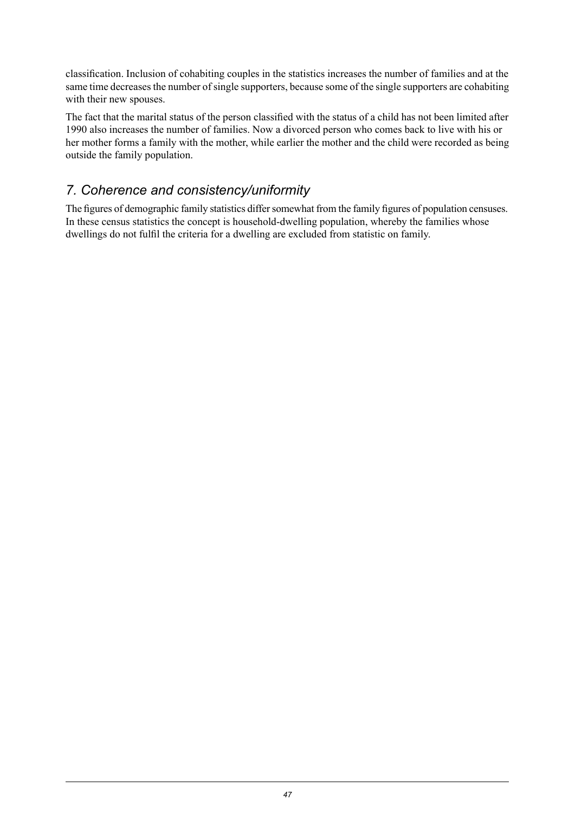classification. Inclusion of cohabiting couples in the statistics increases the number of families and at the same time decreases the number of single supporters, because some of the single supporters are cohabiting with their new spouses.

The fact that the marital status of the person classified with the status of a child has not been limited after 1990 also increases the number of families. Now a divorced person who comes back to live with his or her mother forms a family with the mother, while earlier the mother and the child were recorded as being outside the family population.

#### *7. Coherence and consistency/uniformity*

The figures of demographic family statistics differ somewhat from the family figures of population censuses. In these census statistics the concept is household-dwelling population, whereby the families whose dwellings do not fulfil the criteria for a dwelling are excluded from statistic on family.